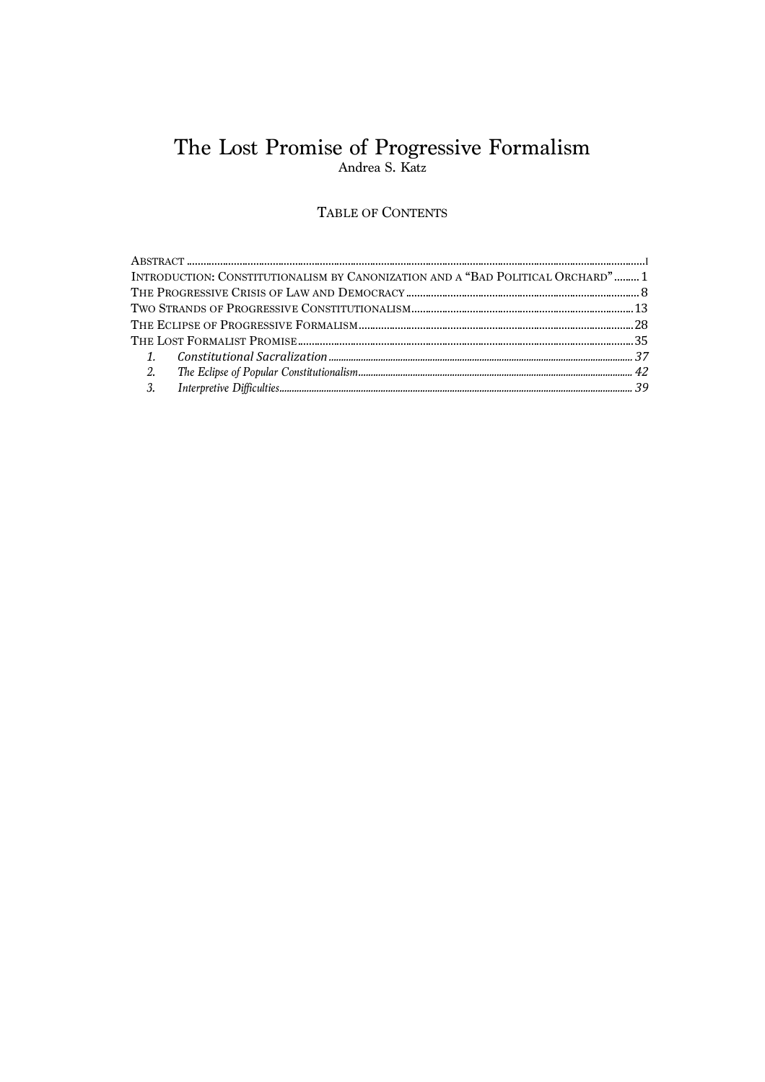# The Lost Promise of Progressive Formalism<br> $_{{\tiny \rm Andrea\ S.\ Katz}}$

# TABLE OF CONTENTS

| INTRODUCTION: CONSTITUTIONALISM BY CANONIZATION AND A "BAD POLITICAL ORCHARD" 1 |  |
|---------------------------------------------------------------------------------|--|
|                                                                                 |  |
|                                                                                 |  |
|                                                                                 |  |
|                                                                                 |  |
|                                                                                 |  |
| 2.                                                                              |  |
| 3.                                                                              |  |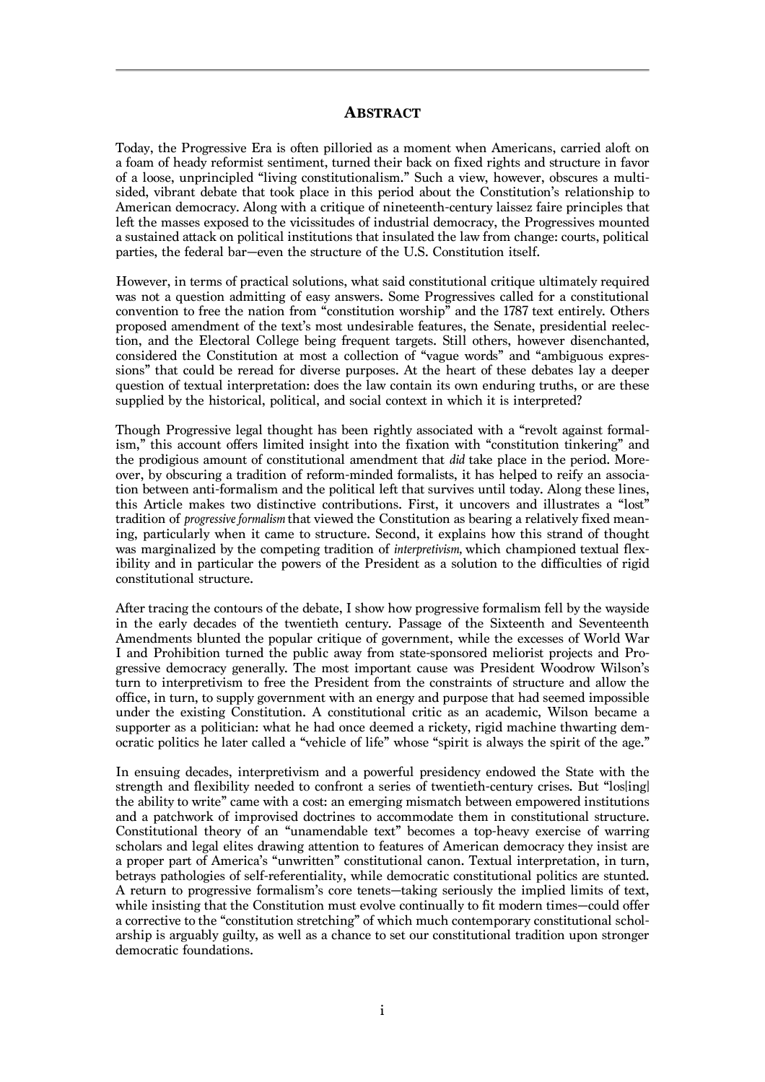#### **ABSTRACT**

Today, the Progressive Era is often pilloried as a moment when Americans, carried aloft on a foam of heady reformist sentiment, turned their back on fixed rights and structure in favor of a loose, unprincipled "living constitutionalism." Such a view, however, obscures a multisided, vibrant debate that took place in this period about the Constitution's relationship to American democracy. Along with a critique of nineteenth-century laissez faire principles that left the masses exposed to the vicissitudes of industrial democracy, the Progressives mounted a sustained attack on political institutions that insulated the law from change: courts, political parties, the federal bar—even the structure of the U.S. Constitution itself.

However, in terms of practical solutions, what said constitutional critique ultimately required was not a question admitting of easy answers. Some Progressives called for a constitutional convention to free the nation from "constitution worship" and the 1787 text entirely. Others proposed amendment of the text's most undesirable features, the Senate, presidential reelection, and the Electoral College being frequent targets. Still others, however disenchanted, considered the Constitution at most a collection of "vague words" and "ambiguous expressions" that could be reread for diverse purposes. At the heart of these debates lay a deeper question of textual interpretation: does the law contain its own enduring truths, or are these supplied by the historical, political, and social context in which it is interpreted?

Though Progressive legal thought has been rightly associated with a "revolt against formalism," this account offers limited insight into the fixation with "constitution tinkering" and the prodigious amount of constitutional amendment that *did* take place in the period. Moreover, by obscuring a tradition of reform-minded formalists, it has helped to reify an association between anti-formalism and the political left that survives until today. Along these lines, this Article makes two distinctive contributions. First, it uncovers and illustrates a "lost" tradition of *progressive formalism* that viewed the Constitution as bearing a relatively fixed meaning, particularly when it came to structure. Second, it explains how this strand of thought was marginalized by the competing tradition of *interpretivism,* which championed textual flexibility and in particular the powers of the President as a solution to the difficulties of rigid constitutional structure.

After tracing the contours of the debate, I show how progressive formalism fell by the wayside in the early decades of the twentieth century. Passage of the Sixteenth and Seventeenth Amendments blunted the popular critique of government, while the excesses of World War I and Prohibition turned the public away from state-sponsored meliorist projects and Progressive democracy generally. The most important cause was President Woodrow Wilson's turn to interpretivism to free the President from the constraints of structure and allow the office, in turn, to supply government with an energy and purpose that had seemed impossible under the existing Constitution. A constitutional critic as an academic, Wilson became a supporter as a politician: what he had once deemed a rickety, rigid machine thwarting democratic politics he later called a "vehicle of life" whose "spirit is always the spirit of the age."

In ensuing decades, interpretivism and a powerful presidency endowed the State with the strength and flexibility needed to confront a series of twentieth-century crises. But "los[ing] the ability to write" came with a cost: an emerging mismatch between empowered institutions and a patchwork of improvised doctrines to accommodate them in constitutional structure. Constitutional theory of an "unamendable text" becomes a top-heavy exercise of warring scholars and legal elites drawing attention to features of American democracy they insist are a proper part of America's "unwritten" constitutional canon. Textual interpretation, in turn, betrays pathologies of self-referentiality, while democratic constitutional politics are stunted. A return to progressive formalism's core tenets—taking seriously the implied limits of text, while insisting that the Constitution must evolve continually to fit modern times—could offer a corrective to the "constitution stretching" of which much contemporary constitutional scholarship is arguably guilty, as well as a chance to set our constitutional tradition upon stronger democratic foundations.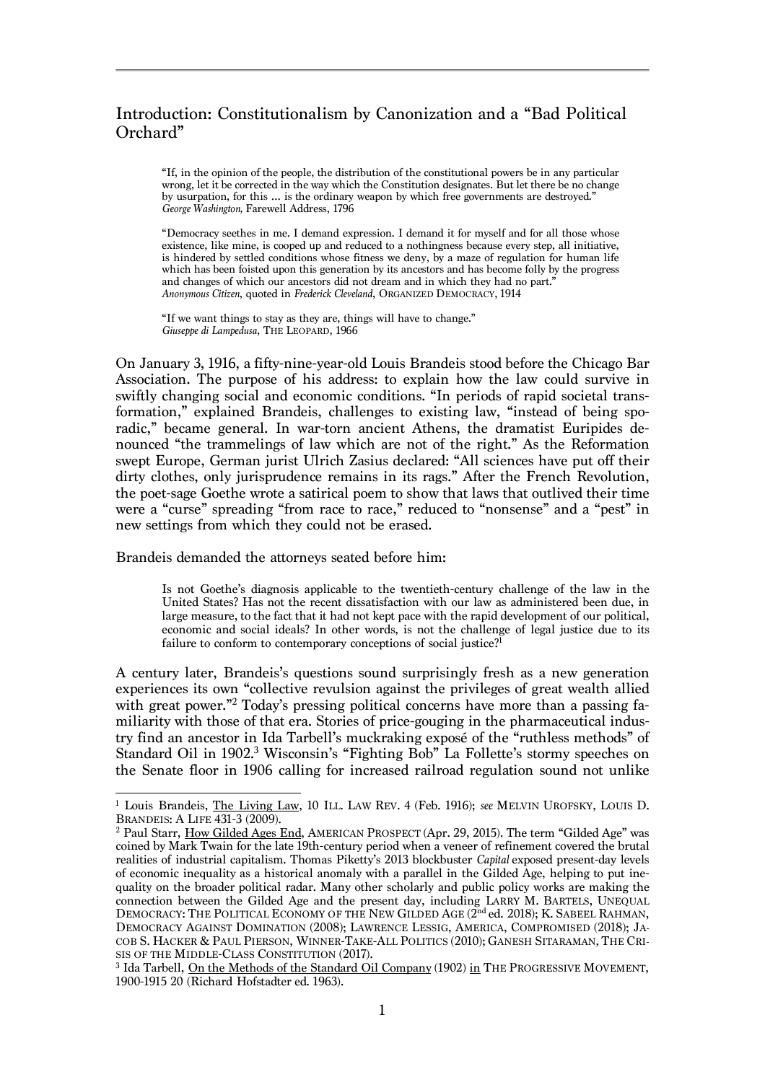# Introduction: Constitutionalism by Canonization and a "Bad Political Orchard"

"If, in the opinion of the people, the distribution of the constitutional powers be in any particular wrong, let it be corrected in the way which the Constitution designates. But let there be no change by usurpation, for this … is the ordinary weapon by which free governments are destroyed." *George Washington,* Farewell Address, 1796

"Democracy seethes in me. I demand expression. I demand it for myself and for all those whose existence, like mine, is cooped up and reduced to a nothingness because every step, all initiative, is hindered by settled conditions whose fitness we deny, by a maze of regulation for human life which has been foisted upon this generation by its ancestors and has become folly by the progress and changes of which our ancestors did not dream and in which they had no part." *Anonymous Citizen*, quoted in *Frederick Cleveland*, ORGANIZED DEMOCRACY, 1914

"If we want things to stay as they are, things will have to change." *Giuseppe di Lampedusa*, THE LEOPARD, 1966

On January 3, 1916, a fifty-nine-year-old Louis Brandeis stood before the Chicago Bar Association. The purpose of his address: to explain how the law could survive in swiftly changing social and economic conditions. "In periods of rapid societal transformation," explained Brandeis, challenges to existing law, "instead of being sporadic," became general. In war-torn ancient Athens, the dramatist Euripides denounced "the trammelings of law which are not of the right." As the Reformation swept Europe, German jurist Ulrich Zasius declared: "All sciences have put off their dirty clothes, only jurisprudence remains in its rags." After the French Revolution, the poet-sage Goethe wrote a satirical poem to show that laws that outlived their time were a "curse" spreading "from race to race," reduced to "nonsense" and a "pest" in new settings from which they could not be erased.

Brandeis demanded the attorneys seated before him:

Is not Goethe's diagnosis applicable to the twentieth-century challenge of the law in the United States? Has not the recent dissatisfaction with our law as administered been due, in large measure, to the fact that it had not kept pace with the rapid development of our political, economic and social ideals? In other words, is not the challenge of legal justice due to its failure to conform to contemporary conceptions of social justice?<sup>1</sup>

A century later, Brandeis's questions sound surprisingly fresh as a new generation experiences its own "collective revulsion against the privileges of great wealth allied with great power."<sup>2</sup> Today's pressing political concerns have more than a passing familiarity with those of that era. Stories of price-gouging in the pharmaceutical industry find an ancestor in Ida Tarbell's muckraking exposé of the "ruthless methods" of Standard Oil in 1902.3 Wisconsin's "Fighting Bob" La Follette's stormy speeches on the Senate floor in 1906 calling for increased railroad regulation sound not unlike

 $\overline{a}$ <sup>1</sup> Louis Brandeis, The Living Law, 10 ILL. LAW REV. 4 (Feb. 1916); *see* MELVIN UROFSKY, LOUIS D.

 $^2$  Paul Starr, How Gilded Ages End, AMERICAN PROSPECT (Apr. 29, 2015). The term "Gilded Age" was coined by Mark Twain for the late 19th-century period when a veneer of refinement covered the brutal realities of industrial capitalism. Thomas Piketty's 2013 blockbuster *Capital* exposed present-day levels of economic inequality as a historical anomaly with a parallel in the Gilded Age, helping to put inequality on the broader political radar. Many other scholarly and public policy works are making the connection between the Gilded Age and the present day, including LARRY M. BARTELS, UNEQUAL DEMOCRACY: THE POLITICAL ECONOMY OF THE NEW GILDED AGE (2<sup>nd</sup> ed. 2018); K. SABEEL RAHMAN, DEMOCRACY AGAINST DOMINATION (2008); LAWRENCE LESSIG, AMERICA, COMPROMISED (2018); JA-COB S. HACKER & PAUL PIERSON, WINNER-TAKE-ALL POLITICS (2010); GANESH SITARAMAN, THE CRI-SIS OF THE MIDDLE-CLASS CONSTITUTION (2017).<br><sup>3</sup> Ida Tarbell, <u>On the Methods of the Standard Oil Company</u> (1902) <u>in</u> THE PROGRESSIVE MOVEMENT,

<sup>1900-1915</sup> 20 (Richard Hofstadter ed. 1963).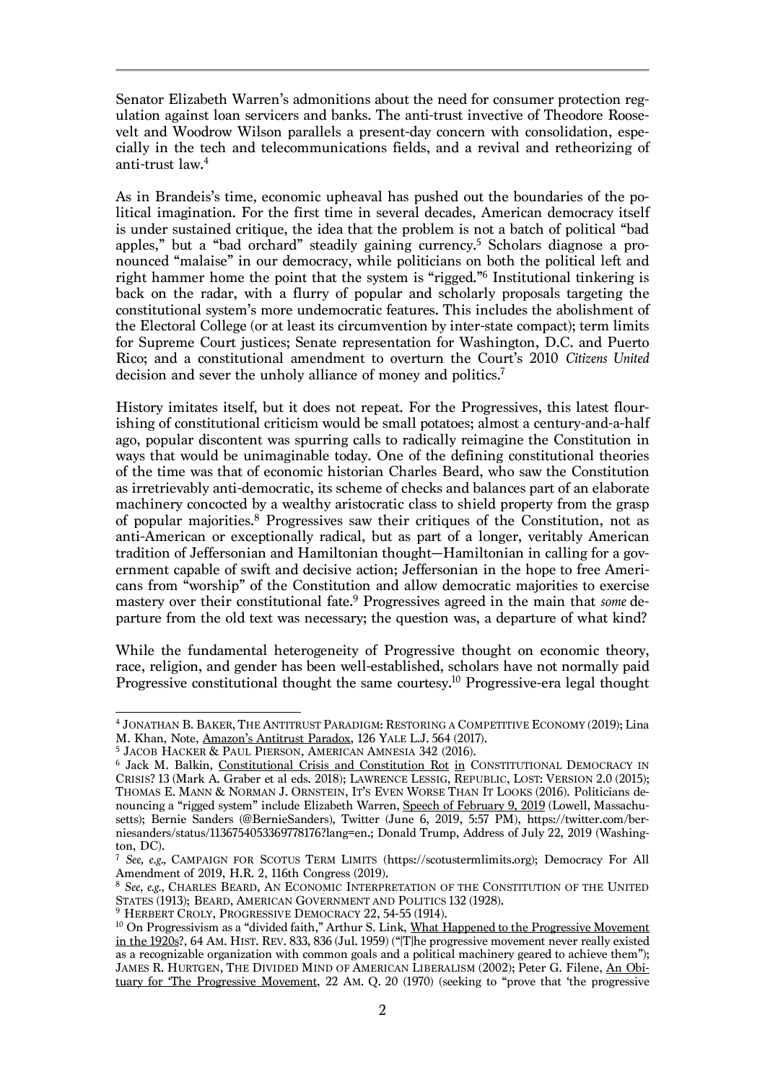Senator Elizabeth Warren's admonitions about the need for consumer protection regulation against loan servicers and banks. The anti-trust invective of Theodore Roosevelt and Woodrow Wilson parallels a present-day concern with consolidation, especially in the tech and telecommunications fields, and a revival and retheorizing of anti-trust law.4

As in Brandeis's time, economic upheaval has pushed out the boundaries of the political imagination. For the first time in several decades, American democracy itself is under sustained critique, the idea that the problem is not a batch of political "bad apples," but a "bad orchard" steadily gaining currency.5 Scholars diagnose a pronounced "malaise" in our democracy, while politicians on both the political left and right hammer home the point that the system is "rigged."6 Institutional tinkering is back on the radar, with a flurry of popular and scholarly proposals targeting the constitutional system's more undemocratic features. This includes the abolishment of the Electoral College (or at least its circumvention by inter-state compact); term limits for Supreme Court justices; Senate representation for Washington, D.C. and Puerto Rico; and a constitutional amendment to overturn the Court's 2010 *Citizens United*  decision and sever the unholy alliance of money and politics.<sup>7</sup>

History imitates itself, but it does not repeat. For the Progressives, this latest flourishing of constitutional criticism would be small potatoes; almost a century-and-a-half ago, popular discontent was spurring calls to radically reimagine the Constitution in ways that would be unimaginable today. One of the defining constitutional theories of the time was that of economic historian Charles Beard, who saw the Constitution as irretrievably anti-democratic, its scheme of checks and balances part of an elaborate machinery concocted by a wealthy aristocratic class to shield property from the grasp of popular majorities.8 Progressives saw their critiques of the Constitution, not as anti-American or exceptionally radical, but as part of a longer, veritably American tradition of Jeffersonian and Hamiltonian thought—Hamiltonian in calling for a government capable of swift and decisive action; Jeffersonian in the hope to free Americans from "worship" of the Constitution and allow democratic majorities to exercise mastery over their constitutional fate.9 Progressives agreed in the main that *some* departure from the old text was necessary; the question was, a departure of what kind?

While the fundamental heterogeneity of Progressive thought on economic theory, race, religion, and gender has been well-established, scholars have not normally paid Progressive constitutional thought the same courtesy.10 Progressive-era legal thought

 $\overline{a}$ <sup>4</sup> JONATHAN B. BAKER, THE ANTITRUST PARADIGM: RESTORING A COMPETITIVE ECONOMY (2019); Lina M. Khan, Note, Amazon's Antitrust Paradox, 126 YALE L.J. 564 (2017).

<sup>&</sup>lt;sup>6</sup> Jack M. Balkin, Constitutional Crisis and Constitution Rot in CONSTITUTIONAL DEMOCRACY IN CRISIS? 13 (Mark A. Graber et al eds. 2018); LAWRENCE LESSIG, REPUBLIC, LOST: VERSION 2.0 (2015); THOMAS E. MANN & NORMAN J. ORNSTEIN, IT'S EVEN WORSE THAN IT LOOKS (2016). Politicians denouncing a "rigged system" include Elizabeth Warren, Speech of February 9, 2019 (Lowell, Massachusetts); Bernie Sanders (@BernieSanders), Twitter (June 6, 2019, 5:57 PM), https://twitter.com/berniesanders/status/1136754053369778176?lang=en.; Donald Trump, Address of July 22, 2019 (Washington, DC).

<sup>7</sup> *See, e.g.,* CAMPAIGN FOR SCOTUS TERM LIMITS (https://scotustermlimits.org); Democracy For All Amendment of 2019, H.R. 2, 116th Congress (2019).

<sup>8</sup> *See, e.g.,* CHARLES BEARD, AN ECONOMIC INTERPRETATION OF THE CONSTITUTION OF THE UNITED STATES (1913); BEARD, AMERICAN GOVERNMENT AND POLITICS 132 (1928). 9 HERBERT CROLY, PROGRESSIVE DEMOCRACY 22, 54-55 (1914).

 $10$  On Progressivism as a "divided faith," Arthur S. Link, What Happened to the Progressive Movement in the 1920s?, 64 AM. HIST. REV. 833, 836 (Jul. 1959) ("[T]he progressive movement never really existed as a recognizable organization with common goals and a political machinery geared to achieve them"); JAMES R. HURTGEN, THE DIVIDED MIND OF AMERICAN LIBERALISM (2002); Peter G. Filene, An Obituary for 'The Progressive Movement, 22 AM. Q. 20 (1970) (seeking to "prove that 'the progressive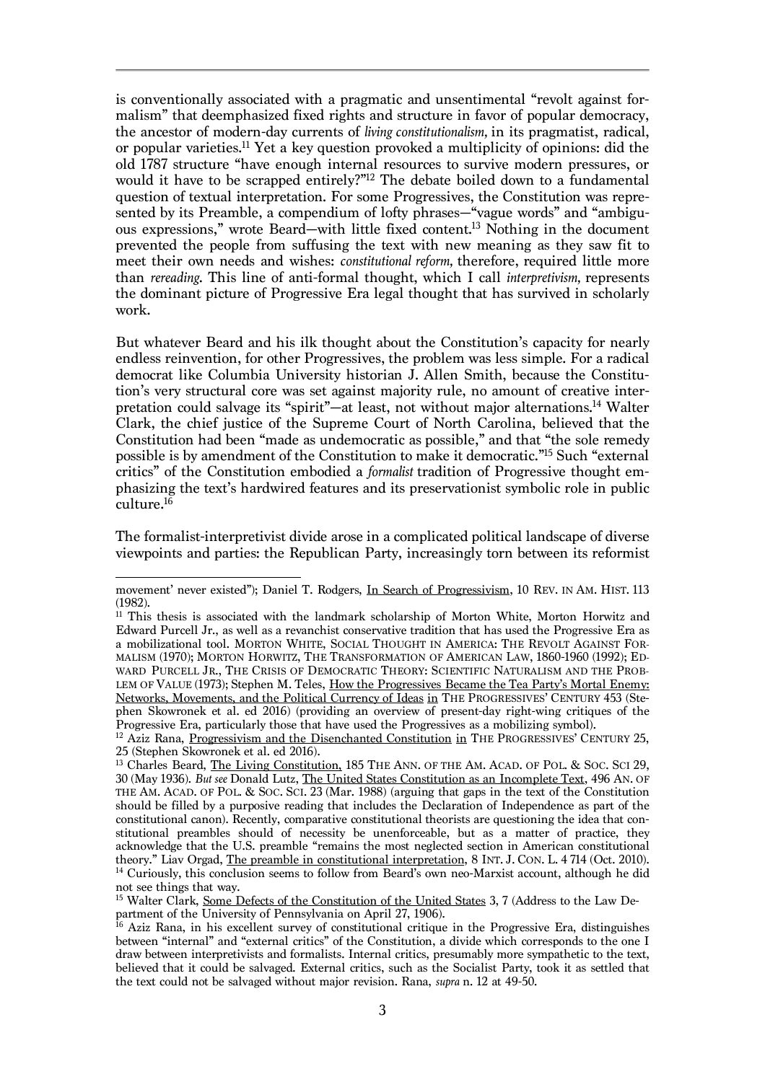is conventionally associated with a pragmatic and unsentimental "revolt against formalism" that deemphasized fixed rights and structure in favor of popular democracy, the ancestor of modern-day currents of *living constitutionalism,* in its pragmatist, radical, or popular varieties.11 Yet a key question provoked a multiplicity of opinions: did the old 1787 structure "have enough internal resources to survive modern pressures, or would it have to be scrapped entirely?"<sup>12</sup> The debate boiled down to a fundamental question of textual interpretation. For some Progressives, the Constitution was represented by its Preamble, a compendium of lofty phrases—"vague words" and "ambiguous expressions," wrote Beard—with little fixed content.13 Nothing in the document prevented the people from suffusing the text with new meaning as they saw fit to meet their own needs and wishes: *constitutional reform,* therefore, required little more than *rereading*. This line of anti-formal thought, which I call *interpretivism,* represents the dominant picture of Progressive Era legal thought that has survived in scholarly work.

But whatever Beard and his ilk thought about the Constitution's capacity for nearly endless reinvention, for other Progressives, the problem was less simple. For a radical democrat like Columbia University historian J. Allen Smith, because the Constitution's very structural core was set against majority rule, no amount of creative interpretation could salvage its "spirit"—at least, not without major alternations.14 Walter Clark, the chief justice of the Supreme Court of North Carolina, believed that the Constitution had been "made as undemocratic as possible," and that "the sole remedy possible is by amendment of the Constitution to make it democratic."15 Such "external critics" of the Constitution embodied a *formalist* tradition of Progressive thought emphasizing the text's hardwired features and its preservationist symbolic role in public culture.16

The formalist-interpretivist divide arose in a complicated political landscape of diverse viewpoints and parties: the Republican Party, increasingly torn between its reformist

movement' never existed"); Daniel T. Rodgers, <u>In Search of Progressivism</u>, 10 REV. IN AM. HIST. 113 (1982).

<sup>&</sup>lt;sup>11</sup> This thesis is associated with the landmark scholarship of Morton White, Morton Horwitz and Edward Purcell Jr., as well as a revanchist conservative tradition that has used the Progressive Era as a mobilizational tool. MORTON WHITE, SOCIAL THOUGHT IN AMERICA: THE REVOLT AGAINST FOR-MALISM (1970); MORTON HORWITZ, THE TRANSFORMATION OF AMERICAN LAW, 1860-1960 (1992); ED-WARD PURCELL JR., THE CRISIS OF DEMOCRATIC THEORY: SCIENTIFIC NATURALISM AND THE PROB-LEM OF VALUE (1973); Stephen M. Teles, How the Progressives Became the Tea Party's Mortal Enemy: Networks, Movements, and the Political Currency of Ideas in THE PROGRESSIVES' CENTURY 453 (Stephen Skowronek et al. ed 2016) (providing an overview of present-day right-wing critiques of the Progressive Era, particularly those that have used the Progressives as a mobilizing symbol).

 $P<sub>12</sub>$  Aziz Rana, Progressivism and the Disenchanted Constitution in THE PROGRESSIVES' CENTURY 25, 25 (Stephen Skowronek et al. ed 2016).

<sup>&</sup>lt;sup>13</sup> Charles Beard, The Living Constitution, 185 THE ANN. OF THE AM. ACAD. OF POL. & SOC. SCI 29, 30 (May 1936). *But see* Donald Lutz, The United States Constitution as an Incomplete Text, 496 AN. OF THE AM. ACAD. OF POL. & SOC. SCI. 23 (Mar. 1988) (arguing that gaps in the text of the Constitution should be filled by a purposive reading that includes the Declaration of Independence as part of the constitutional canon). Recently, comparative constitutional theorists are questioning the idea that constitutional preambles should of necessity be unenforceable, but as a matter of practice, they acknowledge that the U.S. preamble "remains the most neglected section in American constitutional theory." Liav Orgad, The preamble in constitutional interpretation, 8 INT. J. CON. L. <sup>4</sup> <sup>714</sup> (Oct. 2010). <sup>14</sup> Curiously, this conclusion seems to follow from Beard's own neo-Marxist account, although he did not see things that way.

<sup>&</sup>lt;sup>15</sup> Walter Clark, Some Defects of the Constitution of the United States 3, 7 (Address to the Law Department of the University of Pennsylvania on April 27, 1906).

<sup>&</sup>lt;sup>16</sup> Aziz Rana, in his excellent survey of constitutional critique in the Progressive Era, distinguishes between "internal" and "external critics" of the Constitution, a divide which corresponds to the one I draw between interpretivists and formalists. Internal critics, presumably more sympathetic to the text, believed that it could be salvaged. External critics, such as the Socialist Party, took it as settled that the text could not be salvaged without major revision. Rana, *supra* n. 12 at 49-50.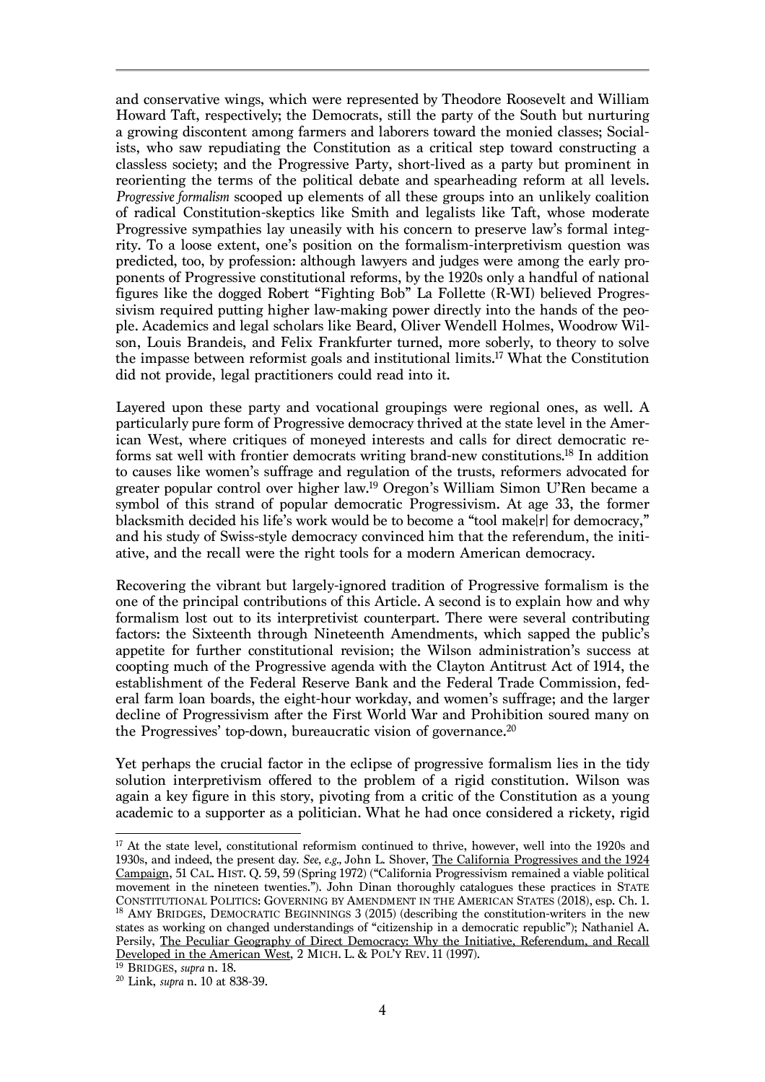and conservative wings, which were represented by Theodore Roosevelt and William Howard Taft, respectively; the Democrats, still the party of the South but nurturing a growing discontent among farmers and laborers toward the monied classes; Socialists, who saw repudiating the Constitution as a critical step toward constructing a classless society; and the Progressive Party, short-lived as a party but prominent in reorienting the terms of the political debate and spearheading reform at all levels. *Progressive formalism* scooped up elements of all these groups into an unlikely coalition of radical Constitution-skeptics like Smith and legalists like Taft, whose moderate Progressive sympathies lay uneasily with his concern to preserve law's formal integrity. To a loose extent, one's position on the formalism-interpretivism question was predicted, too, by profession: although lawyers and judges were among the early proponents of Progressive constitutional reforms, by the 1920s only a handful of national figures like the dogged Robert "Fighting Bob" La Follette (R-WI) believed Progressivism required putting higher law-making power directly into the hands of the people. Academics and legal scholars like Beard, Oliver Wendell Holmes, Woodrow Wilson, Louis Brandeis, and Felix Frankfurter turned, more soberly, to theory to solve the impasse between reformist goals and institutional limits.17 What the Constitution did not provide, legal practitioners could read into it.

Layered upon these party and vocational groupings were regional ones, as well. A particularly pure form of Progressive democracy thrived at the state level in the American West, where critiques of moneyed interests and calls for direct democratic reforms sat well with frontier democrats writing brand-new constitutions.18 In addition to causes like women's suffrage and regulation of the trusts, reformers advocated for greater popular control over higher law.19 Oregon's William Simon U'Ren became a symbol of this strand of popular democratic Progressivism. At age 33, the former blacksmith decided his life's work would be to become a "tool make[r] for democracy," and his study of Swiss-style democracy convinced him that the referendum, the initiative, and the recall were the right tools for a modern American democracy.

Recovering the vibrant but largely-ignored tradition of Progressive formalism is the one of the principal contributions of this Article. A second is to explain how and why formalism lost out to its interpretivist counterpart. There were several contributing factors: the Sixteenth through Nineteenth Amendments, which sapped the public's appetite for further constitutional revision; the Wilson administration's success at coopting much of the Progressive agenda with the Clayton Antitrust Act of 1914, the establishment of the Federal Reserve Bank and the Federal Trade Commission, federal farm loan boards, the eight-hour workday, and women's suffrage; and the larger decline of Progressivism after the First World War and Prohibition soured many on the Progressives' top-down, bureaucratic vision of governance.20

Yet perhaps the crucial factor in the eclipse of progressive formalism lies in the tidy solution interpretivism offered to the problem of a rigid constitution. Wilson was again a key figure in this story, pivoting from a critic of the Constitution as a young academic to a supporter as a politician. What he had once considered a rickety, rigid

<sup>&</sup>lt;sup>17</sup> At the state level, constitutional reformism continued to thrive, however, well into the 1920s and 1930s, and indeed, the present day. *See, e.g.,* John L. Shover, The California Progressives and the 1924 Campaign, 51 CAL. HIST. Q. 59, 59 (Spring 1972) ("California Progressivism remained a viable political movement in the nineteen twenties."). John Dinan thoroughly catalogues these practices in STATE CONSTITUTIONAL POLITICS: GOVERNING BY AMENDMENT IN THE AMERICAN STATES (2018), esp. Ch. 1. <sup>18</sup> AMY BRIDGES, DEMOCRATIC BEGINNINGS 3 (2015) (describing the constitution-writers in the new states as working on changed understandings of "citizenship in a democratic republic"); Nathaniel A. Persily, The Peculiar Geography of Direct Democracy: Why the Initiative, Referendum, and Recall Developed in the American West, 2 MICH. L. & POL'Y REV. 11 (1997).<br><sup>19</sup> BRIDGES, *supra* n. 18.

<sup>19</sup> BRIDGES, *supra* n. 18. <sup>20</sup> Link, *supra* n. 10 at 838-39.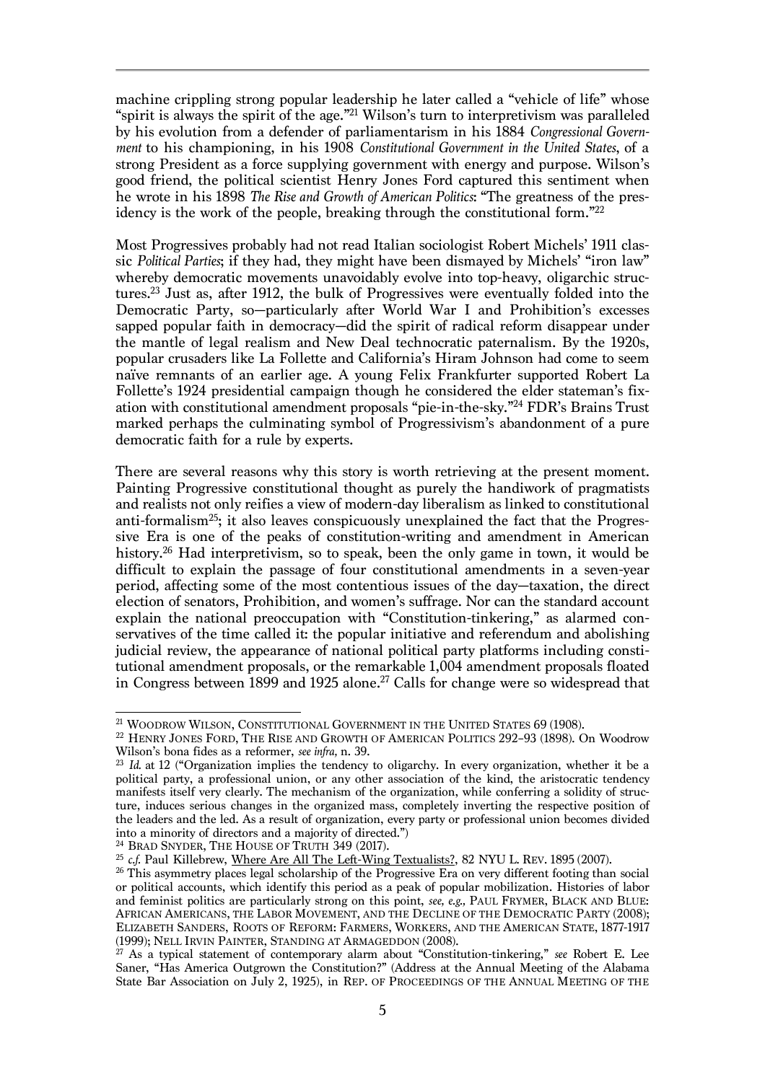machine crippling strong popular leadership he later called a "vehicle of life" whose "spirit is always the spirit of the age."<sup>21</sup> Wilson's turn to interpretivism was paralleled by his evolution from a defender of parliamentarism in his 1884 *Congressional Government* to his championing, in his 1908 *Constitutional Government in the United States*, of a strong President as a force supplying government with energy and purpose. Wilson's good friend, the political scientist Henry Jones Ford captured this sentiment when he wrote in his 1898 *The Rise and Growth of American Politics*: "The greatness of the presidency is the work of the people, breaking through the constitutional form."22

Most Progressives probably had not read Italian sociologist Robert Michels' 1911 classic *Political Parties*; if they had, they might have been dismayed by Michels' "iron law" whereby democratic movements unavoidably evolve into top-heavy, oligarchic structures.23 Just as, after 1912, the bulk of Progressives were eventually folded into the Democratic Party, so—particularly after World War I and Prohibition's excesses sapped popular faith in democracy—did the spirit of radical reform disappear under the mantle of legal realism and New Deal technocratic paternalism. By the 1920s, popular crusaders like La Follette and California's Hiram Johnson had come to seem naïve remnants of an earlier age. A young Felix Frankfurter supported Robert La Follette's 1924 presidential campaign though he considered the elder stateman's fixation with constitutional amendment proposals "pie-in-the-sky."24 FDR's Brains Trust marked perhaps the culminating symbol of Progressivism's abandonment of a pure democratic faith for a rule by experts.

There are several reasons why this story is worth retrieving at the present moment. Painting Progressive constitutional thought as purely the handiwork of pragmatists and realists not only reifies a view of modern-day liberalism as linked to constitutional anti-formalism25; it also leaves conspicuously unexplained the fact that the Progressive Era is one of the peaks of constitution-writing and amendment in American history.<sup>26</sup> Had interpretivism, so to speak, been the only game in town, it would be difficult to explain the passage of four constitutional amendments in a seven-year period, affecting some of the most contentious issues of the day—taxation, the direct election of senators, Prohibition, and women's suffrage. Nor can the standard account explain the national preoccupation with "Constitution-tinkering," as alarmed conservatives of the time called it: the popular initiative and referendum and abolishing judicial review, the appearance of national political party platforms including constitutional amendment proposals, or the remarkable 1,004 amendment proposals floated in Congress between 1899 and 1925 alone.<sup>27</sup> Calls for change were so widespread that

<sup>24</sup> BRAD SNYDER, THE HOUSE OF TRUTH 349 (2017).<br><sup>25</sup> *c.f.* Paul Killebrew, Where Are All The Left-Wing Textualists?, 82 NYU L. REV. 1895 (2007).

<sup>&</sup>lt;sup>21</sup> WOODROW WILSON, CONSTITUTIONAL GOVERNMENT IN THE UNITED STATES 69 (1908).

<sup>&</sup>lt;sup>22</sup> HENRY JONES FORD, THE RISE AND GROWTH OF AMERICAN POLITICS 292-93 (1898). On Woodrow Wilson's bona fides as a reformer, *see infra*, n. 39.

<sup>&</sup>lt;sup>23</sup> *Id.* at 12 ("Organization implies the tendency to oligarchy. In every organization, whether it be a political party, a professional union, or any other association of the kind, the aristocratic tendency manifests itself very clearly. The mechanism of the organization, while conferring a solidity of structure, induces serious changes in the organized mass, completely inverting the respective position of the leaders and the led. As a result of organization, every party or professional union becomes divided into a minority of directors and a majority of directed.")

<sup>&</sup>lt;sup>26</sup> This asymmetry places legal scholarship of the Progressive Era on very different footing than social or political accounts, which identify this period as a peak of popular mobilization. Histories of labor and feminist politics are particularly strong on this point, *see, e.g.,* PAUL FRYMER, BLACK AND BLUE: AFRICAN AMERICANS, THE LABOR MOVEMENT, AND THE DECLINE OF THE DEMOCRATIC PARTY (2008); ELIZABETH SANDERS, ROOTS OF REFORM: FARMERS, WORKERS, AND THE AMERICAN STATE, 1877-1917 (1999); NELL IRVIN PAINTER, STANDING AT ARMAGEDDON (2008).

 $\hat{a}^7$  As a typical statement of contemporary alarm about "Constitution-tinkering," *see* Robert E. Lee Saner, "Has America Outgrown the Constitution?" (Address at the Annual Meeting of the Alabama State Bar Association on July 2, 1925), in REP. OF PROCEEDINGS OF THE ANNUAL MEETING OF THE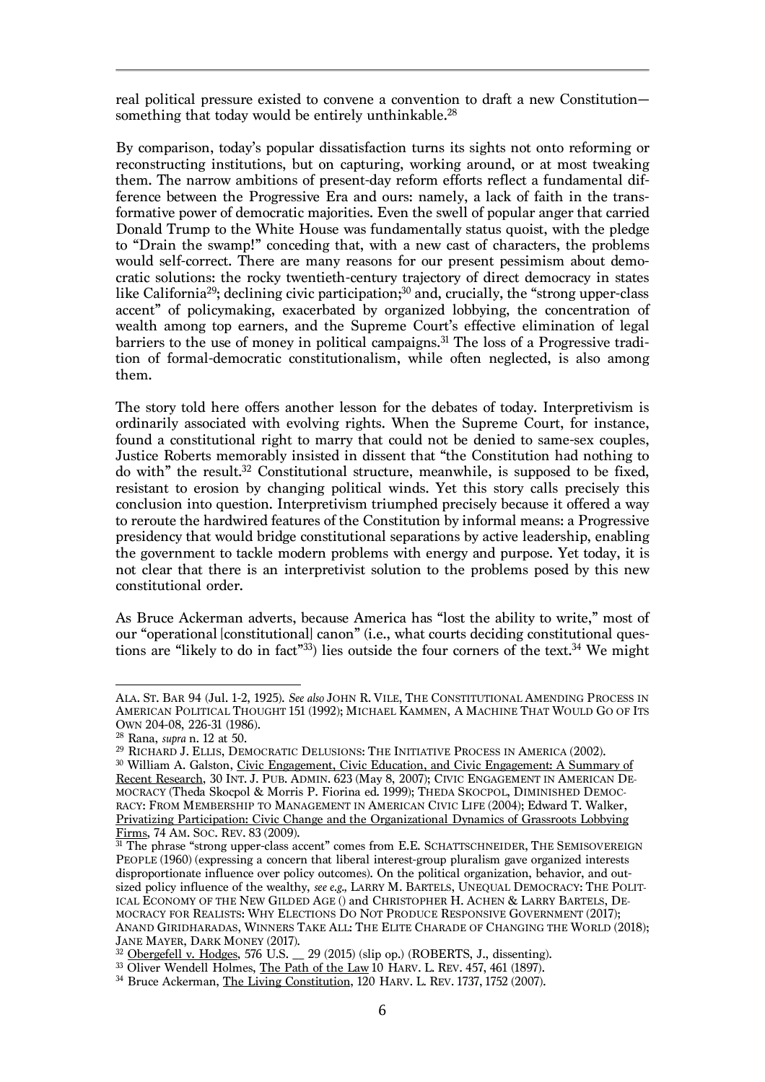real political pressure existed to convene a convention to draft a new Constitution something that today would be entirely unthinkable. 28

By comparison, today's popular dissatisfaction turns its sights not onto reforming or reconstructing institutions, but on capturing, working around, or at most tweaking them. The narrow ambitions of present-day reform efforts reflect a fundamental difference between the Progressive Era and ours: namely, a lack of faith in the transformative power of democratic majorities. Even the swell of popular anger that carried Donald Trump to the White House was fundamentally status quoist, with the pledge to "Drain the swamp!" conceding that, with a new cast of characters, the problems would self-correct. There are many reasons for our present pessimism about democratic solutions: the rocky twentieth-century trajectory of direct democracy in states like California<sup>29</sup>; declining civic participation;<sup>30</sup> and, crucially, the "strong upper-class" accent" of policymaking, exacerbated by organized lobbying, the concentration of wealth among top earners, and the Supreme Court's effective elimination of legal barriers to the use of money in political campaigns. <sup>31</sup> The loss of a Progressive tradition of formal-democratic constitutionalism, while often neglected, is also among them.

The story told here offers another lesson for the debates of today. Interpretivism is ordinarily associated with evolving rights. When the Supreme Court, for instance, found a constitutional right to marry that could not be denied to same-sex couples, Justice Roberts memorably insisted in dissent that "the Constitution had nothing to do with" the result.32 Constitutional structure, meanwhile, is supposed to be fixed, resistant to erosion by changing political winds. Yet this story calls precisely this conclusion into question. Interpretivism triumphed precisely because it offered a way to reroute the hardwired features of the Constitution by informal means: a Progressive presidency that would bridge constitutional separations by active leadership, enabling the government to tackle modern problems with energy and purpose. Yet today, it is not clear that there is an interpretivist solution to the problems posed by this new constitutional order.

As Bruce Ackerman adverts, because America has "lost the ability to write," most of our "operational [constitutional] canon" (i.e., what courts deciding constitutional questions are "likely to do in fact"<sup>33</sup>) lies outside the four corners of the text.<sup>34</sup> We might

 $\overline{a}$ ALA. ST. BAR 94 (Jul. 1-2, 1925). *See also* JOHN R. VILE, THE CONSTITUTIONAL AMENDING PROCESS IN AMERICAN POLITICAL THOUGHT 151 (1992); MICHAEL KAMMEN, A MACHINE THAT WOULD GO OF ITS OWN 204-08, 226-31 (1986).

<sup>&</sup>lt;sup>28</sup> Rana, *supra* n. 12 at 50.<br><sup>29</sup> RICHARD J. ELLIS, DEMOCRATIC DELUSIONS: THE INITIATIVE PROCESS IN AMERICA (2002).<br><sup>30</sup> William A. Galston, <u>Civic Engagement, Civic Education, and Civic Engagement: A Summary of</u> Recent Research, 30 INT. J. PUB. ADMIN. 623 (May 8, 2007); CIVIC ENGAGEMENT IN AMERICAN DE-MOCRACY (Theda Skocpol & Morris P. Fiorina ed. 1999); THEDA SKOCPOL, DIMINISHED DEMOC-RACY: FROM MEMBERSHIP TO MANAGEMENT IN AMERICAN CIVIC LIFE (2004); Edward T. Walker, Privatizing Participation: Civic Change and the Organizational Dynamics of Grassroots Lobbying <u>Firms</u>, 74 Am. Soc. Rev. 83 (2009).

<sup>&</sup>lt;sup>31</sup> The phrase "strong upper-class accent" comes from E.E. SCHATTSCHNEIDER, THE SEMISOVEREIGN PEOPLE (1960) (expressing a concern that liberal interest-group pluralism gave organized interests disproportionate influence over policy outcomes). On the political organization, behavior, and outsized policy influence of the wealthy, *see e.g.,* LARRY M. BARTELS, UNEQUAL DEMOCRACY: THE POLIT-ICAL ECONOMY OF THE NEW GILDED AGE () and CHRISTOPHER H. ACHEN & LARRY BARTELS, DE-MOCRACY FOR REALISTS: WHY ELECTIONS DO NOT PRODUCE RESPONSIVE GOVERNMENT (2017); ANAND GIRIDHARADAS, WINNERS TAKE ALL: THE ELITE CHARADE OF CHANGING THE WORLD (2018);<br>JANE MAYER, DARK MONEY (2017).

 $^{32}$  Obergefell v. Hodges, 576 U.S.  $\_$  29 (2015) (slip op.) (ROBERTS, J., dissenting).<br> $^{33}$  Oliver Wendell Holmes, <u>The Path of the Law</u> 10 HARV. L. REV. 457, 461 (1897).<br> $^{34}$  Bruce Ackerman, <u>The Living Constituti</u>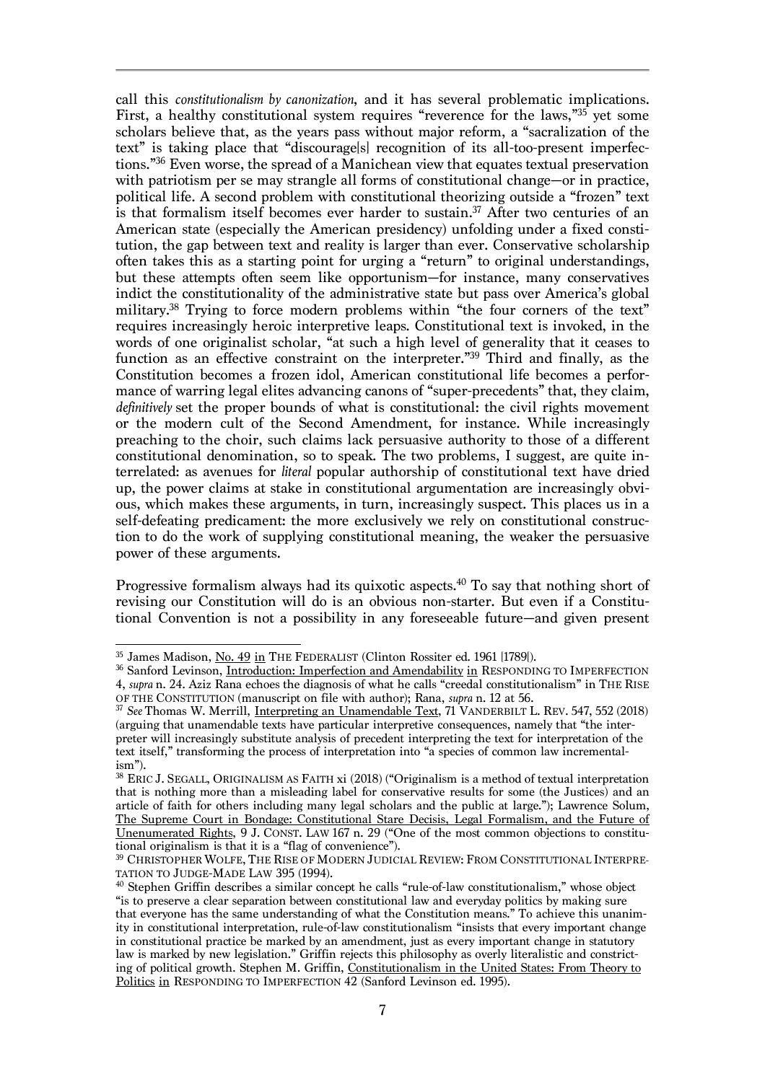call this *constitutionalism by canonization*, and it has several problematic implications. First, a healthy constitutional system requires "reverence for the laws,"35 yet some scholars believe that, as the years pass without major reform, a "sacralization of the text" is taking place that "discourage[s] recognition of its all-too-present imperfections."36 Even worse, the spread of a Manichean view that equates textual preservation with patriotism per se may strangle all forms of constitutional change—or in practice, political life. A second problem with constitutional theorizing outside a "frozen" text is that formalism itself becomes ever harder to sustain.<sup>37</sup> After two centuries of an American state (especially the American presidency) unfolding under a fixed constitution, the gap between text and reality is larger than ever. Conservative scholarship often takes this as a starting point for urging a "return" to original understandings, but these attempts often seem like opportunism—for instance, many conservatives indict the constitutionality of the administrative state but pass over America's global military.<sup>38</sup> Trying to force modern problems within "the four corners of the text" requires increasingly heroic interpretive leaps. Constitutional text is invoked, in the words of one originalist scholar, "at such a high level of generality that it ceases to function as an effective constraint on the interpreter."39 Third and finally, as the Constitution becomes a frozen idol, American constitutional life becomes a performance of warring legal elites advancing canons of "super-precedents" that, they claim, *definitively* set the proper bounds of what is constitutional: the civil rights movement or the modern cult of the Second Amendment, for instance. While increasingly preaching to the choir, such claims lack persuasive authority to those of a different constitutional denomination, so to speak. The two problems, I suggest, are quite interrelated: as avenues for *literal* popular authorship of constitutional text have dried up, the power claims at stake in constitutional argumentation are increasingly obvious, which makes these arguments, in turn, increasingly suspect. This places us in a self-defeating predicament: the more exclusively we rely on constitutional construction to do the work of supplying constitutional meaning, the weaker the persuasive power of these arguments.

Progressive formalism always had its quixotic aspects.<sup>40</sup> To say that nothing short of revising our Constitution will do is an obvious non-starter. But even if a Constitutional Convention is not a possibility in any foreseeable future—and given present

<sup>&</sup>lt;sup>35</sup> James Madison, No. 49 in THE FEDERALIST (Clinton Rossiter ed. 1961 [1789]).

<sup>&</sup>lt;sup>36</sup> Sanford Levinson, Introduction: Imperfection and Amendability in RESPONDING TO IMPERFECTION 4, *supra* n. 24. Aziz Rana echoes the diagnosis of what he calls "creedal constitutionalism" in THE RISE OF THE CONSTITUTION (manuscript on file with author); Rana, *supra* n. 12 at 56.

<sup>&</sup>lt;sup>37</sup> See Thomas W. Merrill, Interpreting an Unamendable Text, 71 VANDERBILT L. REV. 547, 552 (2018) (arguing that unamendable texts have particular interpretive consequences, namely that "the interpreter will increasingly substitute analysis of precedent interpreting the text for interpretation of the text itself," transforming the process of interpretation into "a species of common law incrementalism").

<sup>38</sup> ERIC J. SEGALL, ORIGINALISM AS FAITH xi (2018) ("Originalism is a method of textual interpretation that is nothing more than a misleading label for conservative results for some (the Justices) and an article of faith for others including many legal scholars and the public at large."); Lawrence Solum, The Supreme Court in Bondage: Constitutional Stare Decisis, Legal Formalism, and the Future of Unenumerated Rights, 9 J. CONST. LAW 167 n. 29 ("One of the most common objections to constitutional originalism is that it is a "flag of convenience").

<sup>&</sup>lt;sup>39</sup> CHRISTOPHER WOLFE, THE RISE OF MODERN JUDICIAL REVIEW: FROM CONSTITUTIONAL INTERPRE-<br>TATION TO JUDGE-MADE LAW 395 (1994).

 $40$  Stephen Griffin describes a similar concept he calls "rule-of-law constitutionalism," whose object "is to preserve a clear separation between constitutional law and everyday politics by making sure that everyone has the same understanding of what the Constitution means." To achieve this unanimity in constitutional interpretation, rule-of-law constitutionalism "insists that every important change in constitutional practice be marked by an amendment, just as every important change in statutory law is marked by new legislation." Griffin rejects this philosophy as overly literalistic and constricting of political growth. Stephen M. Griffin, Constitutionalism in the United States: From Theory to Politics in RESPONDING TO IMPERFECTION 42 (Sanford Levinson ed. 1995).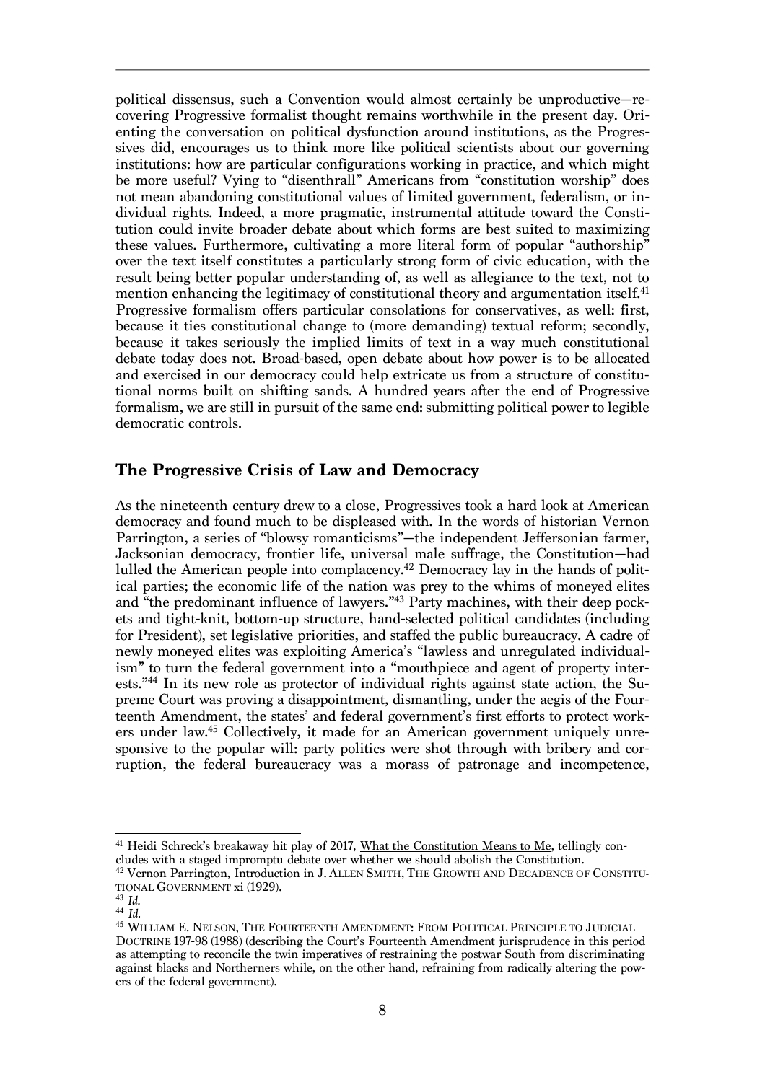political dissensus, such a Convention would almost certainly be unproductive—recovering Progressive formalist thought remains worthwhile in the present day. Orienting the conversation on political dysfunction around institutions, as the Progressives did, encourages us to think more like political scientists about our governing institutions: how are particular configurations working in practice, and which might be more useful? Vying to "disenthrall" Americans from "constitution worship" does not mean abandoning constitutional values of limited government, federalism, or individual rights. Indeed, a more pragmatic, instrumental attitude toward the Constitution could invite broader debate about which forms are best suited to maximizing these values. Furthermore, cultivating a more literal form of popular "authorship" over the text itself constitutes a particularly strong form of civic education, with the result being better popular understanding of, as well as allegiance to the text, not to mention enhancing the legitimacy of constitutional theory and argumentation itself. 41 Progressive formalism offers particular consolations for conservatives, as well: first, because it ties constitutional change to (more demanding) textual reform; secondly, because it takes seriously the implied limits of text in a way much constitutional debate today does not. Broad-based, open debate about how power is to be allocated and exercised in our democracy could help extricate us from a structure of constitutional norms built on shifting sands. A hundred years after the end of Progressive formalism, we are still in pursuit of the same end: submitting political power to legible democratic controls.

# **The Progressive Crisis of Law and Democracy**

As the nineteenth century drew to a close, Progressives took a hard look at American democracy and found much to be displeased with. In the words of historian Vernon Parrington, a series of "blowsy romanticisms"—the independent Jeffersonian farmer, Jacksonian democracy, frontier life, universal male suffrage, the Constitution—had lulled the American people into complacency.42 Democracy lay in the hands of political parties; the economic life of the nation was prey to the whims of moneyed elites and "the predominant influence of lawyers."43 Party machines, with their deep pockets and tight-knit, bottom-up structure, hand-selected political candidates (including for President), set legislative priorities, and staffed the public bureaucracy. A cadre of newly moneyed elites was exploiting America's "lawless and unregulated individualism" to turn the federal government into a "mouthpiece and agent of property interests."44 In its new role as protector of individual rights against state action, the Supreme Court was proving a disappointment, dismantling, under the aegis of the Fourteenth Amendment, the states' and federal government's first efforts to protect workers under law.45 Collectively, it made for an American government uniquely unresponsive to the popular will: party politics were shot through with bribery and corruption, the federal bureaucracy was a morass of patronage and incompetence,

 $\overline{a}$ <sup>41</sup> Heidi Schreck's breakaway hit play of 2017, <u>What the Constitution Means to Me</u>, tellingly concludes with a staged impromptu debate over whether we should abolish the Constitution.

<sup>&</sup>lt;sup>42</sup> Vernon Parrington, Introduction in J. ALLEN SMITH, THE GROWTH AND DECADENCE OF CONSTITU-TIONAL GOVERNMENT xi (1929). <sup>43</sup> *Id.* <sup>44</sup> *Id.*

<sup>45</sup> WILLIAM E. NELSON, THE FOURTEENTH AMENDMENT: FROM POLITICAL PRINCIPLE TO JUDICIAL DOCTRINE 197-98 (1988) (describing the Court's Fourteenth Amendment jurisprudence in this period as attempting to reconcile the twin imperatives of restraining the postwar South from discriminating against blacks and Northerners while, on the other hand, refraining from radically altering the powers of the federal government).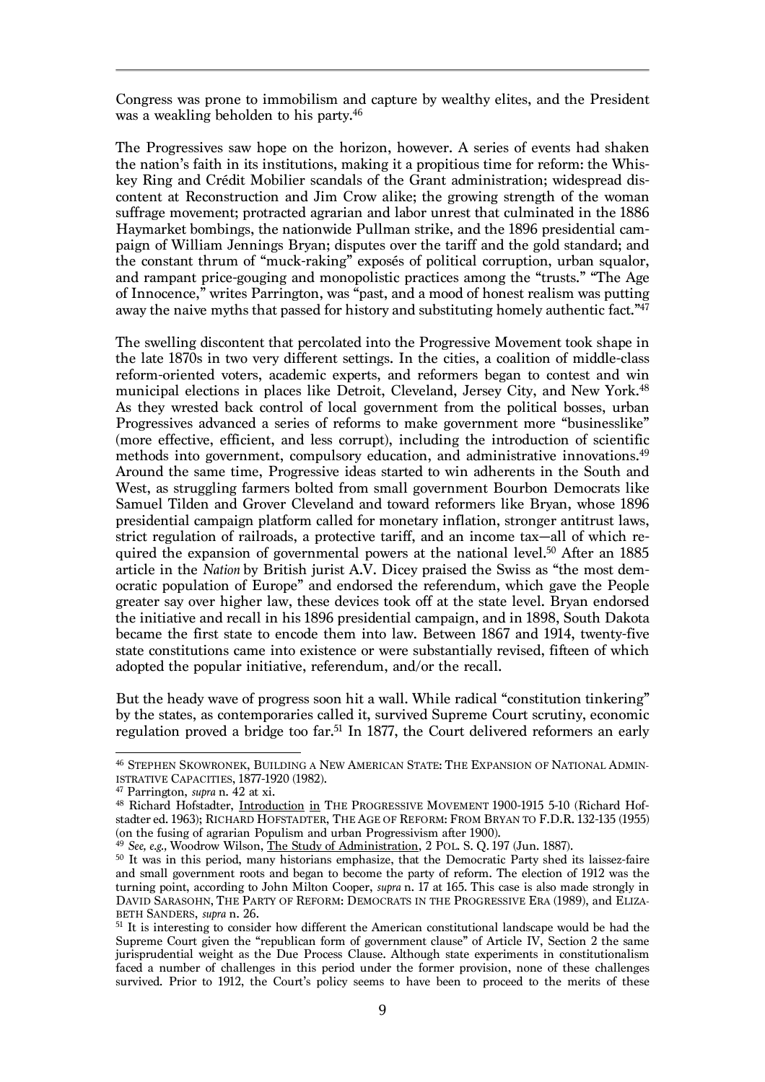Congress was prone to immobilism and capture by wealthy elites, and the President was a weakling beholden to his party.<sup>46</sup>

The Progressives saw hope on the horizon, however. A series of events had shaken the nation's faith in its institutions, making it a propitious time for reform: the Whiskey Ring and Crédit Mobilier scandals of the Grant administration; widespread discontent at Reconstruction and Jim Crow alike; the growing strength of the woman suffrage movement; protracted agrarian and labor unrest that culminated in the 1886 Haymarket bombings, the nationwide Pullman strike, and the 1896 presidential campaign of William Jennings Bryan; disputes over the tariff and the gold standard; and the constant thrum of "muck-raking" exposés of political corruption, urban squalor, and rampant price-gouging and monopolistic practices among the "trusts." "The Age of Innocence," writes Parrington, was "past, and a mood of honest realism was putting away the naive myths that passed for history and substituting homely authentic fact."<sup>47</sup>

The swelling discontent that percolated into the Progressive Movement took shape in the late 1870s in two very different settings. In the cities, a coalition of middle-class reform-oriented voters, academic experts, and reformers began to contest and win municipal elections in places like Detroit, Cleveland, Jersey City, and New York.48 As they wrested back control of local government from the political bosses, urban Progressives advanced a series of reforms to make government more "businesslike" (more effective, efficient, and less corrupt), including the introduction of scientific methods into government, compulsory education, and administrative innovations.<sup>49</sup> Around the same time, Progressive ideas started to win adherents in the South and West, as struggling farmers bolted from small government Bourbon Democrats like Samuel Tilden and Grover Cleveland and toward reformers like Bryan, whose 1896 presidential campaign platform called for monetary inflation, stronger antitrust laws, strict regulation of railroads, a protective tariff, and an income tax—all of which required the expansion of governmental powers at the national level.<sup>50</sup> After an 1885 article in the *Nation* by British jurist A.V. Dicey praised the Swiss as "the most democratic population of Europe" and endorsed the referendum, which gave the People greater say over higher law, these devices took off at the state level. Bryan endorsed the initiative and recall in his 1896 presidential campaign, and in 1898, South Dakota became the first state to encode them into law. Between 1867 and 1914, twenty-five state constitutions came into existence or were substantially revised, fifteen of which adopted the popular initiative, referendum, and/or the recall.

But the heady wave of progress soon hit a wall. While radical "constitution tinkering" by the states, as contemporaries called it, survived Supreme Court scrutiny, economic regulation proved a bridge too far.51 In 1877, the Court delivered reformers an early

 $\overline{a}$ <sup>46</sup> STEPHEN SKOWRONEK, BUILDING A NEW AMERICAN STATE: THE EXPANSION OF NATIONAL ADMIN-ISTRATIVE CAPACITIES, 1877-1920 (1982).<br><sup>47</sup> Parrington, *supra* n. 42 at xi.<br><sup>48</sup> Richard Hofstadter, <u>Introduction in</u> THE PROGRESSIVE MOVEMENT 1900-1915 5-10 (Richard Hof-

stadter ed. 1963); RICHARD HOFSTADTER, THE AGE OF REFORM: FROM BRYAN TO F.D.R. 132-135 (1955) (on the fusing of agrarian Populism and urban Progressivism after 1900).

<sup>49</sup> *See, e.g.,* Woodrow Wilson, The Study of Administration, 2 POL. S. Q. 197 (Jun. 1887).

<sup>50</sup> It was in this period, many historians emphasize, that the Democratic Party shed its laissez-faire and small government roots and began to become the party of reform. The election of 1912 was the turning point, according to John Milton Cooper, *supra* n. 17 at 165. This case is also made strongly in DAVID SARASOHN, THE PARTY OF REFORM: DEMOCRATS IN THE PROGRESSIVE ERA (1989), and ELIZABETH SANDERS, *supra* n. 26.

<sup>&</sup>lt;sup>51</sup> It is interesting to consider how different the American constitutional landscape would be had the Supreme Court given the "republican form of government clause" of Article IV, Section 2 the same jurisprudential weight as the Due Process Clause. Although state experiments in constitutionalism faced a number of challenges in this period under the former provision, none of these challenges survived. Prior to 1912, the Court's policy seems to have been to proceed to the merits of these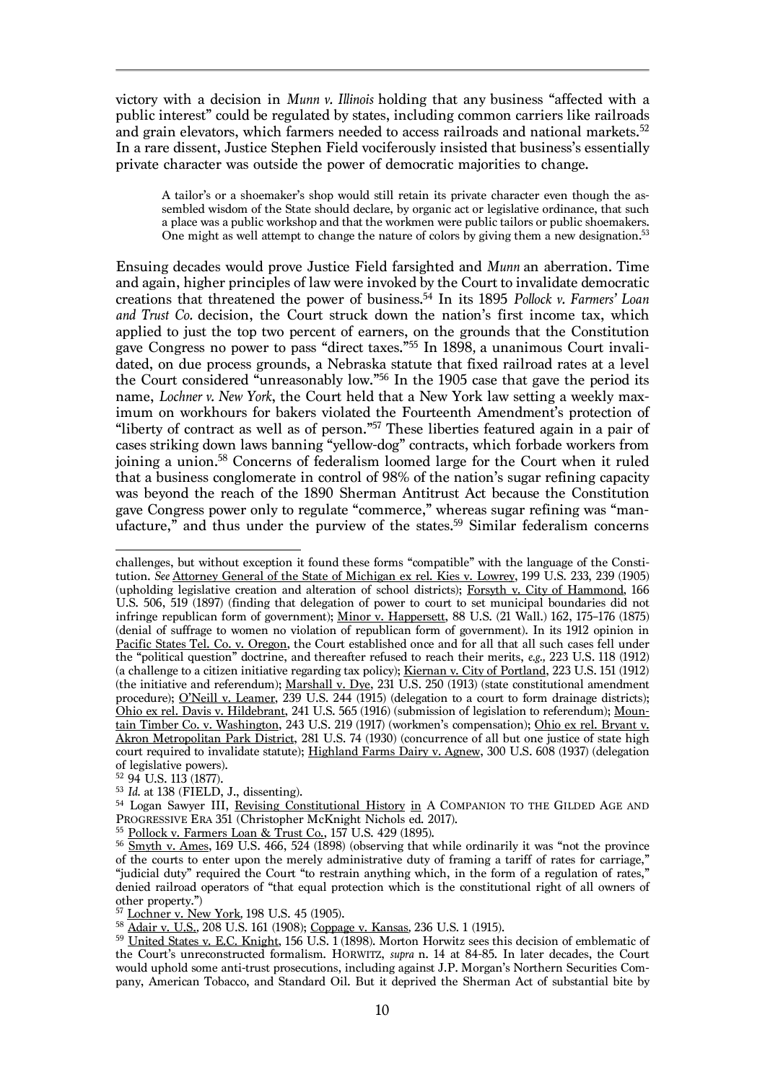victory with a decision in *Munn v. Illinois* holding that any business "affected with a public interest" could be regulated by states, including common carriers like railroads and grain elevators, which farmers needed to access railroads and national markets.<sup>52</sup> In a rare dissent, Justice Stephen Field vociferously insisted that business's essentially private character was outside the power of democratic majorities to change.

A tailor's or a shoemaker's shop would still retain its private character even though the assembled wisdom of the State should declare, by organic act or legislative ordinance, that such a place was a public workshop and that the workmen were public tailors or public shoemakers. One might as well attempt to change the nature of colors by giving them a new designation.<sup>53</sup>

Ensuing decades would prove Justice Field farsighted and *Munn* an aberration. Time and again, higher principles of law were invoked by the Court to invalidate democratic creations that threatened the power of business.54 In its 1895 *Pollock v. Farmers' Loan and Trust Co.* decision, the Court struck down the nation's first income tax, which applied to just the top two percent of earners, on the grounds that the Constitution gave Congress no power to pass "direct taxes."55 In 1898*,* a unanimous Court invalidated, on due process grounds, a Nebraska statute that fixed railroad rates at a level the Court considered "unreasonably low."56 In the 1905 case that gave the period its name, *Lochner v. New York*, the Court held that a New York law setting a weekly maximum on workhours for bakers violated the Fourteenth Amendment's protection of "liberty of contract as well as of person."57 These liberties featured again in a pair of cases striking down laws banning "yellow-dog" contracts, which forbade workers from joining a union. <sup>58</sup> Concerns of federalism loomed large for the Court when it ruled that a business conglomerate in control of 98% of the nation's sugar refining capacity was beyond the reach of the 1890 Sherman Antitrust Act because the Constitution gave Congress power only to regulate "commerce," whereas sugar refining was "manufacture," and thus under the purview of the states.<sup>59</sup> Similar federalism concerns

 $\overline{a}$ challenges, but without exception it found these forms "compatible" with the language of the Constitution. *See* Attorney General of the State of Michigan ex rel. Kies v. Lowrey, 199 U.S. 233, 239 (1905) (upholding legislative creation and alteration of school districts); Forsyth v. City of Hammond, 166 U.S. 506, 519 (1897) (finding that delegation of power to court to set municipal boundaries did not infringe republican form of government); Minor v. Happersett, 88 U.S. (21 Wall.) 162, 175–176 (1875) (denial of suffrage to women no violation of republican form of government). In its 1912 opinion in Pacific States Tel. Co. v. Oregon, the Court established once and for all that all such cases fell under the "political question" doctrine, and thereafter refused to reach their merits, *e.g.,* 223 U.S. 118 (1912) (a challenge to a citizen initiative regarding tax policy); Kiernan v. City of Portland, 223 U.S. 151 (1912) (the initiative and referendum); Marshall v. Dye, 231 U.S. 250 (1913) (state constitutional amendment procedure); O'Neill v. Leamer, 239 U.S. 244 (1915) (delegation to a court to form drainage districts); Ohio ex rel. Davis v. Hildebrant, 241 U.S. 565 (1916) (submission of legislation to referendum); Mountain Timber Co. v. Washington, 243 U.S. 219 (1917) (workmen's compensation); Ohio ex rel. Bryant v. Akron Metropolitan Park District, 281 U.S. 74 (1930) (concurrence of all but one justice of state high court required to invalidate statute); Highland Farms Dairy v. Agnew, 300 U.S. 608 (1937) (delegation of legislative powers).

<sup>52</sup> 94 U.S. 113 (1877).

<sup>53</sup> *Id.* at 138 (FIELD, J., dissenting).

<sup>&</sup>lt;sup>54</sup> Logan Sawyer III, Revising Constitutional History in A COMPANION TO THE GILDED AGE AND PROGRESSIVE ERA 351 (Christopher McKnight Nichols ed. 2017).

<sup>55</sup> Pollock v. Farmers Loan & Trust Co., 157 U.S. 429 (1895).

<sup>&</sup>lt;sup>56</sup> Smyth v. Ames, 169 U.S. 466, 524 (1898) (observing that while ordinarily it was "not the province of the courts to enter upon the merely administrative duty of framing a tariff of rates for carriage," "judicial duty" required the Court "to restrain anything which, in the form of a regulation of rates," denied railroad operators of "that equal protection which is the constitutional right of all owners of other property.")

<sup>57</sup> Lochner v. New York*,* 198 U.S. 45 (1905).

<sup>58</sup> Adair v. U.S.*,* 208 U.S. 161 (1908); Coppage v. Kansas*,* 236 U.S. 1 (1915).

<sup>&</sup>lt;sup>59</sup> United States v. E.C. Knight, 156 U.S. 1 (1898). Morton Horwitz sees this decision of emblematic of the Court's unreconstructed formalism. HORWITZ, *supra* n. 14 at 84-85. In later decades, the Court would uphold some anti-trust prosecutions, including against J.P. Morgan's Northern Securities Company, American Tobacco, and Standard Oil. But it deprived the Sherman Act of substantial bite by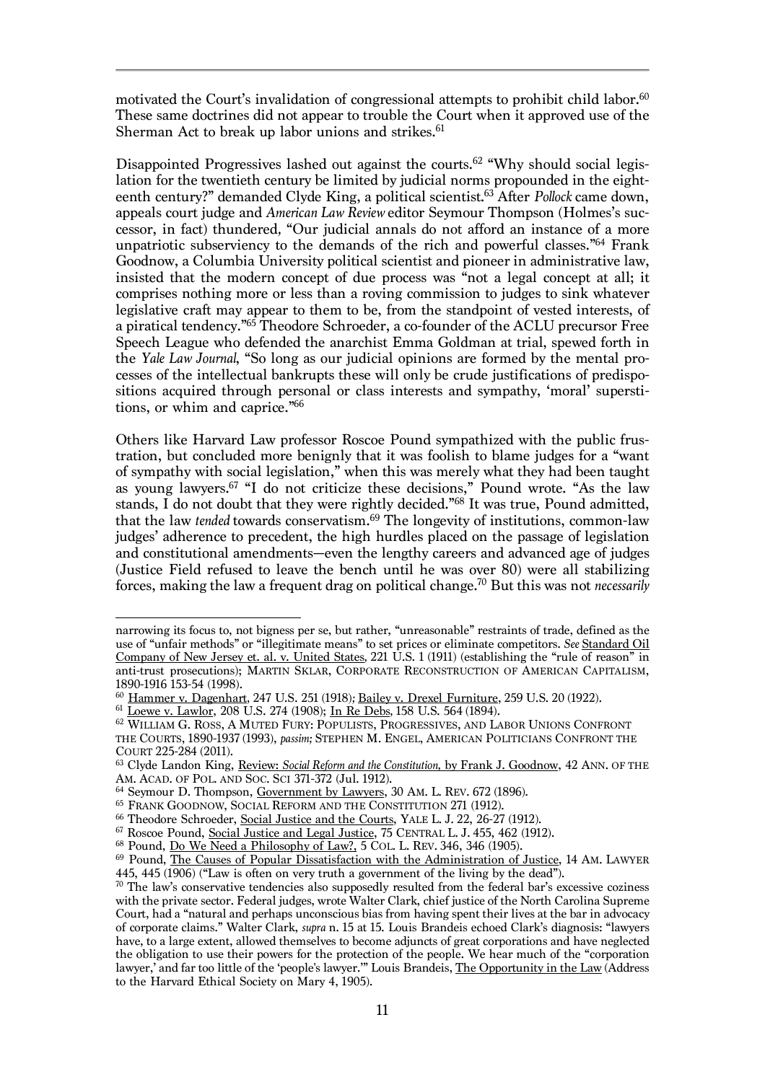motivated the Court's invalidation of congressional attempts to prohibit child labor.<sup>60</sup> These same doctrines did not appear to trouble the Court when it approved use of the Sherman Act to break up labor unions and strikes.<sup>61</sup>

Disappointed Progressives lashed out against the courts.<sup>62</sup> "Why should social legislation for the twentieth century be limited by judicial norms propounded in the eighteenth century?" demanded Clyde King, a political scientist.63 After *Pollock* came down, appeals court judge and *American Law Review* editor Seymour Thompson (Holmes's successor, in fact) thundered*,* "Our judicial annals do not afford an instance of a more unpatriotic subserviency to the demands of the rich and powerful classes."64 Frank Goodnow, a Columbia University political scientist and pioneer in administrative law, insisted that the modern concept of due process was "not a legal concept at all; it comprises nothing more or less than a roving commission to judges to sink whatever legislative craft may appear to them to be, from the standpoint of vested interests, of a piratical tendency."65 Theodore Schroeder, a co-founder of the ACLU precursor Free Speech League who defended the anarchist Emma Goldman at trial, spewed forth in the *Yale Law Journal*, "So long as our judicial opinions are formed by the mental processes of the intellectual bankrupts these will only be crude justifications of predispositions acquired through personal or class interests and sympathy, 'moral' superstitions, or whim and caprice."66

Others like Harvard Law professor Roscoe Pound sympathized with the public frustration, but concluded more benignly that it was foolish to blame judges for a "want of sympathy with social legislation," when this was merely what they had been taught as young lawyers.67 "I do not criticize these decisions," Pound wrote. "As the law stands, I do not doubt that they were rightly decided."68 It was true, Pound admitted, that the law *tended* towards conservatism.<sup>69</sup> The longevity of institutions, common-law judges' adherence to precedent, the high hurdles placed on the passage of legislation and constitutional amendments—even the lengthy careers and advanced age of judges (Justice Field refused to leave the bench until he was over 80) were all stabilizing forces, making the law a frequent drag on political change. <sup>70</sup> But this was not *necessarily* 

 $\overline{a}$ narrowing its focus to, not bigness per se, but rather, "unreasonable" restraints of trade, defined as the use of "unfair methods" or "illegitimate means" to set prices or eliminate competitors. *See* Standard Oil Company of New Jersey et. al. v. United States*,* 221 U.S. 1 (1911) (establishing the "rule of reason" in anti-trust prosecutions); MARTIN SKLAR, CORPORATE RECONSTRUCTION OF AMERICAN CAPITALISM, 1890-1916 153-54 (1998).

<sup>&</sup>lt;sup>60</sup> Hammer v. Dagenhart, 247 U.S. 251 (1918); <u>Bailey v. Drexel Furniture</u>, 259 U.S. 20 (1922).<br><sup>61</sup> <u>Loewe v. Lawlor</u>, 208 U.S. 274 (1908); <u>In Re Debs</u>, 158 U.S. 564 (1894).

<sup>62</sup> WILLIAM G. ROSS, A MUTED FURY: POPULISTS, PROGRESSIVES, AND LABOR UNIONS CONFRONT THE COURTS, 1890-1937 (1993), *passim;* STEPHEN M. ENGEL, AMERICAN POLITICIANS CONFRONT THE

<sup>&</sup>lt;sup>63</sup> Clyde Landon King, <u>Review: *Social Reform and the Constitution*, by Frank J. Goodnow</u>, 42 ANN. OF THE AM. ACAD. OF POL. AND SOC. SCI 371-372 (Jul. 1912).

 $^{64}$  Seymour D. Thompson, Government by Lawyers, 30 AM. L. REV. 672 (1896).  $^{65}$  FRANK GOODNOW, SOCIAL REFORM AND THE CONSTITUTION 271 (1912).

<sup>&</sup>lt;sup>66</sup> Theodore Schroeder, <u>Social Justice and the Courts</u>, YALE L. J. 22, 26-27 (1912).<br><sup>67</sup> Roscoe Pound, <u>Social Justice and Legal Justice</u>, 75 CENTRAL L. J. 455, 462 (1912).<br><sup>68</sup> Pound, <u>Do We Need a Philosophy of Law?</u> 445, 445 (1906) ("Law is often on very truth a government of the living by the dead").

 $\frac{70}{10}$  The law's conservative tendencies also supposedly resulted from the federal bar's excessive coziness with the private sector. Federal judges, wrote Walter Clark, chief justice of the North Carolina Supreme Court, had a "natural and perhaps unconscious bias from having spent their lives at the bar in advocacy of corporate claims." Walter Clark, *supra* n. 15 at 15. Louis Brandeis echoed Clark's diagnosis: "lawyers have, to a large extent, allowed themselves to become adjuncts of great corporations and have neglected the obligation to use their powers for the protection of the people. We hear much of the "corporation lawyer,' and far too little of the 'people's lawyer.'" Louis Brandeis, The Opportunity in the Law (Address to the Harvard Ethical Society on Mary 4, 1905).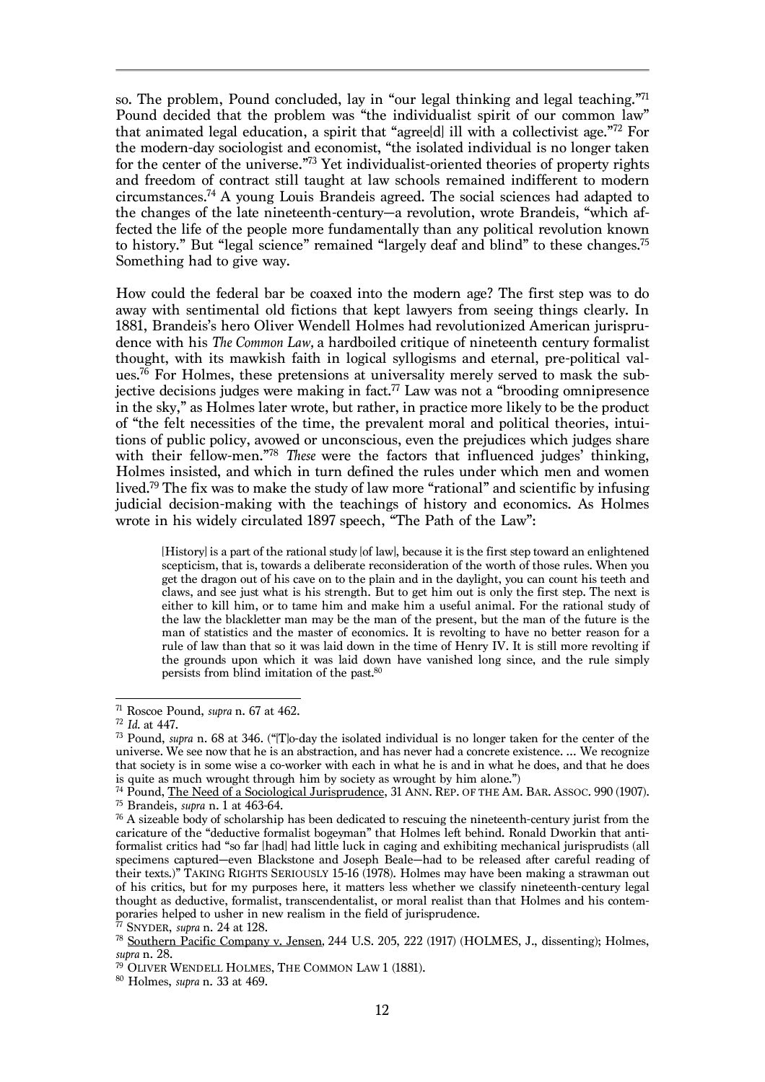so. The problem, Pound concluded, lay in "our legal thinking and legal teaching."71 Pound decided that the problem was "the individualist spirit of our common law" that animated legal education, a spirit that "agree[d] ill with a collectivist age."72 For the modern-day sociologist and economist, "the isolated individual is no longer taken for the center of the universe."<sup>73</sup> Yet individualist-oriented theories of property rights and freedom of contract still taught at law schools remained indifferent to modern circumstances. <sup>74</sup> A young Louis Brandeis agreed. The social sciences had adapted to the changes of the late nineteenth-century—a revolution, wrote Brandeis, "which affected the life of the people more fundamentally than any political revolution known to history." But "legal science" remained "largely deaf and blind" to these changes.75 Something had to give way.

How could the federal bar be coaxed into the modern age? The first step was to do away with sentimental old fictions that kept lawyers from seeing things clearly. In 1881, Brandeis's hero Oliver Wendell Holmes had revolutionized American jurisprudence with his *The Common Law,* a hardboiled critique of nineteenth century formalist thought, with its mawkish faith in logical syllogisms and eternal, pre-political values.76 For Holmes, these pretensions at universality merely served to mask the subjective decisions judges were making in fact.<sup>77</sup> Law was not a "brooding omnipresence in the sky," as Holmes later wrote, but rather, in practice more likely to be the product of "the felt necessities of the time, the prevalent moral and political theories, intuitions of public policy, avowed or unconscious, even the prejudices which judges share with their fellow-men.<sup>"78</sup> *These* were the factors that influenced judges' thinking, Holmes insisted, and which in turn defined the rules under which men and women lived.79 The fix was to make the study of law more "rational" and scientific by infusing judicial decision-making with the teachings of history and economics. As Holmes wrote in his widely circulated 1897 speech, "The Path of the Law":

[History] is a part of the rational study [of law], because it is the first step toward an enlightened scepticism, that is, towards a deliberate reconsideration of the worth of those rules. When you get the dragon out of his cave on to the plain and in the daylight, you can count his teeth and claws, and see just what is his strength. But to get him out is only the first step. The next is either to kill him, or to tame him and make him a useful animal. For the rational study of the law the blackletter man may be the man of the present, but the man of the future is the man of statistics and the master of economics. It is revolting to have no better reason for a rule of law than that so it was laid down in the time of Henry IV. It is still more revolting if the grounds upon which it was laid down have vanished long since, and the rule simply persists from blind imitation of the past.80

<sup>&</sup>lt;sup>71</sup> Roscoe Pound, *supra* n. 67 at 462.

<sup>71</sup> Roscoe Pound, *supra* n. 67 at 462. <sup>72</sup> *Id.* at 447. <sup>73</sup> Pound, *supra* n. 68 at 346. ("[T]o-day the isolated individual is no longer taken for the center of the universe. We see now that he is an abstraction, and has never had a concrete existence. … We recognize that society is in some wise a co-worker with each in what he is and in what he does, and that he does is quite as much wrought through him by society as wrought by him alone.")

<sup>&</sup>lt;sup>74</sup> Pound, <u>The Need of a Sociological Jurisprudence</u>, 31 ANN. REP. OF THE AM. BAR. ASSOC. 990 (1907).<br><sup>75</sup> Brandeis, *supra* n. 1 at 463-64.

<sup>&</sup>lt;sup>76</sup> A sizeable body of scholarship has been dedicated to rescuing the nineteenth-century jurist from the caricature of the "deductive formalist bogeyman" that Holmes left behind. Ronald Dworkin that antiformalist critics had "so far [had] had little luck in caging and exhibiting mechanical jurisprudists (all specimens captured—even Blackstone and Joseph Beale—had to be released after careful reading of their texts.)" TAKING RIGHTS SERIOUSLY 15-16 (1978). Holmes may have been making a strawman out of his critics, but for my purposes here, it matters less whether we classify nineteenth-century legal thought as deductive, formalist, transcendentalist, or moral realist than that Holmes and his contem-

<sup>&</sup>lt;sup>77</sup> SNYDER, *supra* n. 24 at 128.<br><sup>78</sup> Southern Pacific Company v. Jensen, 244 U.S. 205, 222 (1917) (HOLMES, J., dissenting); Holmes,

*supra* n. 28. <sup>79</sup> OLIVER WENDELL HOLMES, THE COMMON LAW 1 (1881). 80 Holmes, *supra* n. 33 at 469.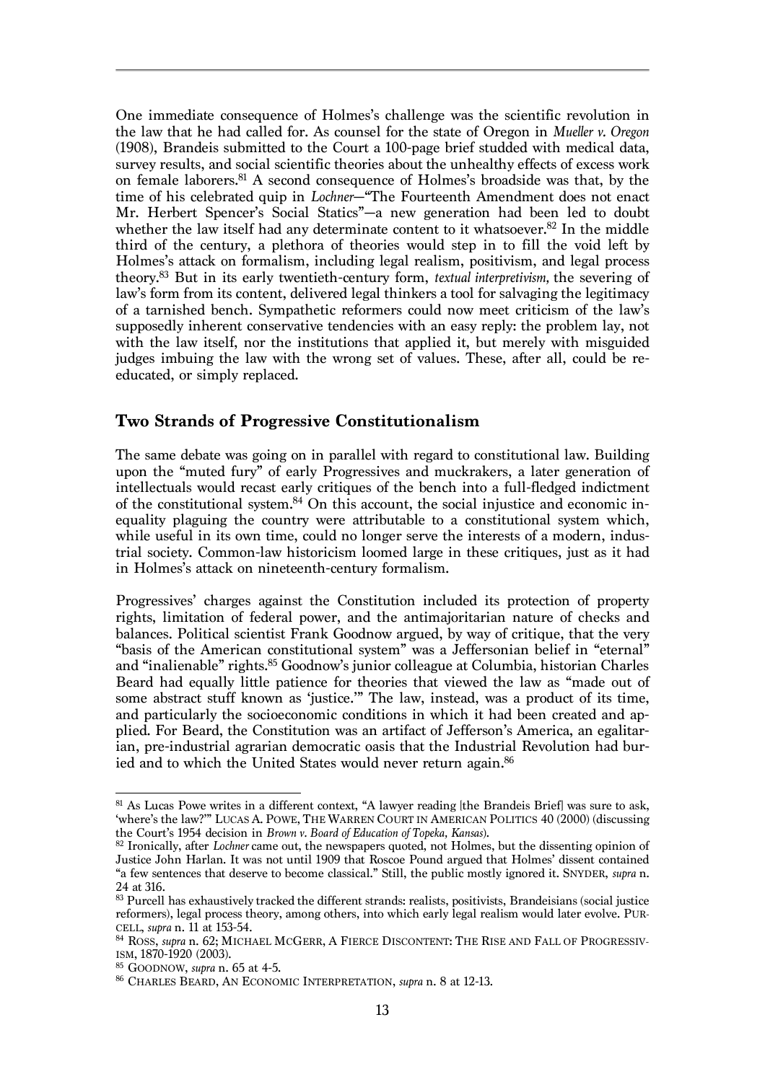One immediate consequence of Holmes's challenge was the scientific revolution in the law that he had called for. As counsel for the state of Oregon in *Mueller v. Oregon*  (1908), Brandeis submitted to the Court a 100-page brief studded with medical data, survey results, and social scientific theories about the unhealthy effects of excess work on female laborers.81 A second consequence of Holmes's broadside was that, by the time of his celebrated quip in *Lochner*—"The Fourteenth Amendment does not enact Mr. Herbert Spencer's Social Statics"—a new generation had been led to doubt whether the law itself had any determinate content to it whatsoever.<sup>82</sup> In the middle third of the century, a plethora of theories would step in to fill the void left by Holmes's attack on formalism, including legal realism, positivism, and legal process theory.83 But in its early twentieth-century form, *textual interpretivism,* the severing of law's form from its content, delivered legal thinkers a tool for salvaging the legitimacy of a tarnished bench. Sympathetic reformers could now meet criticism of the law's supposedly inherent conservative tendencies with an easy reply: the problem lay, not with the law itself, nor the institutions that applied it, but merely with misguided judges imbuing the law with the wrong set of values. These, after all, could be reeducated, or simply replaced.

## **Two Strands of Progressive Constitutionalism**

The same debate was going on in parallel with regard to constitutional law. Building upon the "muted fury" of early Progressives and muckrakers, a later generation of intellectuals would recast early critiques of the bench into a full-fledged indictment of the constitutional system. <sup>84</sup> On this account, the social injustice and economic inequality plaguing the country were attributable to a constitutional system which, while useful in its own time, could no longer serve the interests of a modern, industrial society. Common-law historicism loomed large in these critiques, just as it had in Holmes's attack on nineteenth-century formalism.

Progressives' charges against the Constitution included its protection of property rights, limitation of federal power, and the antimajoritarian nature of checks and balances. Political scientist Frank Goodnow argued, by way of critique, that the very "basis of the American constitutional system" was a Jeffersonian belief in "eternal" and "inalienable" rights. <sup>85</sup> Goodnow's junior colleague at Columbia, historian Charles Beard had equally little patience for theories that viewed the law as "made out of some abstract stuff known as 'justice.'" The law, instead, was a product of its time, and particularly the socioeconomic conditions in which it had been created and applied. For Beard, the Constitution was an artifact of Jefferson's America, an egalitarian, pre-industrial agrarian democratic oasis that the Industrial Revolution had buried and to which the United States would never return again.<sup>86</sup>

<sup>&</sup>lt;sup>81</sup> As Lucas Powe writes in a different context, "A lawyer reading [the Brandeis Brief] was sure to ask, 'where's the law?'" LUCAS A. POWE, THE WARREN COURT IN AMERICAN POLITICS 40 (2000) (discussing the Court's 1954 decision in *Brown v. Board of Education of Topeka*, *Kansas*).

<sup>&</sup>lt;sup>82</sup> Ironically, after *Lochner* came out, the newspapers quoted, not Holmes, but the dissenting opinion of Justice John Harlan. It was not until 1909 that Roscoe Pound argued that Holmes' dissent contained "a few sentences that deserve to become classical." Still, the public mostly ignored it. SNYDER, *supra* n.

<sup>&</sup>lt;sup>83</sup> Purcell has exhaustively tracked the different strands: realists, positivists, Brandeisians (social justice reformers), legal process theory, among others, into which early legal realism would later evolve. PUR-<br>CELL, supra n. 11 at 153-54.

<sup>&</sup>lt;sup>84</sup> ROSS, *supra* n. 62; MICHAEL MCGERR, A FIERCE DISCONTENT: THE RISE AND FALL OF PROGRESSIV-ISM, 1870-1920 (2003).<br><sup>85</sup> GOODNOW, *supra* n. 65 at 4-5.

<sup>&</sup>lt;sup>86</sup> CHARLES BEARD, AN ECONOMIC INTERPRETATION, *supra* n. 8 at 12-13.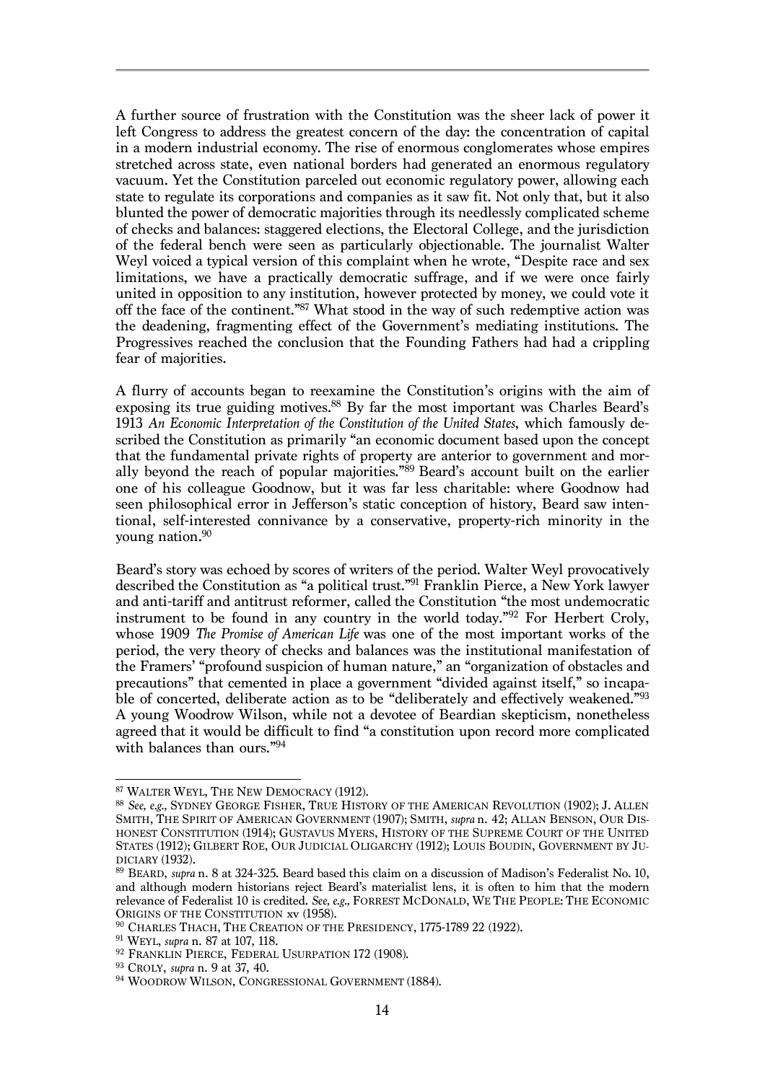A further source of frustration with the Constitution was the sheer lack of power it left Congress to address the greatest concern of the day: the concentration of capital in a modern industrial economy. The rise of enormous conglomerates whose empires stretched across state, even national borders had generated an enormous regulatory vacuum. Yet the Constitution parceled out economic regulatory power, allowing each state to regulate its corporations and companies as it saw fit. Not only that, but it also blunted the power of democratic majorities through its needlessly complicated scheme of checks and balances: staggered elections, the Electoral College, and the jurisdiction of the federal bench were seen as particularly objectionable. The journalist Walter Weyl voiced a typical version of this complaint when he wrote, "Despite race and sex limitations, we have a practically democratic suffrage, and if we were once fairly united in opposition to any institution, however protected by money, we could vote it off the face of the continent."87 What stood in the way of such redemptive action was the deadening, fragmenting effect of the Government's mediating institutions. The Progressives reached the conclusion that the Founding Fathers had had a crippling fear of majorities.

A flurry of accounts began to reexamine the Constitution's origins with the aim of exposing its true guiding motives.<sup>88</sup> By far the most important was Charles Beard's 1913 *An Economic Interpretation of the Constitution of the United States*, which famously described the Constitution as primarily "an economic document based upon the concept that the fundamental private rights of property are anterior to government and morally beyond the reach of popular majorities."89 Beard's account built on the earlier one of his colleague Goodnow, but it was far less charitable: where Goodnow had seen philosophical error in Jefferson's static conception of history, Beard saw intentional, self-interested connivance by a conservative, property-rich minority in the young nation.90

Beard's story was echoed by scores of writers of the period. Walter Weyl provocatively described the Constitution as "a political trust."91 Franklin Pierce, a New York lawyer and anti-tariff and antitrust reformer, called the Constitution "the most undemocratic instrument to be found in any country in the world today."92 For Herbert Croly, whose 1909 *The Promise of American Life* was one of the most important works of the period, the very theory of checks and balances was the institutional manifestation of the Framers' "profound suspicion of human nature," an "organization of obstacles and precautions" that cemented in place a government "divided against itself," so incapable of concerted, deliberate action as to be "deliberately and effectively weakened."<sup>93</sup> A young Woodrow Wilson, while not a devotee of Beardian skepticism, nonetheless agreed that it would be difficult to find "a constitution upon record more complicated with balances than ours."94

<sup>&</sup>lt;sup>87</sup> WALTER WEYL, THE NEW DEMOCRACY (1912).

<sup>&</sup>lt;sup>88</sup> See, e.g., SYDNEY GEORGE FISHER, TRUE HISTORY OF THE AMERICAN REVOLUTION (1902); J. ALLEN SMITH, THE SPIRIT OF AMERICAN GOVERNMENT (1907); SMITH, *supra* n. 42; ALLAN BENSON, OUR DIS-HONEST CONSTITUTION (1914); GUSTAVUS MYERS, HISTORY OF THE SUPREME COURT OF THE UNITED STATES (1912); GILBERT ROE, OUR JUDICIAL OLIGARCHY (1912); LOUIS BOUDIN, GOVERNMENT BY JU-DICIARY (1932). <sup>89</sup> BEARD, *supra* n. 8 at 324-325. Beard based this claim on a discussion of Madison's Federalist No. 10,

and although modern historians reject Beard's materialist lens, it is often to him that the modern relevance of Federalist 10 is credited. *See, e.g.,* FORREST MCDONALD, WE THE PEOPLE: THE ECONOMIC

ORIGINS OF THE CONSTITUTION xv (1958).<br><sup>90</sup> Charles Thach, The Creation of the Presidency, 1775-1789 22 (1922).<br><sup>91</sup> Weyl, *supra* n. 87 at 107, 118.

<sup>&</sup>lt;sup>92</sup> FRANKLIN PIERCE, FEDERAL USURPATION 172 (1908).<br><sup>93</sup> CROLY, *supra* n. 9 at 37, 40.<br><sup>94</sup> WOODROW WILSON, CONGRESSIONAL GOVERNMENT (1884).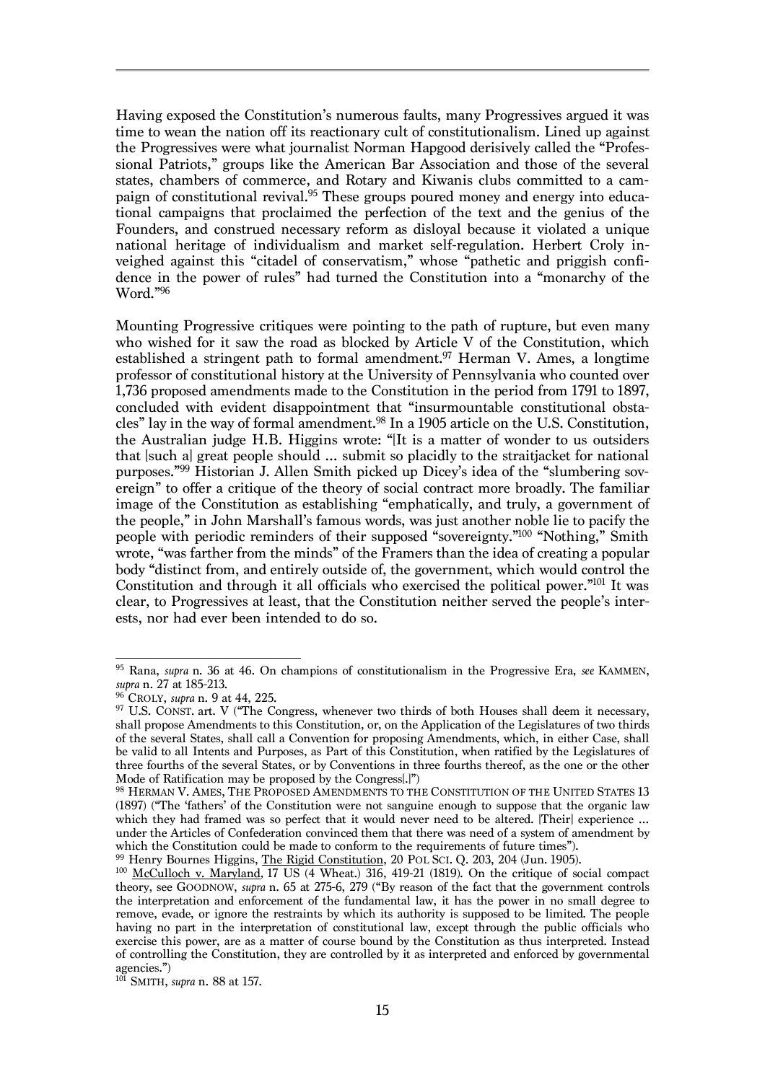Having exposed the Constitution's numerous faults, many Progressives argued it was time to wean the nation off its reactionary cult of constitutionalism. Lined up against the Progressives were what journalist Norman Hapgood derisively called the "Professional Patriots," groups like the American Bar Association and those of the several states, chambers of commerce, and Rotary and Kiwanis clubs committed to a campaign of constitutional revival. <sup>95</sup> These groups poured money and energy into educational campaigns that proclaimed the perfection of the text and the genius of the Founders, and construed necessary reform as disloyal because it violated a unique national heritage of individualism and market self-regulation. Herbert Croly inveighed against this "citadel of conservatism," whose "pathetic and priggish confidence in the power of rules" had turned the Constitution into a "monarchy of the Word."96

Mounting Progressive critiques were pointing to the path of rupture, but even many who wished for it saw the road as blocked by Article V of the Constitution, which established a stringent path to formal amendment.97 Herman V. Ames, a longtime professor of constitutional history at the University of Pennsylvania who counted over 1,736 proposed amendments made to the Constitution in the period from 1791 to 1897, concluded with evident disappointment that "insurmountable constitutional obstacles" lay in the way of formal amendment. <sup>98</sup> In a 1905 article on the U.S. Constitution, the Australian judge H.B. Higgins wrote: "[It is a matter of wonder to us outsiders that [such a] great people should … submit so placidly to the straitjacket for national purposes."99 Historian J. Allen Smith picked up Dicey's idea of the "slumbering sovereign" to offer a critique of the theory of social contract more broadly. The familiar image of the Constitution as establishing "emphatically, and truly, a government of the people," in John Marshall's famous words, was just another noble lie to pacify the people with periodic reminders of their supposed "sovereignty."100 "Nothing," Smith wrote, "was farther from the minds" of the Framers than the idea of creating a popular body "distinct from, and entirely outside of, the government, which would control the Constitution and through it all officials who exercised the political power."101 It was clear, to Progressives at least, that the Constitution neither served the people's interests, nor had ever been intended to do so.

 $\overline{a}$ <sup>95</sup> Rana, *supra* n. 36 at 46. On champions of constitutionalism in the Progressive Era, *see* KAMMEN, *supra* n. 27 at 185-213. <sup>96</sup> CROLY, *supra* n. 9 at 44, 225. <sup>97</sup> U.S. CONST. art. V ("The Congress, whenever two thirds of both Houses shall deem it necessary,

shall propose Amendments to this Constitution, or, on the Application of the Legislatures of two thirds of the several States, shall call a Convention for proposing Amendments, which, in either Case, shall be valid to all Intents and Purposes, as Part of this Constitution, when ratified by the Legislatures of three fourths of the several States, or by Conventions in three fourths thereof, as the one or the other Mode of Ratification may be proposed by the Congress[.]")

 $^{98}$  HERMAN V. AMES, THE PROPOSED AMENDMENTS TO THE CONSTITUTION OF THE UNITED STATES 13 (1897) ("The 'fathers' of the Constitution were not sanguine enough to suppose that the organic law which they had framed was so perfect that it would never need to be altered. [Their] experience ... under the Articles of Confederation convinced them that there was need of a system of amendment by which the Constitution could be made to conform to the requirements of future times").<br><sup>99</sup> Henry Bournes Higgins, <u>The Rigid Constitution</u>, 20 POL SCI. Q. 203, 204 (Jun. 1905).

<sup>100</sup> McCulloch v. Maryland*,* 17 US (4 Wheat.) 316, 419-21 (1819). On the critique of social compact theory, see GOODNOW, *supra* n. 65 at 275-6, 279 ("By reason of the fact that the government controls the interpretation and enforcement of the fundamental law, it has the power in no small degree to remove, evade, or ignore the restraints by which its authority is supposed to be limited. The people having no part in the interpretation of constitutional law, except through the public officials who exercise this power, are as a matter of course bound by the Constitution as thus interpreted. Instead of controlling the Constitution, they are controlled by it as interpreted and enforced by governmental agencies.")

<sup>101</sup> SMITH, *supra* n. 88 at 157.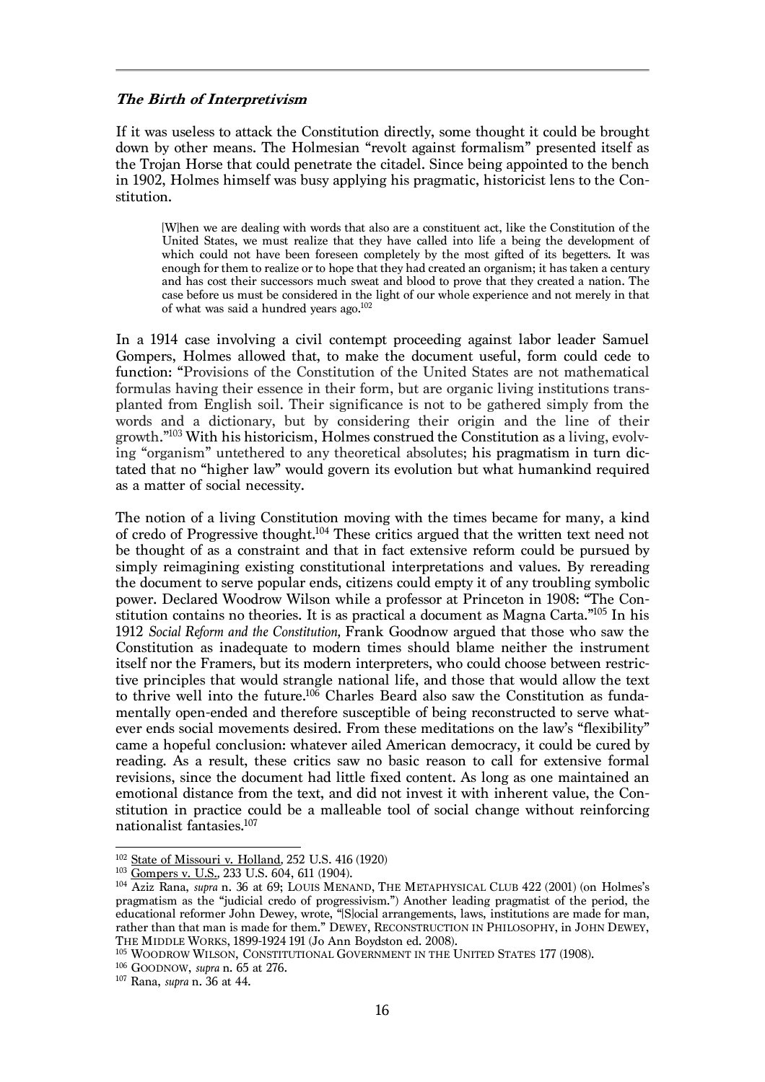#### **The Birth of Interpretivism**

If it was useless to attack the Constitution directly, some thought it could be brought down by other means. The Holmesian "revolt against formalism" presented itself as the Trojan Horse that could penetrate the citadel. Since being appointed to the bench in 1902, Holmes himself was busy applying his pragmatic, historicist lens to the Constitution.

[W]hen we are dealing with words that also are a constituent act, like the Constitution of the United States, we must realize that they have called into life a being the development of which could not have been foreseen completely by the most gifted of its begetters. It was enough for them to realize or to hope that they had created an organism; it has taken a century and has cost their successors much sweat and blood to prove that they created a nation. The case before us must be considered in the light of our whole experience and not merely in that of what was said a hundred years ago.102

In a 1914 case involving a civil contempt proceeding against labor leader Samuel Gompers, Holmes allowed that, to make the document useful, form could cede to function: "Provisions of the Constitution of the United States are not mathematical formulas having their essence in their form, but are organic living institutions transplanted from English soil. Their significance is not to be gathered simply from the words and a dictionary, but by considering their origin and the line of their growth."103 With his historicism, Holmes construed the Constitution as a living, evolving "organism" untethered to any theoretical absolutes; his pragmatism in turn dictated that no "higher law" would govern its evolution but what humankind required as a matter of social necessity.

The notion of a living Constitution moving with the times became for many, a kind of credo of Progressive thought. <sup>104</sup> These critics argued that the written text need not be thought of as a constraint and that in fact extensive reform could be pursued by simply reimagining existing constitutional interpretations and values. By rereading the document to serve popular ends, citizens could empty it of any troubling symbolic power. Declared Woodrow Wilson while a professor at Princeton in 1908: "The Constitution contains no theories. It is as practical a document as Magna Carta."105 In his 1912 *Social Reform and the Constitution,* Frank Goodnow argued that those who saw the Constitution as inadequate to modern times should blame neither the instrument itself nor the Framers, but its modern interpreters, who could choose between restrictive principles that would strangle national life, and those that would allow the text to thrive well into the future. <sup>106</sup> Charles Beard also saw the Constitution as fundamentally open-ended and therefore susceptible of being reconstructed to serve whatever ends social movements desired. From these meditations on the law's "flexibility" came a hopeful conclusion: whatever ailed American democracy, it could be cured by reading. As a result, these critics saw no basic reason to call for extensive formal revisions, since the document had little fixed content. As long as one maintained an emotional distance from the text, and did not invest it with inherent value, the Constitution in practice could be a malleable tool of social change without reinforcing nationalist fantasies.107

<sup>102</sup> State of Missouri v. Holland*,* 252 U.S. 416 (1920)

<sup>103</sup> Gompers v. U.S.*,* 233 U.S. 604, 611 (1904).

<sup>104</sup> Aziz Rana, *supra* n. 36 at 69; LOUIS MENAND, THE METAPHYSICAL CLUB 422 (2001) (on Holmes's pragmatism as the "judicial credo of progressivism.") Another leading pragmatist of the period, the educational reformer John Dewey, wrote, "[S]ocial arrangements, laws, institutions are made for man, rather than that man is made for them." DEWEY, RECONSTRUCTION IN PHILOSOPHY, in JOHN DEWEY, THE MIDDLE WORKS, 1899-1924 191 (Jo Ann Boydston ed. 2008).

<sup>105</sup> WOODROW WILSON, CONSTITUTIONAL GOVERNMENT IN THE UNITED STATES 177 (1908).

<sup>106</sup> GOODNOW, *supra* n. 65 at 276.

<sup>107</sup> Rana, *supra* n. 36 at 44.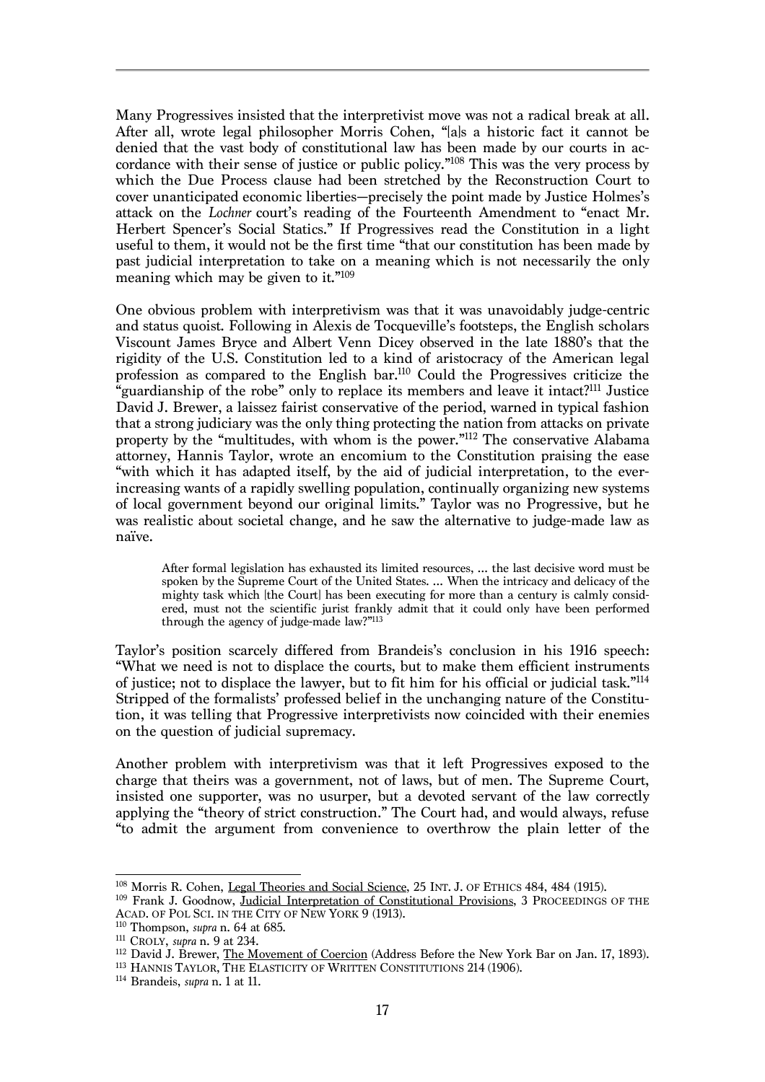Many Progressives insisted that the interpretivist move was not a radical break at all. After all, wrote legal philosopher Morris Cohen, "[a]s a historic fact it cannot be denied that the vast body of constitutional law has been made by our courts in accordance with their sense of justice or public policy."108 This was the very process by which the Due Process clause had been stretched by the Reconstruction Court to cover unanticipated economic liberties—precisely the point made by Justice Holmes's attack on the *Lochner* court's reading of the Fourteenth Amendment to "enact Mr. Herbert Spencer's Social Statics." If Progressives read the Constitution in a light useful to them, it would not be the first time "that our constitution has been made by past judicial interpretation to take on a meaning which is not necessarily the only meaning which may be given to it."109

One obvious problem with interpretivism was that it was unavoidably judge-centric and status quoist. Following in Alexis de Tocqueville's footsteps, the English scholars Viscount James Bryce and Albert Venn Dicey observed in the late 1880's that the rigidity of the U.S. Constitution led to a kind of aristocracy of the American legal profession as compared to the English bar.110 Could the Progressives criticize the "guardianship of the robe" only to replace its members and leave it intact?111 Justice David J. Brewer, a laissez fairist conservative of the period, warned in typical fashion that a strong judiciary was the only thing protecting the nation from attacks on private property by the "multitudes, with whom is the power."112 The conservative Alabama attorney, Hannis Taylor, wrote an encomium to the Constitution praising the ease "with which it has adapted itself, by the aid of judicial interpretation, to the everincreasing wants of a rapidly swelling population, continually organizing new systems of local government beyond our original limits." Taylor was no Progressive, but he was realistic about societal change, and he saw the alternative to judge-made law as naïve.

After formal legislation has exhausted its limited resources, … the last decisive word must be spoken by the Supreme Court of the United States. … When the intricacy and delicacy of the mighty task which [the Court] has been executing for more than a century is calmly considered, must not the scientific jurist frankly admit that it could only have been performed through the agency of judge-made law?"113

Taylor's position scarcely differed from Brandeis's conclusion in his 1916 speech: "What we need is not to displace the courts, but to make them efficient instruments of justice; not to displace the lawyer, but to fit him for his official or judicial task."114 Stripped of the formalists' professed belief in the unchanging nature of the Constitution, it was telling that Progressive interpretivists now coincided with their enemies on the question of judicial supremacy.

Another problem with interpretivism was that it left Progressives exposed to the charge that theirs was a government, not of laws, but of men. The Supreme Court, insisted one supporter, was no usurper, but a devoted servant of the law correctly applying the "theory of strict construction." The Court had, and would always, refuse "to admit the argument from convenience to overthrow the plain letter of the

 $\overline{a}$ <sup>108</sup> Morris R. Cohen, Legal Theories and Social Science, 25 INT. J. OF ETHICS 484, 484 (1915).

<sup>&</sup>lt;sup>109</sup> Frank J. Goodnow, Judicial Interpretation of Constitutional Provisions, 3 PROCEEDINGS OF THE ACAD. OF POL SCI. IN THE CITY OF NEW YORK 9 (1913).<br><sup>110</sup> Thompson, *supra* n. 64 at 685.

<sup>&</sup>lt;sup>111</sup> CROLY, *supra* n. 9 at 234.<br><sup>112</sup> David J. Brewer, <u>The Movement of Coercion</u> (Address Before the New York Bar on Jan. 17, 1893).

<sup>113</sup> HANNIS TAYLOR, THE ELASTICITY OF WRITTEN CONSTITUTIONS 214 (1906). <sup>114</sup> Brandeis, *supra* n. 1 at 11.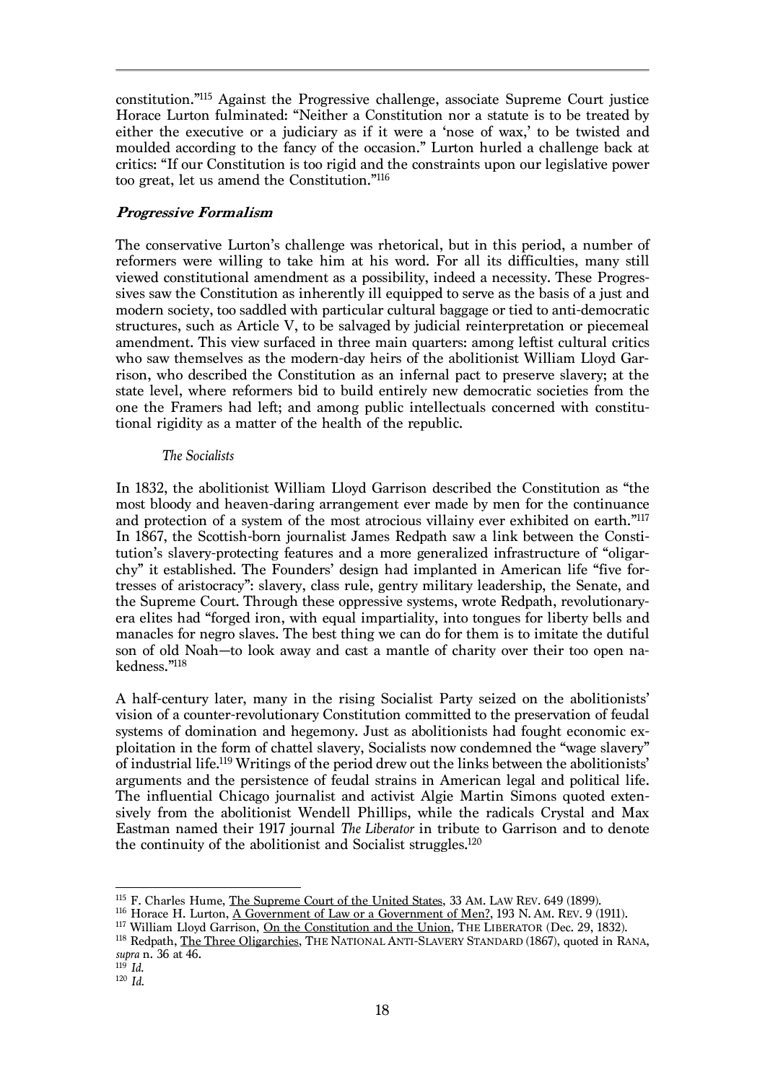constitution."115 Against the Progressive challenge, associate Supreme Court justice Horace Lurton fulminated: "Neither a Constitution nor a statute is to be treated by either the executive or a judiciary as if it were a 'nose of wax,' to be twisted and moulded according to the fancy of the occasion." Lurton hurled a challenge back at critics: "If our Constitution is too rigid and the constraints upon our legislative power too great, let us amend the Constitution."116

## **Progressive Formalism**

The conservative Lurton's challenge was rhetorical, but in this period, a number of reformers were willing to take him at his word. For all its difficulties, many still viewed constitutional amendment as a possibility, indeed a necessity. These Progressives saw the Constitution as inherently ill equipped to serve as the basis of a just and modern society, too saddled with particular cultural baggage or tied to anti-democratic structures, such as Article V, to be salvaged by judicial reinterpretation or piecemeal amendment. This view surfaced in three main quarters: among leftist cultural critics who saw themselves as the modern-day heirs of the abolitionist William Lloyd Garrison, who described the Constitution as an infernal pact to preserve slavery; at the state level, where reformers bid to build entirely new democratic societies from the one the Framers had left; and among public intellectuals concerned with constitutional rigidity as a matter of the health of the republic.

## *The Socialists*

In 1832, the abolitionist William Lloyd Garrison described the Constitution as "the most bloody and heaven-daring arrangement ever made by men for the continuance and protection of a system of the most atrocious villainy ever exhibited on earth."117 In 1867, the Scottish-born journalist James Redpath saw a link between the Constitution's slavery-protecting features and a more generalized infrastructure of "oligarchy" it established. The Founders' design had implanted in American life "five fortresses of aristocracy": slavery, class rule, gentry military leadership, the Senate, and the Supreme Court. Through these oppressive systems, wrote Redpath, revolutionaryera elites had "forged iron, with equal impartiality, into tongues for liberty bells and manacles for negro slaves. The best thing we can do for them is to imitate the dutiful son of old Noah—to look away and cast a mantle of charity over their too open nakedness."118

A half-century later, many in the rising Socialist Party seized on the abolitionists' vision of a counter-revolutionary Constitution committed to the preservation of feudal systems of domination and hegemony. Just as abolitionists had fought economic exploitation in the form of chattel slavery, Socialists now condemned the "wage slavery" of industrial life.119 Writings of the period drew out the links between the abolitionists' arguments and the persistence of feudal strains in American legal and political life. The influential Chicago journalist and activist Algie Martin Simons quoted extensively from the abolitionist Wendell Phillips, while the radicals Crystal and Max Eastman named their 1917 journal *The Liberator* in tribute to Garrison and to denote the continuity of the abolitionist and Socialist struggles. 120

 $\overline{a}$ <sup>115</sup> F. Charles Hume, <u>The Supreme Court of the United States</u>, 33 AM. LAW REV. 649 (1899).

<sup>&</sup>lt;sup>116</sup> Horace H. Lurton, A Government of Law or a Government of Men?, 193 N. AM. REV. 9 (1911).

<sup>&</sup>lt;sup>117</sup> William Lloyd Garrison, On the Constitution and the Union, THE LIBERATOR (Dec. 29, 1832).

<sup>118</sup> Redpath, The Three Oligarchies, THE NATIONAL ANTI-SLAVERY STANDARD (1867), quoted in RANA, *supra* n. 36 at 46.

<sup>119</sup> *Id.*

<sup>120</sup> *Id.*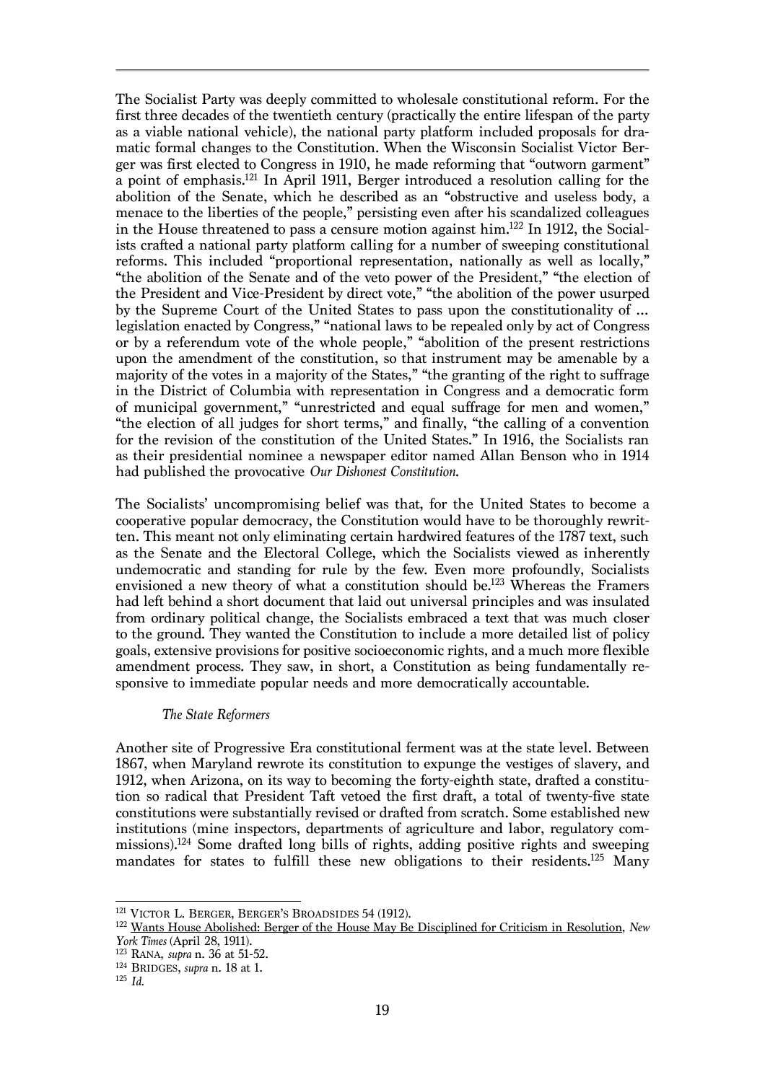The Socialist Party was deeply committed to wholesale constitutional reform. For the first three decades of the twentieth century (practically the entire lifespan of the party as a viable national vehicle), the national party platform included proposals for dramatic formal changes to the Constitution. When the Wisconsin Socialist Victor Berger was first elected to Congress in 1910, he made reforming that "outworn garment" a point of emphasis.121 In April 1911, Berger introduced a resolution calling for the abolition of the Senate, which he described as an "obstructive and useless body, a menace to the liberties of the people," persisting even after his scandalized colleagues in the House threatened to pass a censure motion against him. <sup>122</sup> In 1912, the Socialists crafted a national party platform calling for a number of sweeping constitutional reforms. This included "proportional representation, nationally as well as locally," "the abolition of the Senate and of the veto power of the President," "the election of the President and Vice-President by direct vote," "the abolition of the power usurped by the Supreme Court of the United States to pass upon the constitutionality of … legislation enacted by Congress," "national laws to be repealed only by act of Congress or by a referendum vote of the whole people," "abolition of the present restrictions upon the amendment of the constitution, so that instrument may be amenable by a majority of the votes in a majority of the States," "the granting of the right to suffrage in the District of Columbia with representation in Congress and a democratic form of municipal government," "unrestricted and equal suffrage for men and women," "the election of all judges for short terms," and finally, "the calling of a convention for the revision of the constitution of the United States." In 1916, the Socialists ran as their presidential nominee a newspaper editor named Allan Benson who in 1914 had published the provocative *Our Dishonest Constitution*.

The Socialists' uncompromising belief was that, for the United States to become a cooperative popular democracy, the Constitution would have to be thoroughly rewritten. This meant not only eliminating certain hardwired features of the 1787 text, such as the Senate and the Electoral College, which the Socialists viewed as inherently undemocratic and standing for rule by the few. Even more profoundly, Socialists envisioned a new theory of what a constitution should be.123 Whereas the Framers had left behind a short document that laid out universal principles and was insulated from ordinary political change, the Socialists embraced a text that was much closer to the ground. They wanted the Constitution to include a more detailed list of policy goals, extensive provisions for positive socioeconomic rights, and a much more flexible amendment process. They saw, in short, a Constitution as being fundamentally responsive to immediate popular needs and more democratically accountable.

## *The State Reformers*

Another site of Progressive Era constitutional ferment was at the state level. Between 1867, when Maryland rewrote its constitution to expunge the vestiges of slavery, and 1912, when Arizona, on its way to becoming the forty-eighth state, drafted a constitution so radical that President Taft vetoed the first draft, a total of twenty-five state constitutions were substantially revised or drafted from scratch. Some established new institutions (mine inspectors, departments of agriculture and labor, regulatory commissions).124 Some drafted long bills of rights, adding positive rights and sweeping mandates for states to fulfill these new obligations to their residents.125 Many

<sup>&</sup>lt;sup>121</sup> VICTOR L. BERGER, BERGER'S BROADSIDES 54 (1912).

<sup>&</sup>lt;sup>122</sup> Wants House Abolished: Berger of the House May Be Disciplined for Criticism in Resolution, *New York Times* (April 28, 1911).

<sup>&</sup>lt;sup>124</sup> BRIDGES, *supra* **n.** 18 at 1.<br><sup>125</sup> *Id.*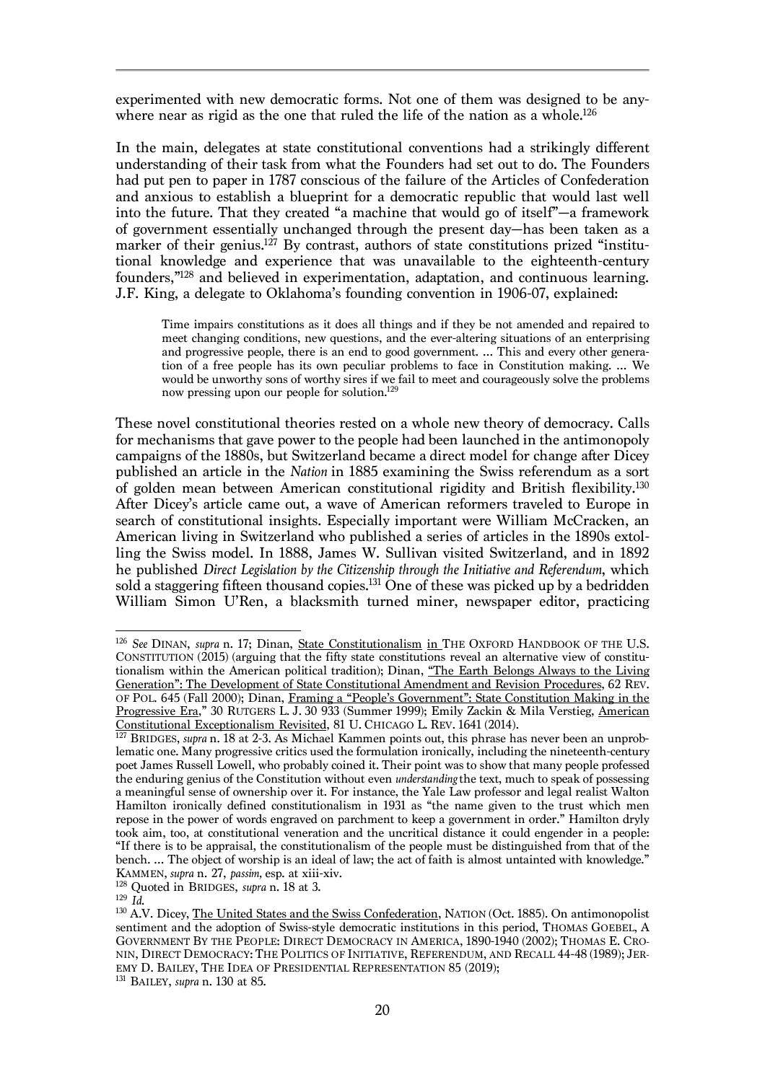experimented with new democratic forms. Not one of them was designed to be anywhere near as rigid as the one that ruled the life of the nation as a whole.<sup>126</sup>

In the main, delegates at state constitutional conventions had a strikingly different understanding of their task from what the Founders had set out to do. The Founders had put pen to paper in 1787 conscious of the failure of the Articles of Confederation and anxious to establish a blueprint for a democratic republic that would last well into the future. That they created "a machine that would go of itself"—a framework of government essentially unchanged through the present day—has been taken as a marker of their genius. <sup>127</sup> By contrast, authors of state constitutions prized "institutional knowledge and experience that was unavailable to the eighteenth-century founders,"128 and believed in experimentation, adaptation, and continuous learning. J.F. King, a delegate to Oklahoma's founding convention in 1906-07, explained:

Time impairs constitutions as it does all things and if they be not amended and repaired to meet changing conditions, new questions, and the ever-altering situations of an enterprising and progressive people, there is an end to good government. … This and every other generation of a free people has its own peculiar problems to face in Constitution making. … We would be unworthy sons of worthy sires if we fail to meet and courageously solve the problems now pressing upon our people for solution.<sup>129</sup>

These novel constitutional theories rested on a whole new theory of democracy. Calls for mechanisms that gave power to the people had been launched in the antimonopoly campaigns of the 1880s, but Switzerland became a direct model for change after Dicey published an article in the *Nation* in 1885 examining the Swiss referendum as a sort of golden mean between American constitutional rigidity and British flexibility.130 After Dicey's article came out, a wave of American reformers traveled to Europe in search of constitutional insights. Especially important were William McCracken, an American living in Switzerland who published a series of articles in the 1890s extolling the Swiss model. In 1888, James W. Sullivan visited Switzerland, and in 1892 he published *Direct Legislation by the Citizenship through the Initiative and Referendum*, which sold a staggering fifteen thousand copies.131 One of these was picked up by a bedridden William Simon U'Ren, a blacksmith turned miner, newspaper editor, practicing

<sup>126</sup> *See* DINAN, *supra* n. 17; Dinan, State Constitutionalism in THE OXFORD HANDBOOK OF THE U.S. CONSTITUTION (2015) (arguing that the fifty state constitutions reveal an alternative view of constitutionalism within the American political tradition); Dinan, "The Earth Belongs Always to the Living Generation": The Development of State Constitutional Amendment and Revision Procedures, 62 REV. OF POL. 645 (Fall 2000); Dinan, Framing a "People's Government": State Constitution Making in the Progressive Era," 30 RUTGERS L. J. 30 933 (Summer 1999); Emily Zackin & Mila Verstieg, American Constitutional Exceptionalism Revisited, 81 U. CHICAGO L. REV. 1641 (2014).

<sup>&</sup>lt;sup>127</sup> BRIDGES, *supra* n. 18 at 2-3. As Michael Kammen points out, this phrase has never been an unproblematic one. Many progressive critics used the formulation ironically, including the nineteenth-century poet James Russell Lowell, who probably coined it. Their point was to show that many people professed the enduring genius of the Constitution without even *understanding* the text, much to speak of possessing a meaningful sense of ownership over it. For instance, the Yale Law professor and legal realist Walton Hamilton ironically defined constitutionalism in 1931 as "the name given to the trust which men repose in the power of words engraved on parchment to keep a government in order." Hamilton dryly took aim, too, at constitutional veneration and the uncritical distance it could engender in a people: "If there is to be appraisal, the constitutionalism of the people must be distinguished from that of the bench. … The object of worship is an ideal of law; the act of faith is almost untainted with knowledge." KAMMEN, *supra* n. 27, *passim,* esp. at xiii-xiv.

<sup>128</sup> Quoted in BRIDGES, *supra* n. 18 at 3.

<sup>&</sup>lt;sup>130</sup> A.V. Dicey, <u>The United States and the Swiss Confederation</u>, NATION (Oct. 1885). On antimonopolist sentiment and the adoption of Swiss-style democratic institutions in this period, THOMAS GOEBEL, A GOVERNMENT BY THE PEOPLE: DIRECT DEMOCRACY IN AMERICA, 1890-1940 (2002); THOMAS E. CRO-NIN, DIRECT DEMOCRACY: THE POLITICS OF INITIATIVE, REFERENDUM, AND RECALL 44-48 (1989); JER-EMY D. BAILEY, THE IDEA OF PRESIDENTIAL REPRESENTATION 85 (2019);

<sup>131</sup> BAILEY, *supra* n. 130 at 85.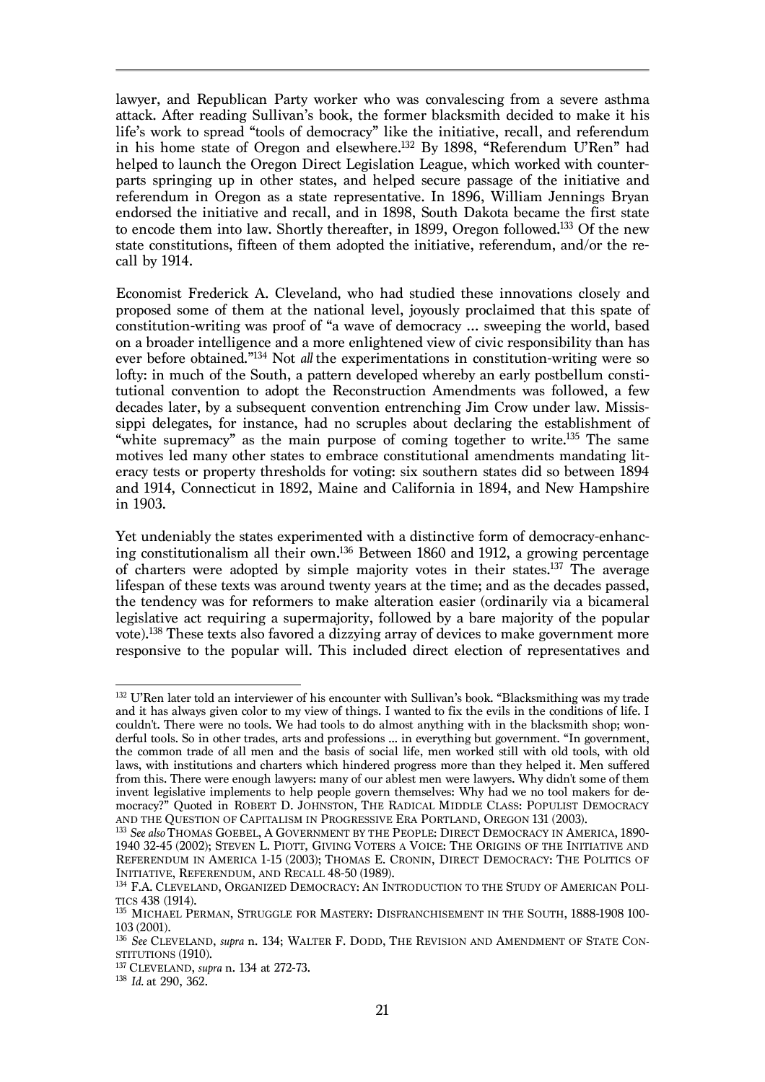lawyer, and Republican Party worker who was convalescing from a severe asthma attack. After reading Sullivan's book, the former blacksmith decided to make it his life's work to spread "tools of democracy" like the initiative, recall, and referendum in his home state of Oregon and elsewhere.132 By 1898, "Referendum U'Ren" had helped to launch the Oregon Direct Legislation League, which worked with counterparts springing up in other states, and helped secure passage of the initiative and referendum in Oregon as a state representative. In 1896, William Jennings Bryan endorsed the initiative and recall, and in 1898, South Dakota became the first state to encode them into law. Shortly thereafter, in 1899, Oregon followed.133 Of the new state constitutions, fifteen of them adopted the initiative, referendum, and/or the recall by 1914.

Economist Frederick A. Cleveland, who had studied these innovations closely and proposed some of them at the national level, joyously proclaimed that this spate of constitution-writing was proof of "a wave of democracy … sweeping the world, based on a broader intelligence and a more enlightened view of civic responsibility than has ever before obtained."134 Not *all* the experimentations in constitution-writing were so lofty: in much of the South, a pattern developed whereby an early postbellum constitutional convention to adopt the Reconstruction Amendments was followed, a few decades later, by a subsequent convention entrenching Jim Crow under law. Mississippi delegates, for instance, had no scruples about declaring the establishment of "white supremacy" as the main purpose of coming together to write.<sup>135</sup> The same motives led many other states to embrace constitutional amendments mandating literacy tests or property thresholds for voting: six southern states did so between 1894 and 1914, Connecticut in 1892, Maine and California in 1894, and New Hampshire in 1903.

Yet undeniably the states experimented with a distinctive form of democracy-enhancing constitutionalism all their own.136 Between 1860 and 1912, a growing percentage of charters were adopted by simple majority votes in their states.137 The average lifespan of these texts was around twenty years at the time; and as the decades passed, the tendency was for reformers to make alteration easier (ordinarily via a bicameral legislative act requiring a supermajority, followed by a bare majority of the popular vote).138 These texts also favored a dizzying array of devices to make government more responsive to the popular will. This included direct election of representatives and

 $\overline{a}$ <sup>132</sup> U'Ren later told an interviewer of his encounter with Sullivan's book. "Blacksmithing was my trade and it has always given color to my view of things. I wanted to fix the evils in the conditions of life. I couldn't. There were no tools. We had tools to do almost anything with in the blacksmith shop; wonderful tools. So in other trades, arts and professions ... in everything but government. "In government, the common trade of all men and the basis of social life, men worked still with old tools, with old laws, with institutions and charters which hindered progress more than they helped it. Men suffered from this. There were enough lawyers: many of our ablest men were lawyers. Why didn't some of them invent legislative implements to help people govern themselves: Why had we no tool makers for democracy?" Quoted in ROBERT D. JOHNSTON, THE RADICAL MIDDLE CLASS: POPULIST DEMOCRACY AND THE QUESTION OF CAPITALISM IN PROGRESSIVE ERA PORTLAND, OREGON 131 (2003).

<sup>133</sup> *See also* THOMAS GOEBEL, A GOVERNMENT BY THE PEOPLE: DIRECT DEMOCRACY IN AMERICA, 1890- 1940 32-45 (2002); STEVEN L. PIOTT, GIVING VOTERS A VOICE: THE ORIGINS OF THE INITIATIVE AND REFERENDUM IN AMERICA 1-15 (2003); THOMAS E. CRONIN, DIRECT DEMOCRACY: THE POLITICS OF INITIATIVE, REFERENDUM, AND RECALL 48-50 (1989).

<sup>&</sup>lt;sup>134</sup> F.A. CLEVELAND, ORGANIZED DEMOCRACY: AN INTRODUCTION TO THE STUDY OF AMERICAN POLI-TICS 438 (1914).

<sup>135</sup> MICHAEL PERMAN, STRUGGLE FOR MASTERY: DISFRANCHISEMENT IN THE SOUTH, 1888-1908 100-103 (2001).

<sup>136</sup> *See* CLEVELAND, *supra* n. 134; WALTER F. DODD, THE REVISION AND AMENDMENT OF STATE CON-STITUTIONS (1910).

<sup>137</sup> CLEVELAND, *supra* n. 134 at 272-73.

<sup>138</sup> *Id.* at 290, 362.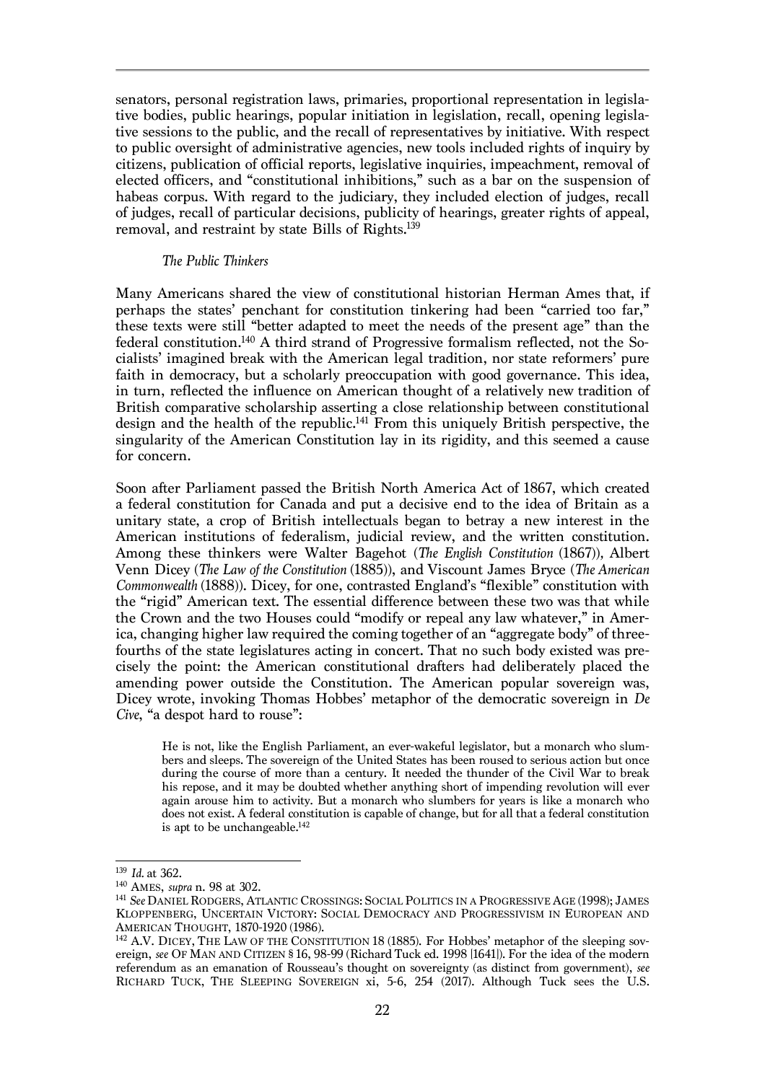senators, personal registration laws, primaries, proportional representation in legislative bodies, public hearings, popular initiation in legislation, recall, opening legislative sessions to the public, and the recall of representatives by initiative. With respect to public oversight of administrative agencies, new tools included rights of inquiry by citizens, publication of official reports, legislative inquiries, impeachment, removal of elected officers, and "constitutional inhibitions," such as a bar on the suspension of habeas corpus. With regard to the judiciary, they included election of judges, recall of judges, recall of particular decisions, publicity of hearings, greater rights of appeal, removal, and restraint by state Bills of Rights. 139

#### *The Public Thinkers*

Many Americans shared the view of constitutional historian Herman Ames that, if perhaps the states' penchant for constitution tinkering had been "carried too far," these texts were still "better adapted to meet the needs of the present age" than the federal constitution.<sup>140</sup> A third strand of Progressive formalism reflected, not the Socialists' imagined break with the American legal tradition, nor state reformers' pure faith in democracy, but a scholarly preoccupation with good governance. This idea, in turn, reflected the influence on American thought of a relatively new tradition of British comparative scholarship asserting a close relationship between constitutional design and the health of the republic. <sup>141</sup> From this uniquely British perspective, the singularity of the American Constitution lay in its rigidity, and this seemed a cause for concern.

Soon after Parliament passed the British North America Act of 1867, which created a federal constitution for Canada and put a decisive end to the idea of Britain as a unitary state, a crop of British intellectuals began to betray a new interest in the American institutions of federalism, judicial review, and the written constitution. Among these thinkers were Walter Bagehot (*The English Constitution* (1867))*,* Albert Venn Dicey (*The Law of the Constitution* (1885)), and Viscount James Bryce (*The American Commonwealth* (1888)). Dicey, for one, contrasted England's "flexible" constitution with the "rigid" American text. The essential difference between these two was that while the Crown and the two Houses could "modify or repeal any law whatever," in America, changing higher law required the coming together of an "aggregate body" of threefourths of the state legislatures acting in concert. That no such body existed was precisely the point: the American constitutional drafters had deliberately placed the amending power outside the Constitution. The American popular sovereign was, Dicey wrote, invoking Thomas Hobbes' metaphor of the democratic sovereign in *De Cive*, "a despot hard to rouse":

He is not, like the English Parliament, an ever-wakeful legislator, but a monarch who slumbers and sleeps. The sovereign of the United States has been roused to serious action but once during the course of more than a century. It needed the thunder of the Civil War to break his repose, and it may be doubted whether anything short of impending revolution will ever again arouse him to activity. But a monarch who slumbers for years is like a monarch who does not exist. A federal constitution is capable of change, but for all that a federal constitution is apt to be unchangeable. 142

 $\overline{a}$ 

<sup>&</sup>lt;sup>139</sup> *Id.* at 362.<br><sup>140</sup> AMES, *supra* n. 98 at 302.

<sup>&</sup>lt;sup>141</sup> See DANIEL RODGERS, ATLANTIC CROSSINGS: SOCIAL POLITICS IN A PROGRESSIVE AGE (1998); JAMES KLOPPENBERG, UNCERTAIN VICTORY: SOCIAL DEMOCRACY AND PROGRESSIVISM IN EUROPEAN AND AMERICAN THOUGHT, 1870-1920 (1986).

 $142$  A.V. DICEY, THE LAW OF THE CONSTITUTION 18 (1885). For Hobbes' metaphor of the sleeping sovereign, *see* OF MAN AND CITIZEN § 16, 98-99 (Richard Tuck ed. 1998 [1641]). For the idea of the modern referendum as an emanation of Rousseau's thought on sovereignty (as distinct from government), *see*  RICHARD TUCK, THE SLEEPING SOVEREIGN xi, 5-6, 254 (2017). Although Tuck sees the U.S.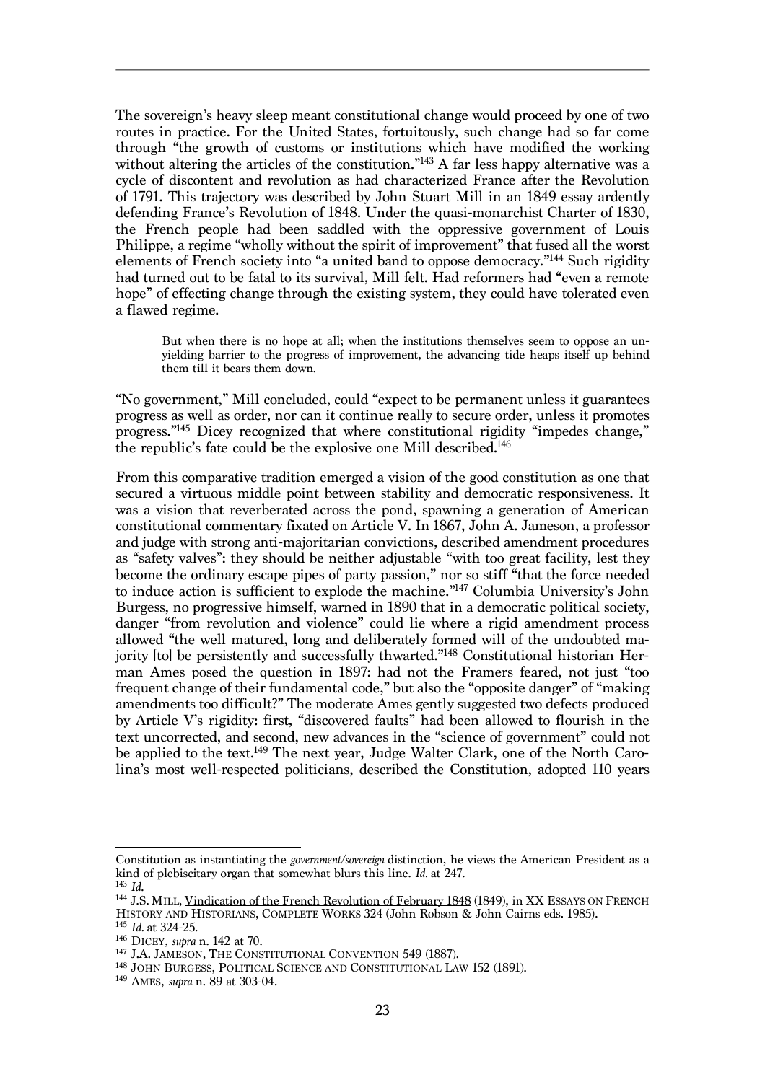The sovereign's heavy sleep meant constitutional change would proceed by one of two routes in practice. For the United States, fortuitously, such change had so far come through "the growth of customs or institutions which have modified the working without altering the articles of the constitution."<sup>143</sup> A far less happy alternative was a cycle of discontent and revolution as had characterized France after the Revolution of 1791. This trajectory was described by John Stuart Mill in an 1849 essay ardently defending France's Revolution of 1848. Under the quasi-monarchist Charter of 1830, the French people had been saddled with the oppressive government of Louis Philippe, a regime "wholly without the spirit of improvement" that fused all the worst elements of French society into "a united band to oppose democracy."144 Such rigidity had turned out to be fatal to its survival, Mill felt. Had reformers had "even a remote hope" of effecting change through the existing system, they could have tolerated even a flawed regime.

But when there is no hope at all; when the institutions themselves seem to oppose an unyielding barrier to the progress of improvement, the advancing tide heaps itself up behind them till it bears them down.

"No government," Mill concluded, could "expect to be permanent unless it guarantees progress as well as order, nor can it continue really to secure order, unless it promotes progress."145 Dicey recognized that where constitutional rigidity "impedes change," the republic's fate could be the explosive one Mill described.146

From this comparative tradition emerged a vision of the good constitution as one that secured a virtuous middle point between stability and democratic responsiveness. It was a vision that reverberated across the pond, spawning a generation of American constitutional commentary fixated on Article V. In 1867, John A. Jameson, a professor and judge with strong anti-majoritarian convictions, described amendment procedures as "safety valves": they should be neither adjustable "with too great facility, lest they become the ordinary escape pipes of party passion," nor so stiff "that the force needed to induce action is sufficient to explode the machine."147 Columbia University's John Burgess, no progressive himself, warned in 1890 that in a democratic political society, danger "from revolution and violence" could lie where a rigid amendment process allowed "the well matured, long and deliberately formed will of the undoubted majority [to] be persistently and successfully thwarted."148 Constitutional historian Herman Ames posed the question in 1897: had not the Framers feared, not just "too frequent change of their fundamental code," but also the "opposite danger" of "making amendments too difficult?" The moderate Ames gently suggested two defects produced by Article V's rigidity: first, "discovered faults" had been allowed to flourish in the text uncorrected, and second, new advances in the "science of government" could not be applied to the text.149 The next year, Judge Walter Clark, one of the North Carolina's most well-respected politicians, described the Constitution, adopted 110 years

Constitution as instantiating the *government/sovereign* distinction, he views the American President as a kind of plebiscitary organ that somewhat blurs this line. *Id.* at 247.

<sup>&</sup>lt;sup>144</sup> J.S. MILL, <u>Vindication of the French Revolution of February 1848</u> (1849), in XX ESSAYS ON FRENCH HISTORY AND HISTORIANS, COMPLETE WORKS 324 (John Robson & John Cairns eds. 1985). <sup>145</sup> *Id.* at 324-25.

<sup>146</sup> DICEY, *supra* n. 142 at 70.

<sup>&</sup>lt;sup>147</sup> J.A. JAMESON, THE CONSTITUTIONAL CONVENTION 549 (1887).

<sup>148</sup> JOHN BURGESS, POLITICAL SCIENCE AND CONSTITUTIONAL LAW 152 (1891).

<sup>149</sup> AMES, *supra* n. 89 at 303-04.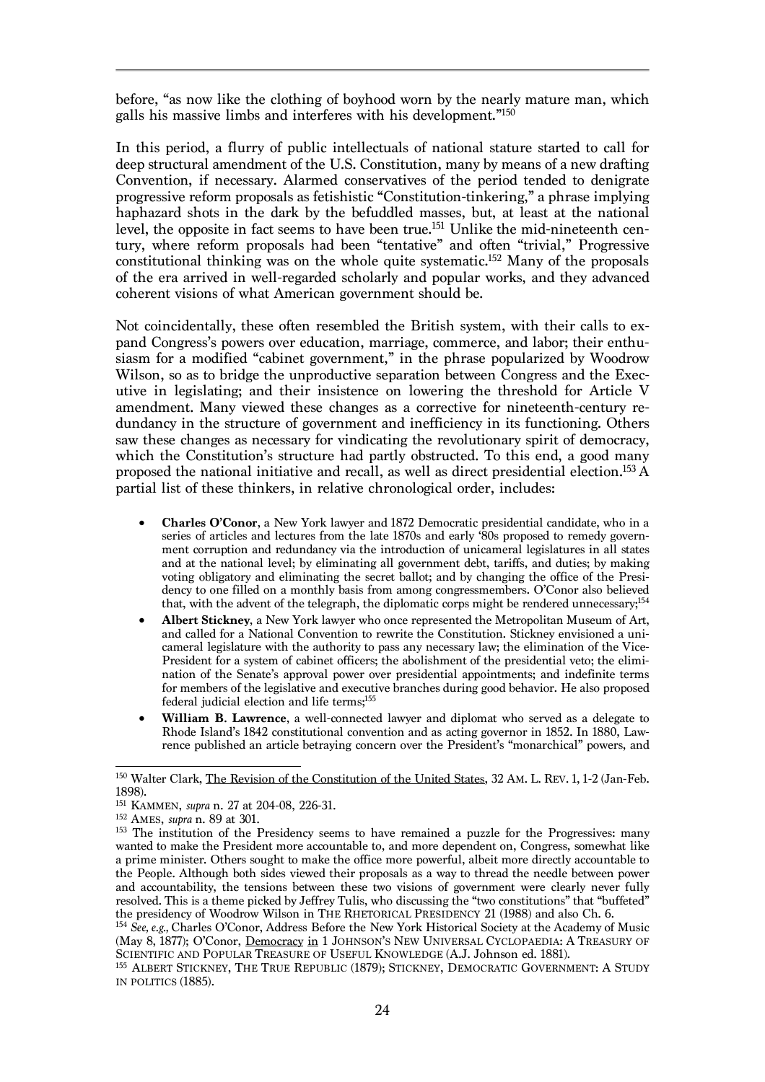before, "as now like the clothing of boyhood worn by the nearly mature man, which galls his massive limbs and interferes with his development."150

In this period, a flurry of public intellectuals of national stature started to call for deep structural amendment of the U.S. Constitution, many by means of a new drafting Convention, if necessary. Alarmed conservatives of the period tended to denigrate progressive reform proposals as fetishistic "Constitution-tinkering," a phrase implying haphazard shots in the dark by the befuddled masses, but, at least at the national level, the opposite in fact seems to have been true.151 Unlike the mid-nineteenth century, where reform proposals had been "tentative" and often "trivial," Progressive constitutional thinking was on the whole quite systematic. <sup>152</sup> Many of the proposals of the era arrived in well-regarded scholarly and popular works, and they advanced coherent visions of what American government should be.

Not coincidentally, these often resembled the British system, with their calls to expand Congress's powers over education, marriage, commerce, and labor; their enthusiasm for a modified "cabinet government," in the phrase popularized by Woodrow Wilson, so as to bridge the unproductive separation between Congress and the Executive in legislating; and their insistence on lowering the threshold for Article V amendment. Many viewed these changes as a corrective for nineteenth-century redundancy in the structure of government and inefficiency in its functioning. Others saw these changes as necessary for vindicating the revolutionary spirit of democracy, which the Constitution's structure had partly obstructed. To this end, a good many proposed the national initiative and recall, as well as direct presidential election. <sup>153</sup> A partial list of these thinkers, in relative chronological order, includes:

- **Charles O'Conor**, a New York lawyer and 1872 Democratic presidential candidate, who in a series of articles and lectures from the late 1870s and early '80s proposed to remedy government corruption and redundancy via the introduction of unicameral legislatures in all states and at the national level; by eliminating all government debt, tariffs, and duties; by making voting obligatory and eliminating the secret ballot; and by changing the office of the Presidency to one filled on a monthly basis from among congressmembers. O'Conor also believed that, with the advent of the telegraph, the diplomatic corps might be rendered unnecessary; 154
- **Albert Stickney**, a New York lawyer who once represented the Metropolitan Museum of Art, and called for a National Convention to rewrite the Constitution. Stickney envisioned a unicameral legislature with the authority to pass any necessary law; the elimination of the Vice-President for a system of cabinet officers; the abolishment of the presidential veto; the elimination of the Senate's approval power over presidential appointments; and indefinite terms for members of the legislative and executive branches during good behavior. He also proposed federal judicial election and life terms; 155
- **William B. Lawrence**, a well-connected lawyer and diplomat who served as a delegate to Rhode Island's 1842 constitutional convention and as acting governor in 1852. In 1880, Lawrence published an article betraying concern over the President's "monarchical" powers, and

<sup>154</sup> *See, e.g.,* Charles O'Conor, Address Before the New York Historical Society at the Academy of Music (May 8, 1877); O'Conor, Democracy in 1 JOHNSON'S NEW UNIVERSAL CYCLOPAEDIA: A TREASURY OF SCIENTIFIC AND POPULAR TREASURE OF USEFUL KNOWLEDGE (A.J. Johnson ed. 1881).

<sup>155</sup> ALBERT STICKNEY, THE TRUE REPUBLIC (1879); STICKNEY, DEMOCRATIC GOVERNMENT: A STUDY IN POLITICS (1885).

 $\overline{a}$ <sup>150</sup> Walter Clark, <u>The Revision of the Constitution of the United States</u>, 32 AM. L. REV. 1, 1-2 (Jan-Feb. 1898).

<sup>151</sup> KAMMEN, *supra* n. 27 at 204-08, 226-31.

<sup>152</sup> AMES, *supra* n. 89 at 301.

<sup>&</sup>lt;sup>153</sup> The institution of the Presidency seems to have remained a puzzle for the Progressives: many wanted to make the President more accountable to, and more dependent on, Congress, somewhat like a prime minister. Others sought to make the office more powerful, albeit more directly accountable to the People. Although both sides viewed their proposals as a way to thread the needle between power and accountability, the tensions between these two visions of government were clearly never fully resolved. This is a theme picked by Jeffrey Tulis, who discussing the "two constitutions" that "buffeted" the presidency of Woodrow Wilson in THE RHETORICAL PRESIDENCY 21 (1988) and also Ch. 6.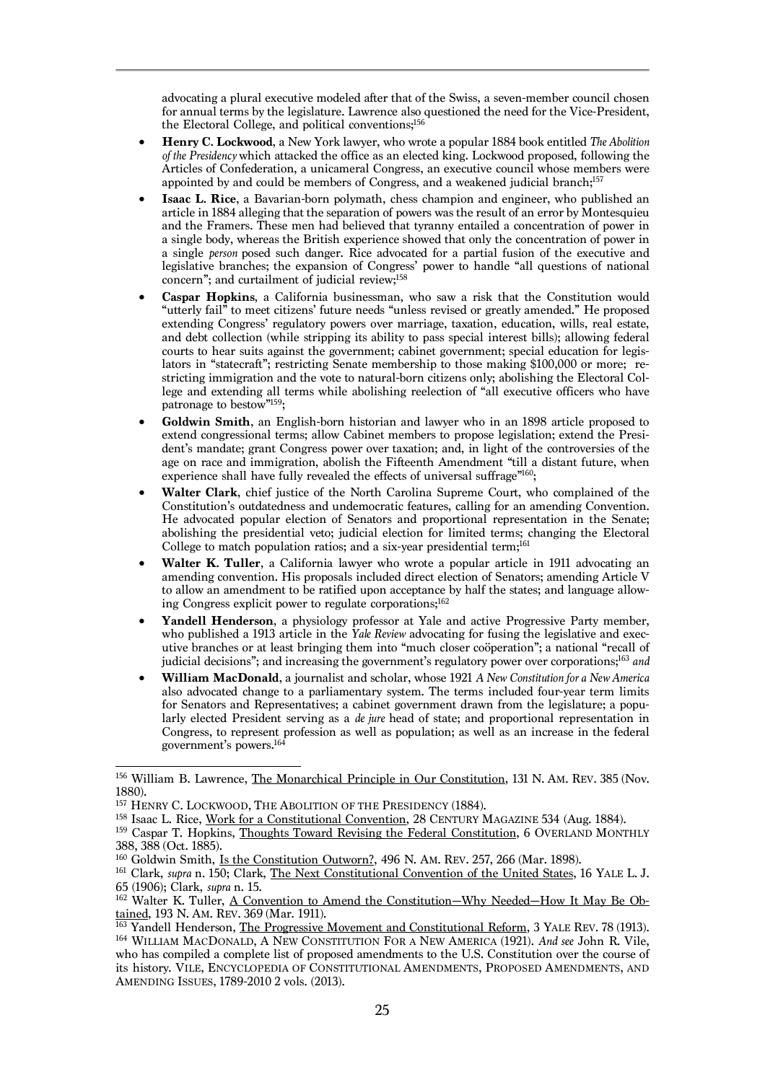advocating a plural executive modeled after that of the Swiss, a seven-member council chosen for annual terms by the legislature. Lawrence also questioned the need for the Vice-President, the Electoral College, and political conventions; 156

- **Henry C. Lockwood**, a New York lawyer, who wrote a popular 1884 book entitled *The Abolition of the Presidency* which attacked the office as an elected king. Lockwood proposed, following the Articles of Confederation, a unicameral Congress, an executive council whose members were appointed by and could be members of Congress, and a weakened judicial branch;<sup>157</sup>
- **Isaac L. Rice**, a Bavarian-born polymath, chess champion and engineer, who published an article in 1884 alleging that the separation of powers was the result of an error by Montesquieu and the Framers. These men had believed that tyranny entailed a concentration of power in a single body, whereas the British experience showed that only the concentration of power in a single *person* posed such danger. Rice advocated for a partial fusion of the executive and legislative branches; the expansion of Congress' power to handle "all questions of national concern"; and curtailment of judicial review; 158
- **Caspar Hopkins**, a California businessman, who saw a risk that the Constitution would "utterly fail" to meet citizens' future needs "unless revised or greatly amended." He proposed extending Congress' regulatory powers over marriage, taxation, education, wills, real estate, and debt collection (while stripping its ability to pass special interest bills); allowing federal courts to hear suits against the government; cabinet government; special education for legislators in "statecraft"; restricting Senate membership to those making \$100,000 or more; restricting immigration and the vote to natural-born citizens only; abolishing the Electoral College and extending all terms while abolishing reelection of "all executive officers who have patronage to bestow"159;
- **Goldwin Smith**, an English-born historian and lawyer who in an 1898 article proposed to extend congressional terms; allow Cabinet members to propose legislation; extend the President's mandate; grant Congress power over taxation; and, in light of the controversies of the age on race and immigration, abolish the Fifteenth Amendment "till a distant future, when experience shall have fully revealed the effects of universal suffrage"<sup>160</sup>;
- **Walter Clark**, chief justice of the North Carolina Supreme Court, who complained of the Constitution's outdatedness and undemocratic features, calling for an amending Convention. He advocated popular election of Senators and proportional representation in the Senate; abolishing the presidential veto; judicial election for limited terms; changing the Electoral College to match population ratios; and a six-year presidential term;<sup>161</sup>
- **Walter K. Tuller**, a California lawyer who wrote a popular article in 1911 advocating an amending convention. His proposals included direct election of Senators; amending Article V to allow an amendment to be ratified upon acceptance by half the states; and language allowing Congress explicit power to regulate corporations; 162
- **Yandell Henderson**, a physiology professor at Yale and active Progressive Party member, who published a 1913 article in the *Yale Review* advocating for fusing the legislative and executive branches or at least bringing them into "much closer coöperation"; a national "recall of judicial decisions"; and increasing the government's regulatory power over corporations; <sup>163</sup> *and*
- **William MacDonald**, a journalist and scholar, whose 1921 *A New Constitution for a New America*  also advocated change to a parliamentary system. The terms included four-year term limits for Senators and Representatives; a cabinet government drawn from the legislature; a popularly elected President serving as a *de jure* head of state; and proportional representation in Congress, to represent profession as well as population; as well as an increase in the federal government's powers.164

 $\overline{a}$ <sup>156</sup> William B. Lawrence, <u>The Monarchical Principle in Our Constitution</u>, 131 N. AM. REV. 385 (Nov. 1880).

<sup>&</sup>lt;sup>157</sup> HENRY C. LOCKWOOD, THE ABOLITION OF THE PRESIDENCY (1884).

<sup>&</sup>lt;sup>158</sup> Isaac L. Rice, Work for a Constitutional Convention, 28 CENTURY MAGAZINE 534 (Aug. 1884).

<sup>&</sup>lt;sup>159</sup> Caspar T. Hopkins, Thoughts Toward Revising the Federal Constitution, 6 OVERLAND MONTHLY 388, 388 (Oct. 1885).

<sup>&</sup>lt;sup>160</sup> Goldwin Smith, <u>Is the Constitution Outworn?</u>, 496 N. Am. REV. 257, 266 (Mar. 1898).

<sup>161</sup> Clark, *supra* n. 150; Clark, The Next Constitutional Convention of the United States, 16 YALE L. J. 65 (1906); Clark, *supra* n. 15.

<sup>&</sup>lt;sup>162</sup> Walter K. Tuller, <u>A Convention to Amend the Constitution–Why Needed–How It May Be Ob-</u> tained, 193 N. AM. REV. 369 (Mar. 1911).

<sup>&</sup>lt;sup>163</sup> Yandell Henderson, The Progressive Movement and Constitutional Reform, 3 YALE REV. 78 (1913). <sup>164</sup> WILLIAM MACDONALD, A NEW CONSTITUTION FOR A NEW AMERICA (1921). *And see* John R. Vile, who has compiled a complete list of proposed amendments to the U.S. Constitution over the course of its history. VILE, ENCYCLOPEDIA OF CONSTITUTIONAL AMENDMENTS, PROPOSED AMENDMENTS, AND AMENDING ISSUES, 1789-2010 2 vols. (2013).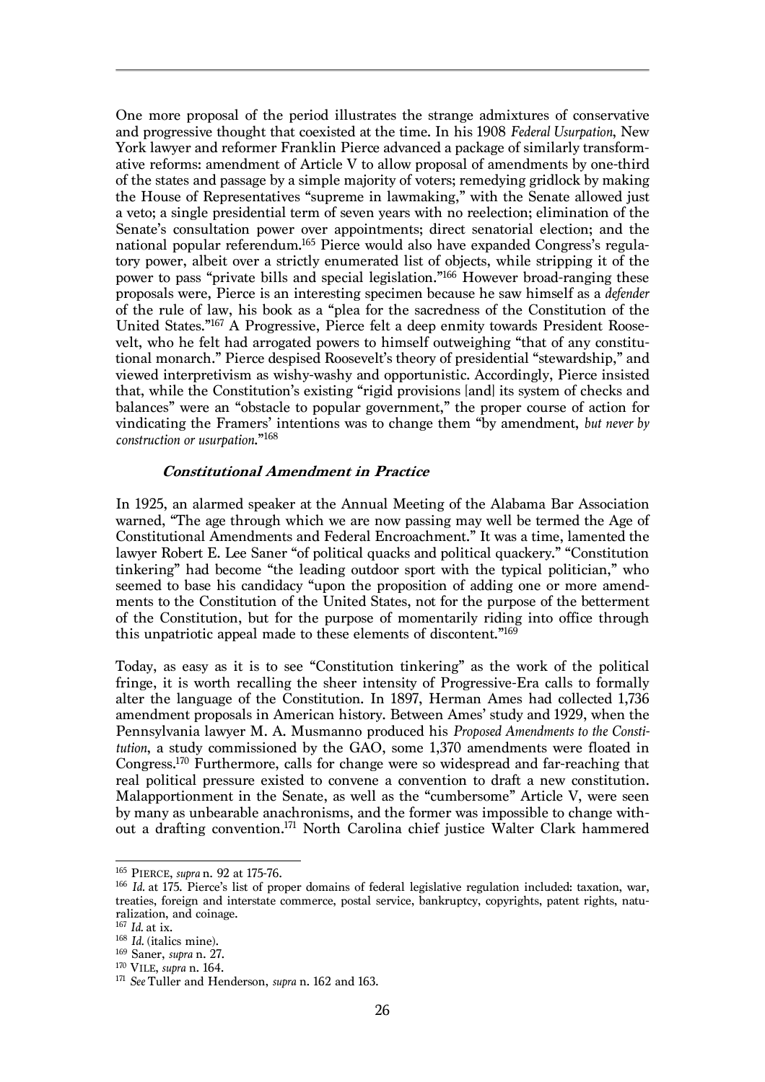One more proposal of the period illustrates the strange admixtures of conservative and progressive thought that coexisted at the time. In his 1908 *Federal Usurpation*, New York lawyer and reformer Franklin Pierce advanced a package of similarly transformative reforms: amendment of Article V to allow proposal of amendments by one-third of the states and passage by a simple majority of voters; remedying gridlock by making the House of Representatives "supreme in lawmaking," with the Senate allowed just a veto; a single presidential term of seven years with no reelection; elimination of the Senate's consultation power over appointments; direct senatorial election; and the national popular referendum.165 Pierce would also have expanded Congress's regulatory power, albeit over a strictly enumerated list of objects, while stripping it of the power to pass "private bills and special legislation."166 However broad-ranging these proposals were, Pierce is an interesting specimen because he saw himself as a *defender* of the rule of law, his book as a "plea for the sacredness of the Constitution of the United States."167 A Progressive, Pierce felt a deep enmity towards President Roosevelt, who he felt had arrogated powers to himself outweighing "that of any constitutional monarch." Pierce despised Roosevelt's theory of presidential "stewardship," and viewed interpretivism as wishy-washy and opportunistic. Accordingly, Pierce insisted that, while the Constitution's existing "rigid provisions [and] its system of checks and balances" were an "obstacle to popular government," the proper course of action for vindicating the Framers' intentions was to change them "by amendment, *but never by construction or usurpation*."168

## **Constitutional Amendment in Practice**

In 1925, an alarmed speaker at the Annual Meeting of the Alabama Bar Association warned, "The age through which we are now passing may well be termed the Age of Constitutional Amendments and Federal Encroachment." It was a time, lamented the lawyer Robert E. Lee Saner "of political quacks and political quackery." "Constitution tinkering" had become "the leading outdoor sport with the typical politician," who seemed to base his candidacy "upon the proposition of adding one or more amendments to the Constitution of the United States, not for the purpose of the betterment of the Constitution, but for the purpose of momentarily riding into office through this unpatriotic appeal made to these elements of discontent."169

Today, as easy as it is to see "Constitution tinkering" as the work of the political fringe, it is worth recalling the sheer intensity of Progressive-Era calls to formally alter the language of the Constitution. In 1897, Herman Ames had collected 1,736 amendment proposals in American history. Between Ames' study and 1929, when the Pennsylvania lawyer M. A. Musmanno produced his *Proposed Amendments to the Constitution*, a study commissioned by the GAO, some 1,370 amendments were floated in Congress.170 Furthermore, calls for change were so widespread and far-reaching that real political pressure existed to convene a convention to draft a new constitution. Malapportionment in the Senate, as well as the "cumbersome" Article V, were seen by many as unbearable anachronisms, and the former was impossible to change without a drafting convention. <sup>171</sup> North Carolina chief justice Walter Clark hammered

<sup>165</sup> PIERCE, *supra* n. 92 at 175-76.

<sup>166</sup> *Id.* at 175. Pierce's list of proper domains of federal legislative regulation included: taxation, war, treaties, foreign and interstate commerce, postal service, bankruptcy, copyrights, patent rights, naturalization, and coinage.

<sup>167</sup> *Id.* at ix.

<sup>&</sup>lt;sup>168</sup> *Id.* (italics mine).<br><sup>169</sup> Saner, *supra* n. 27.

<sup>169</sup> Saner, *supra* n. 27. <sup>170</sup> VILE, *supra* n. 164. <sup>171</sup> *See* Tuller and Henderson, *supra* n. 162 and 163.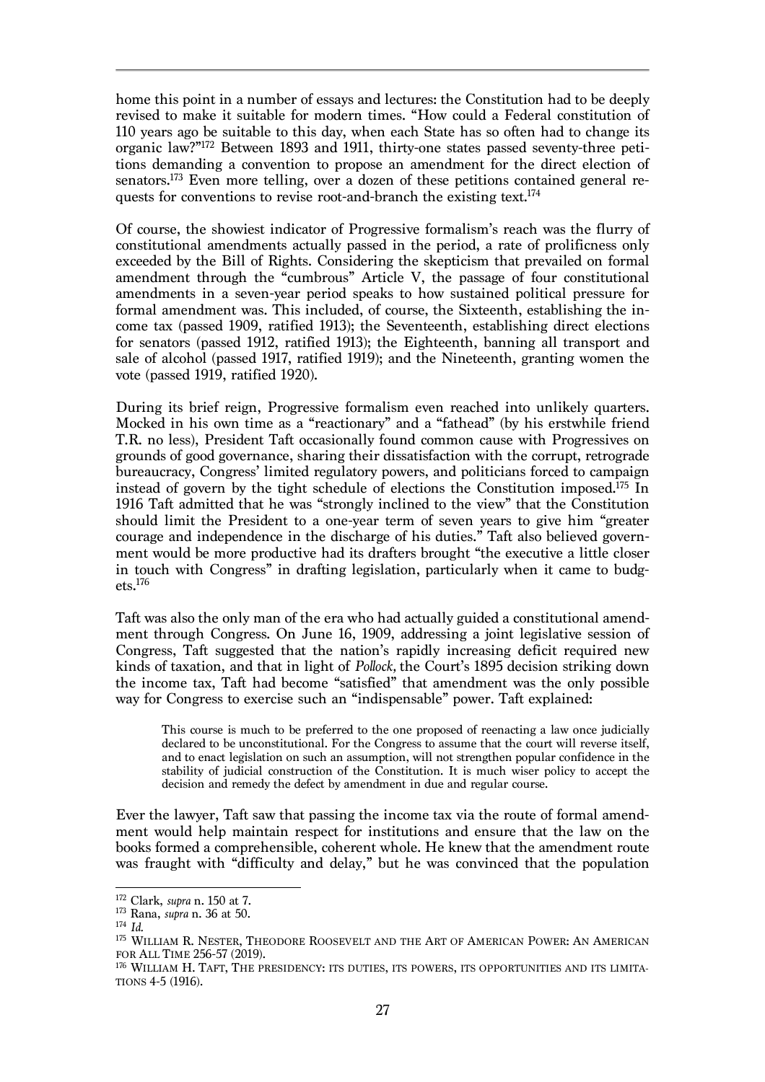home this point in a number of essays and lectures: the Constitution had to be deeply revised to make it suitable for modern times. "How could a Federal constitution of 110 years ago be suitable to this day, when each State has so often had to change its organic law?"172 Between 1893 and 1911, thirty-one states passed seventy-three petitions demanding a convention to propose an amendment for the direct election of senators.173 Even more telling, over a dozen of these petitions contained general requests for conventions to revise root-and-branch the existing text.<sup>174</sup>

Of course, the showiest indicator of Progressive formalism's reach was the flurry of constitutional amendments actually passed in the period, a rate of prolificness only exceeded by the Bill of Rights. Considering the skepticism that prevailed on formal amendment through the "cumbrous" Article V, the passage of four constitutional amendments in a seven-year period speaks to how sustained political pressure for formal amendment was. This included, of course, the Sixteenth, establishing the income tax (passed 1909, ratified 1913); the Seventeenth, establishing direct elections for senators (passed 1912, ratified 1913); the Eighteenth, banning all transport and sale of alcohol (passed 1917, ratified 1919); and the Nineteenth, granting women the vote (passed 1919, ratified 1920).

During its brief reign, Progressive formalism even reached into unlikely quarters. Mocked in his own time as a "reactionary" and a "fathead" (by his erstwhile friend T.R. no less), President Taft occasionally found common cause with Progressives on grounds of good governance, sharing their dissatisfaction with the corrupt, retrograde bureaucracy, Congress' limited regulatory powers, and politicians forced to campaign instead of govern by the tight schedule of elections the Constitution imposed. <sup>175</sup> In 1916 Taft admitted that he was "strongly inclined to the view" that the Constitution should limit the President to a one-year term of seven years to give him "greater courage and independence in the discharge of his duties." Taft also believed government would be more productive had its drafters brought "the executive a little closer in touch with Congress" in drafting legislation, particularly when it came to budgets.176

Taft was also the only man of the era who had actually guided a constitutional amendment through Congress. On June 16, 1909, addressing a joint legislative session of Congress, Taft suggested that the nation's rapidly increasing deficit required new kinds of taxation, and that in light of *Pollock,* the Court's 1895 decision striking down the income tax, Taft had become "satisfied" that amendment was the only possible way for Congress to exercise such an "indispensable" power. Taft explained:

This course is much to be preferred to the one proposed of reenacting a law once judicially declared to be unconstitutional. For the Congress to assume that the court will reverse itself, and to enact legislation on such an assumption, will not strengthen popular confidence in the stability of judicial construction of the Constitution. It is much wiser policy to accept the decision and remedy the defect by amendment in due and regular course.

Ever the lawyer, Taft saw that passing the income tax via the route of formal amendment would help maintain respect for institutions and ensure that the law on the books formed a comprehensible, coherent whole. He knew that the amendment route was fraught with "difficulty and delay," but he was convinced that the population

<sup>172</sup> Clark, *supra* n. 150 at 7.

<sup>173</sup> Rana, *supra* n. 36 at 50.

<sup>174</sup> *Id.*

<sup>175</sup> WILLIAM R. NESTER, THEODORE ROOSEVELT AND THE ART OF AMERICAN POWER: AN AMERICAN FOR ALL TIME 256-57 (2019).

<sup>176</sup> WILLIAM H. TAFT, THE PRESIDENCY: ITS DUTIES, ITS POWERS, ITS OPPORTUNITIES AND ITS LIMITA-TIONS 4-5 (1916).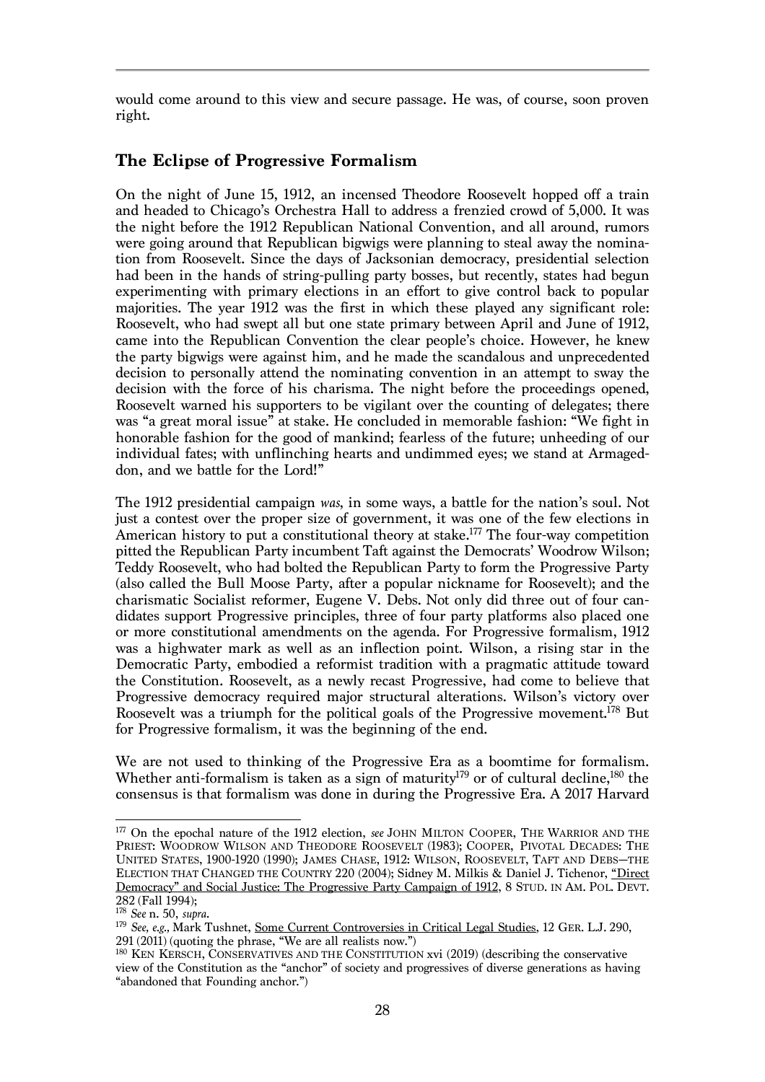would come around to this view and secure passage. He was, of course, soon proven right.

# **The Eclipse of Progressive Formalism**

On the night of June 15, 1912, an incensed Theodore Roosevelt hopped off a train and headed to Chicago's Orchestra Hall to address a frenzied crowd of 5,000. It was the night before the 1912 Republican National Convention, and all around, rumors were going around that Republican bigwigs were planning to steal away the nomination from Roosevelt. Since the days of Jacksonian democracy, presidential selection had been in the hands of string-pulling party bosses, but recently, states had begun experimenting with primary elections in an effort to give control back to popular majorities. The year 1912 was the first in which these played any significant role: Roosevelt, who had swept all but one state primary between April and June of 1912, came into the Republican Convention the clear people's choice. However, he knew the party bigwigs were against him, and he made the scandalous and unprecedented decision to personally attend the nominating convention in an attempt to sway the decision with the force of his charisma. The night before the proceedings opened, Roosevelt warned his supporters to be vigilant over the counting of delegates; there was "a great moral issue" at stake. He concluded in memorable fashion: "We fight in honorable fashion for the good of mankind; fearless of the future; unheeding of our individual fates; with unflinching hearts and undimmed eyes; we stand at Armageddon, and we battle for the Lord!"

The 1912 presidential campaign *was*, in some ways, a battle for the nation's soul. Not just a contest over the proper size of government, it was one of the few elections in American history to put a constitutional theory at stake.177 The four-way competition pitted the Republican Party incumbent Taft against the Democrats' Woodrow Wilson; Teddy Roosevelt, who had bolted the Republican Party to form the Progressive Party (also called the Bull Moose Party, after a popular nickname for Roosevelt); and the charismatic Socialist reformer, Eugene V. Debs. Not only did three out of four candidates support Progressive principles, three of four party platforms also placed one or more constitutional amendments on the agenda. For Progressive formalism, 1912 was a highwater mark as well as an inflection point. Wilson, a rising star in the Democratic Party, embodied a reformist tradition with a pragmatic attitude toward the Constitution. Roosevelt, as a newly recast Progressive, had come to believe that Progressive democracy required major structural alterations. Wilson's victory over Roosevelt was a triumph for the political goals of the Progressive movement.178 But for Progressive formalism, it was the beginning of the end.

We are not used to thinking of the Progressive Era as a boomtime for formalism. Whether anti-formalism is taken as a sign of maturity<sup>179</sup> or of cultural decline,<sup>180</sup> the consensus is that formalism was done in during the Progressive Era. A 2017 Harvard

 $\overline{a}$ <sup>177</sup> On the epochal nature of the 1912 election, *see* JOHN MILTON COOPER, THE WARRIOR AND THE PRIEST: WOODROW WILSON AND THEODORE ROOSEVELT (1983); COOPER, PIVOTAL DECADES: THE UNITED STATES, 1900-1920 (1990); JAMES CHASE, 1912: WILSON, ROOSEVELT, TAFT AND DEBS—THE ELECTION THAT CHANGED THE COUNTRY 220 (2004); Sidney M. Milkis & Daniel J. Tichenor, "Direct Democracy" and Social Justice: The Progressive Party Campaign of 1912, 8 STUD. IN AM. POL. DEVT.

<sup>282 (</sup>Fall 1994);<br><sup>178</sup> See n. 50, *supra*.

<sup>&</sup>lt;sup>179</sup> *See, e.g., Mark Tushnet, Some Current Controversies in Critical Legal Studies, 12 GER. L.J. 290,* 291 (2011) (quoting the phrase, "We are all realists now.")

<sup>&</sup>lt;sup>180</sup> KEN KERSCH, CONSERVATIVES AND THE CONSTITUTION xvi (2019) (describing the conservative view of the Constitution as the "anchor" of society and progressives of diverse generations as having "abandoned that Founding anchor.")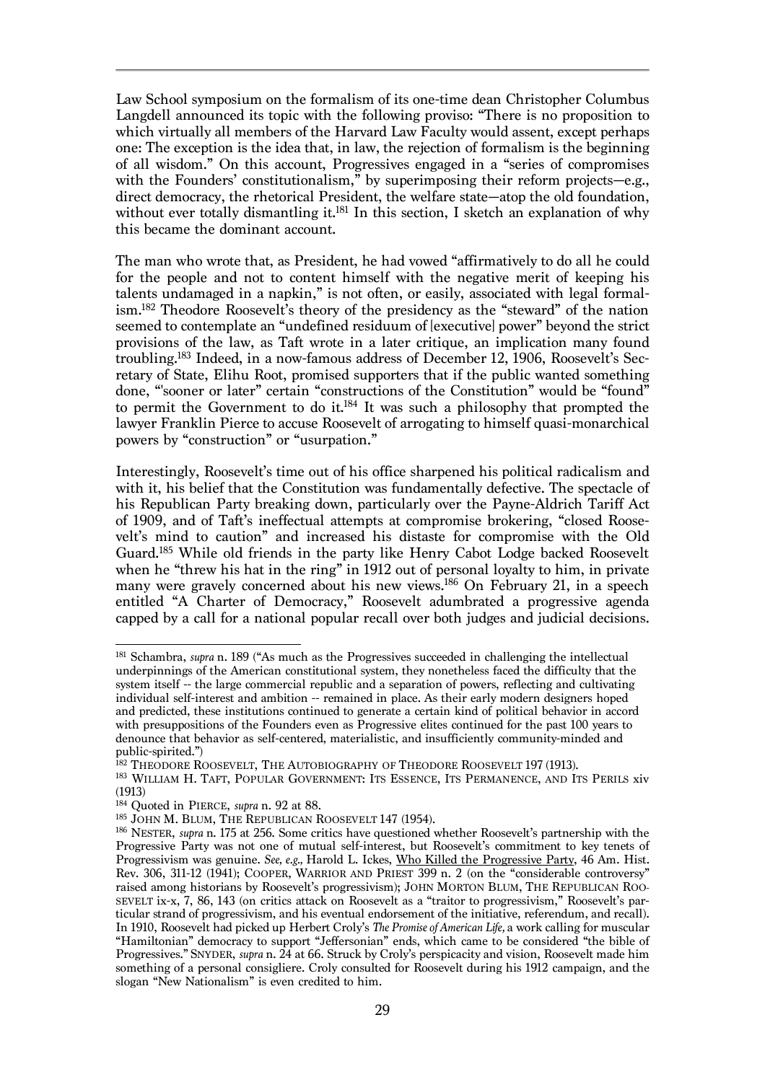Law School symposium on the formalism of its one-time dean Christopher Columbus Langdell announced its topic with the following proviso: "There is no proposition to which virtually all members of the Harvard Law Faculty would assent, except perhaps one: The exception is the idea that, in law, the rejection of formalism is the beginning of all wisdom." On this account, Progressives engaged in a "series of compromises with the Founders' constitutionalism," by superimposing their reform projects—e.g., direct democracy, the rhetorical President, the welfare state—atop the old foundation, without ever totally dismantling it.<sup>181</sup> In this section, I sketch an explanation of why this became the dominant account.

The man who wrote that, as President, he had vowed "affirmatively to do all he could for the people and not to content himself with the negative merit of keeping his talents undamaged in a napkin," is not often, or easily, associated with legal formalism.182 Theodore Roosevelt's theory of the presidency as the "steward" of the nation seemed to contemplate an "undefined residuum of [executive] power" beyond the strict provisions of the law, as Taft wrote in a later critique, an implication many found troubling.183 Indeed, in a now-famous address of December 12, 1906, Roosevelt's Secretary of State, Elihu Root, promised supporters that if the public wanted something done, "'sooner or later" certain "constructions of the Constitution" would be "found" to permit the Government to do it.184 It was such a philosophy that prompted the lawyer Franklin Pierce to accuse Roosevelt of arrogating to himself quasi-monarchical powers by "construction" or "usurpation."

Interestingly, Roosevelt's time out of his office sharpened his political radicalism and with it, his belief that the Constitution was fundamentally defective. The spectacle of his Republican Party breaking down, particularly over the Payne-Aldrich Tariff Act of 1909, and of Taft's ineffectual attempts at compromise brokering, "closed Roosevelt's mind to caution" and increased his distaste for compromise with the Old Guard.185 While old friends in the party like Henry Cabot Lodge backed Roosevelt when he "threw his hat in the ring" in 1912 out of personal loyalty to him, in private many were gravely concerned about his new views.<sup>186</sup> On February 21, in a speech entitled "A Charter of Democracy," Roosevelt adumbrated a progressive agenda capped by a call for a national popular recall over both judges and judicial decisions.

 $\overline{a}$ <sup>181</sup> Schambra, *supra* n. 189 ("As much as the Progressives succeeded in challenging the intellectual underpinnings of the American constitutional system, they nonetheless faced the difficulty that the system itself -- the large commercial republic and a separation of powers, reflecting and cultivating individual self-interest and ambition -- remained in place. As their early modern designers hoped and predicted, these institutions continued to generate a certain kind of political behavior in accord with presuppositions of the Founders even as Progressive elites continued for the past 100 years to denounce that behavior as self-centered, materialistic, and insufficiently community-minded and

public-spirited.")<br>
<sup>182</sup> THEODORE ROOSEVELT, THE AUTOBIOGRAPHY OF THEODORE ROOSEVELT 197 (1913). <sup>183</sup> WILLIAM H. TAFT, POPULAR GOVERNMENT: ITS ESSENCE, ITS PERMANENCE, AND ITS PERILS xiv (1913)

<sup>184</sup> Quoted in PIERCE, *supra* n. 92 at 88.

<sup>185</sup> JOHN M. BLUM, THE REPUBLICAN ROOSEVELT 147 (1954).

<sup>186</sup> NESTER, *supra* n. 175 at 256. Some critics have questioned whether Roosevelt's partnership with the Progressive Party was not one of mutual self-interest, but Roosevelt's commitment to key tenets of Progressivism was genuine. *See, e.g.,* Harold L. Ickes, Who Killed the Progressive Party, 46 Am. Hist. Rev. 306, 311-12 (1941); COOPER, WARRIOR AND PRIEST 399 n. 2 (on the "considerable controversy" raised among historians by Roosevelt's progressivism); JOHN MORTON BLUM, THE REPUBLICAN ROO-SEVELT ix-x, 7, 86, 143 (on critics attack on Roosevelt as a "traitor to progressivism," Roosevelt's particular strand of progressivism, and his eventual endorsement of the initiative, referendum, and recall). In 1910, Roosevelt had picked up Herbert Croly's *The Promise of American Life,* a work calling for muscular "Hamiltonian" democracy to support "Jeffersonian" ends, which came to be considered "the bible of Progressives." SNYDER, *supra* n. 24 at 66. Struck by Croly's perspicacity and vision, Roosevelt made him something of a personal consigliere. Croly consulted for Roosevelt during his 1912 campaign, and the slogan "New Nationalism" is even credited to him.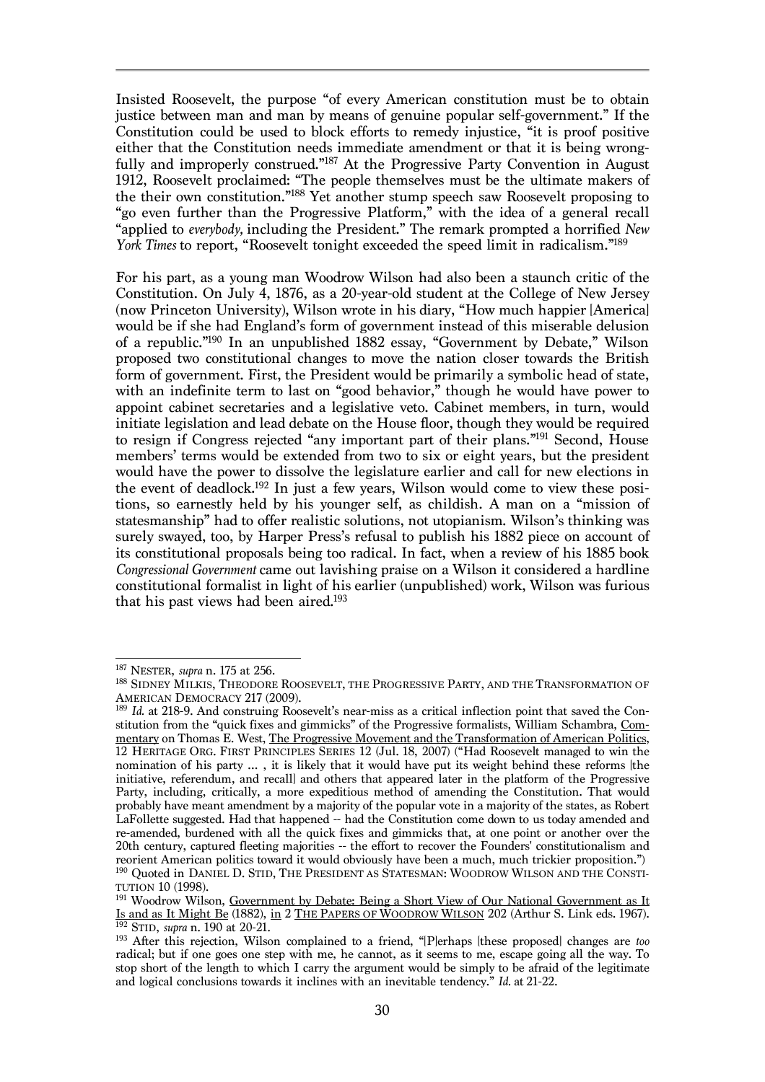Insisted Roosevelt, the purpose "of every American constitution must be to obtain justice between man and man by means of genuine popular self-government." If the Constitution could be used to block efforts to remedy injustice, "it is proof positive either that the Constitution needs immediate amendment or that it is being wrongfully and improperly construed."<sup>187</sup> At the Progressive Party Convention in August 1912, Roosevelt proclaimed: "The people themselves must be the ultimate makers of the their own constitution."188 Yet another stump speech saw Roosevelt proposing to "go even further than the Progressive Platform," with the idea of a general recall "applied to *everybody,* including the President." The remark prompted a horrified *New York Times* to report, "Roosevelt tonight exceeded the speed limit in radicalism."189

For his part, as a young man Woodrow Wilson had also been a staunch critic of the Constitution. On July 4, 1876, as a 20-year-old student at the College of New Jersey (now Princeton University), Wilson wrote in his diary, "How much happier [America] would be if she had England's form of government instead of this miserable delusion of a republic."190 In an unpublished 1882 essay, "Government by Debate," Wilson proposed two constitutional changes to move the nation closer towards the British form of government. First, the President would be primarily a symbolic head of state, with an indefinite term to last on "good behavior," though he would have power to appoint cabinet secretaries and a legislative veto. Cabinet members, in turn, would initiate legislation and lead debate on the House floor, though they would be required to resign if Congress rejected "any important part of their plans."191 Second, House members' terms would be extended from two to six or eight years, but the president would have the power to dissolve the legislature earlier and call for new elections in the event of deadlock.192 In just a few years, Wilson would come to view these positions, so earnestly held by his younger self, as childish. A man on a "mission of statesmanship" had to offer realistic solutions, not utopianism. Wilson's thinking was surely swayed, too, by Harper Press's refusal to publish his 1882 piece on account of its constitutional proposals being too radical. In fact, when a review of his 1885 book *Congressional Government* came out lavishing praise on a Wilson it considered a hardline constitutional formalist in light of his earlier (unpublished) work, Wilson was furious that his past views had been aired.193

<sup>187</sup> NESTER, *supra* n. 175 at 256.

<sup>188</sup> SIDNEY MILKIS, THEODORE ROOSEVELT, THE PROGRESSIVE PARTY, AND THE TRANSFORMATION OF AMERICAN DEMOCRACY 217 (2009).

<sup>189</sup> *Id.* at 218-9. And construing Roosevelt's near-miss as a critical inflection point that saved the Constitution from the "quick fixes and gimmicks" of the Progressive formalists, William Schambra, Commentary on Thomas E. West, The Progressive Movement and the Transformation of American Politics, 12 HERITAGE ORG. FIRST PRINCIPLES SERIES 12 (Jul. 18, 2007) ("Had Roosevelt managed to win the nomination of his party … , it is likely that it would have put its weight behind these reforms [the initiative, referendum, and recall] and others that appeared later in the platform of the Progressive Party, including, critically, a more expeditious method of amending the Constitution. That would probably have meant amendment by a majority of the popular vote in a majority of the states, as Robert LaFollette suggested. Had that happened -- had the Constitution come down to us today amended and re-amended, burdened with all the quick fixes and gimmicks that, at one point or another over the 20th century, captured fleeting majorities -- the effort to recover the Founders' constitutionalism and reorient American politics toward it would obviously have been a much, much trickier proposition.") <sup>190</sup> Quoted in DANIEL D. STID, THE PRESIDENT AS STATESMAN: WOODROW WILSON AND THE CONSTI-TUTION 10 (1998).

<sup>&</sup>lt;sup>191</sup> Woodrow Wilson, Government by Debate: Being a Short View of Our National Government as It Is and as It Might Be (1882), in 2 THE PAPERS OF WOODROW WILSON 202 (Arthur S. Link eds. 1967). <sup>192</sup> STID, *supra* n. 190 at 20-21.

<sup>&</sup>lt;sup>193</sup> After this rejection, Wilson complained to a friend, "[P]erhaps [these proposed] changes are *too* radical; but if one goes one step with me, he cannot, as it seems to me, escape going all the way. To stop short of the length to which I carry the argument would be simply to be afraid of the legitimate and logical conclusions towards it inclines with an inevitable tendency." *Id.* at 21-22.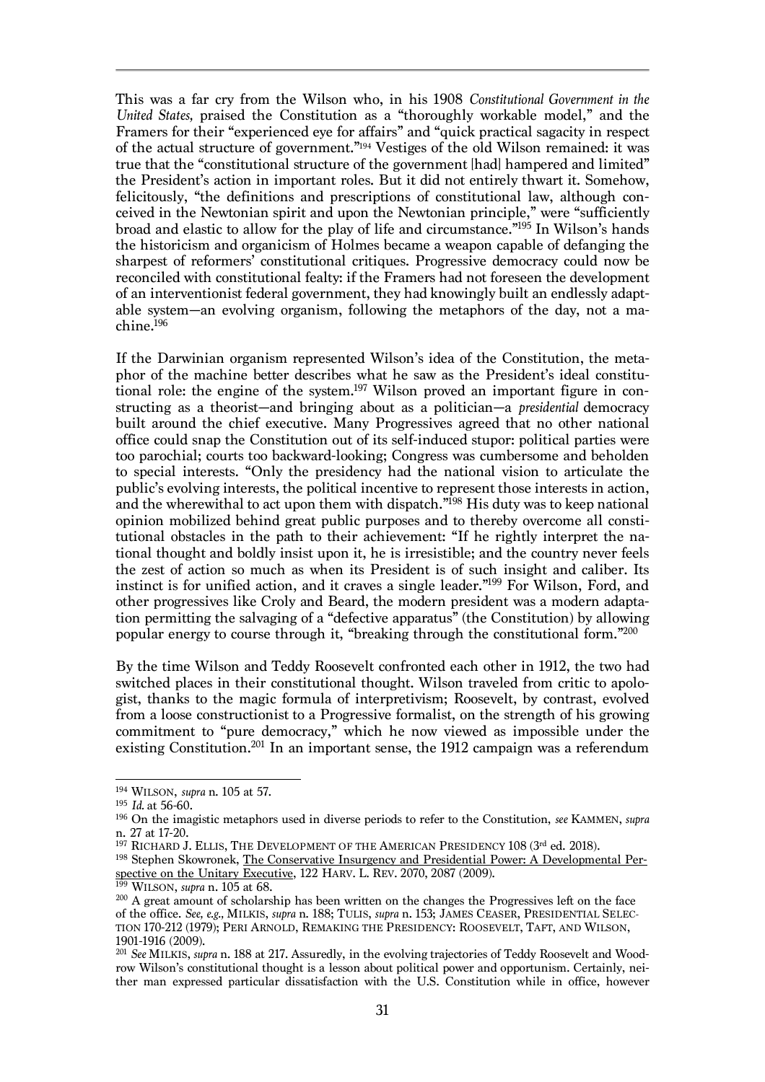This was a far cry from the Wilson who, in his 1908 *Constitutional Government in the United States,* praised the Constitution as a "thoroughly workable model," and the Framers for their "experienced eye for affairs" and "quick practical sagacity in respect of the actual structure of government."194 Vestiges of the old Wilson remained: it was true that the "constitutional structure of the government [had] hampered and limited" the President's action in important roles. But it did not entirely thwart it. Somehow, felicitously, "the definitions and prescriptions of constitutional law, although conceived in the Newtonian spirit and upon the Newtonian principle," were "sufficiently broad and elastic to allow for the play of life and circumstance."195 In Wilson's hands the historicism and organicism of Holmes became a weapon capable of defanging the sharpest of reformers' constitutional critiques. Progressive democracy could now be reconciled with constitutional fealty: if the Framers had not foreseen the development of an interventionist federal government, they had knowingly built an endlessly adaptable system—an evolving organism, following the metaphors of the day, not a machine.196

If the Darwinian organism represented Wilson's idea of the Constitution, the metaphor of the machine better describes what he saw as the President's ideal constitutional role: the engine of the system.197 Wilson proved an important figure in constructing as a theorist—and bringing about as a politician—a *presidential* democracy built around the chief executive. Many Progressives agreed that no other national office could snap the Constitution out of its self-induced stupor: political parties were too parochial; courts too backward-looking; Congress was cumbersome and beholden to special interests. "Only the presidency had the national vision to articulate the public's evolving interests, the political incentive to represent those interests in action, and the wherewithal to act upon them with dispatch."<sup>198</sup> His duty was to keep national opinion mobilized behind great public purposes and to thereby overcome all constitutional obstacles in the path to their achievement: "If he rightly interpret the national thought and boldly insist upon it, he is irresistible; and the country never feels the zest of action so much as when its President is of such insight and caliber. Its instinct is for unified action, and it craves a single leader."199 For Wilson, Ford, and other progressives like Croly and Beard, the modern president was a modern adaptation permitting the salvaging of a "defective apparatus" (the Constitution) by allowing popular energy to course through it, "breaking through the constitutional form."200

By the time Wilson and Teddy Roosevelt confronted each other in 1912, the two had switched places in their constitutional thought. Wilson traveled from critic to apologist, thanks to the magic formula of interpretivism; Roosevelt, by contrast, evolved from a loose constructionist to a Progressive formalist, on the strength of his growing commitment to "pure democracy," which he now viewed as impossible under the existing Constitution.201 In an important sense, the 1912 campaign was a referendum

<sup>194</sup> WILSON, *supra* n. 105 at 57.

<sup>195</sup> *Id.* at 56-60.

<sup>196</sup> On the imagistic metaphors used in diverse periods to refer to the Constitution, *see* KAMMEN, *supra*  n. 27 at 17-20.

 $^{197}$  Richard J. Ellis, The Development of the American Presidency 108 (3rd ed. 2018).

<sup>&</sup>lt;sup>198</sup> Stephen Skowronek, The Conservative Insurgency and Presidential Power: A Developmental Perspective on the Unitary Executive, 122 HARV. L. REV. 2070, 2087 (2009).<br><sup>199</sup> WILSON, *supra* n. 105 at 68.

<sup>&</sup>lt;sup>200</sup> A great amount of scholarship has been written on the changes the Progressives left on the face of the office. *See, e.g.,* MILKIS, *supra* n. 188; TULIS, *supra* n. 153; JAMES CEASER, PRESIDENTIAL SELEC-TION 170-212 (1979); PERI ARNOLD, REMAKING THE PRESIDENCY: ROOSEVELT, TAFT, AND WILSON, 1901-1916 (2009).

<sup>201</sup> *See* MILKIS, *supra* n. 188 at 217. Assuredly, in the evolving trajectories of Teddy Roosevelt and Woodrow Wilson's constitutional thought is a lesson about political power and opportunism. Certainly, neither man expressed particular dissatisfaction with the U.S. Constitution while in office, however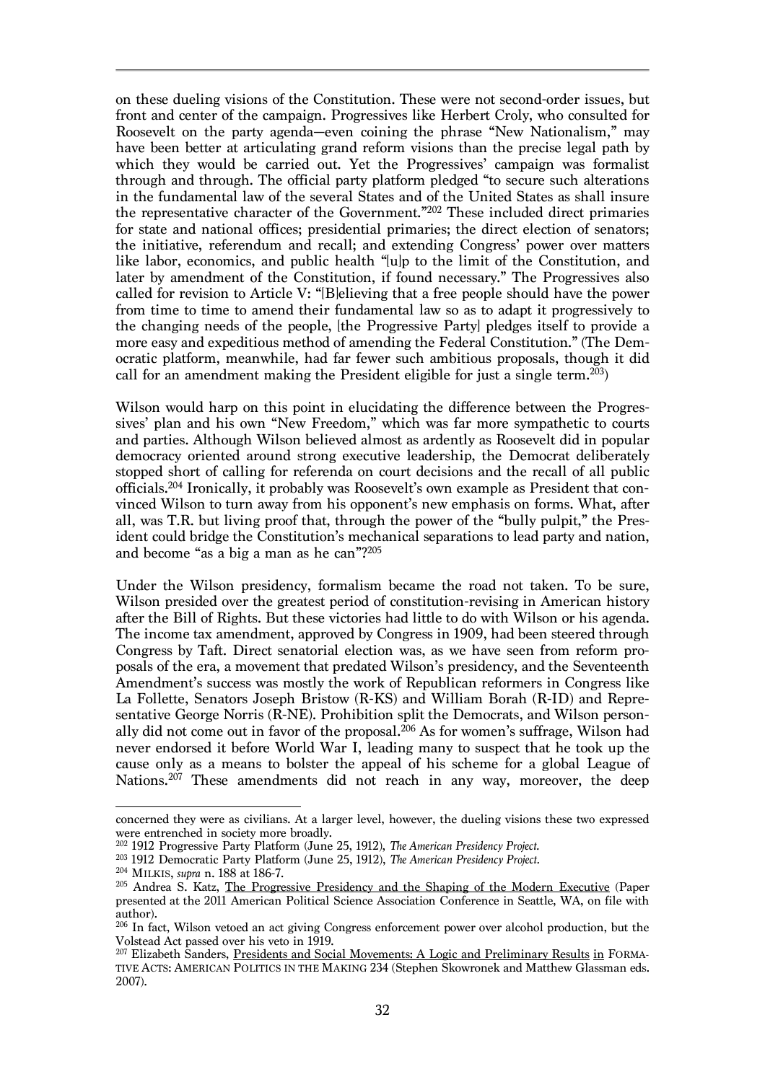on these dueling visions of the Constitution. These were not second-order issues, but front and center of the campaign. Progressives like Herbert Croly, who consulted for Roosevelt on the party agenda—even coining the phrase "New Nationalism," may have been better at articulating grand reform visions than the precise legal path by which they would be carried out. Yet the Progressives' campaign was formalist through and through. The official party platform pledged "to secure such alterations in the fundamental law of the several States and of the United States as shall insure the representative character of the Government."202 These included direct primaries for state and national offices; presidential primaries; the direct election of senators; the initiative, referendum and recall; and extending Congress' power over matters like labor, economics, and public health "[u]p to the limit of the Constitution, and later by amendment of the Constitution, if found necessary." The Progressives also called for revision to Article V: "[B]elieving that a free people should have the power from time to time to amend their fundamental law so as to adapt it progressively to the changing needs of the people, [the Progressive Party] pledges itself to provide a more easy and expeditious method of amending the Federal Constitution." (The Democratic platform, meanwhile, had far fewer such ambitious proposals, though it did call for an amendment making the President eligible for just a single term. 203)

Wilson would harp on this point in elucidating the difference between the Progressives' plan and his own "New Freedom," which was far more sympathetic to courts and parties. Although Wilson believed almost as ardently as Roosevelt did in popular democracy oriented around strong executive leadership, the Democrat deliberately stopped short of calling for referenda on court decisions and the recall of all public officials.204 Ironically, it probably was Roosevelt's own example as President that convinced Wilson to turn away from his opponent's new emphasis on forms. What, after all, was T.R. but living proof that, through the power of the "bully pulpit," the President could bridge the Constitution's mechanical separations to lead party and nation, and become "as a big a man as he can"?205

Under the Wilson presidency, formalism became the road not taken. To be sure, Wilson presided over the greatest period of constitution-revising in American history after the Bill of Rights. But these victories had little to do with Wilson or his agenda. The income tax amendment, approved by Congress in 1909, had been steered through Congress by Taft. Direct senatorial election was, as we have seen from reform proposals of the era, a movement that predated Wilson's presidency, and the Seventeenth Amendment's success was mostly the work of Republican reformers in Congress like La Follette, Senators Joseph Bristow (R-KS) and William Borah (R-ID) and Representative George Norris (R-NE). Prohibition split the Democrats, and Wilson personally did not come out in favor of the proposal. <sup>206</sup> As for women's suffrage, Wilson had never endorsed it before World War I, leading many to suspect that he took up the cause only as a means to bolster the appeal of his scheme for a global League of Nations.<sup>207</sup> These amendments did not reach in any way, moreover, the deep

 $\overline{a}$ concerned they were as civilians. At a larger level, however, the dueling visions these two expressed were entrenched in society more broadly.<br><sup>202</sup> 1912 Progressive Party Platform (June 25, 1912), *The American Presidency Project.* 

<sup>&</sup>lt;sup>203</sup> 1912 Democratic Party Platform (June 25, 1912), *The American Presidency Project.*<br><sup>204</sup> MILKIS, *supra* n. 188 at 186-7.

<sup>&</sup>lt;sup>205</sup> Andrea S. Katz, The Progressive Presidency and the Shaping of the Modern Executive (Paper presented at the 2011 American Political Science Association Conference in Seattle, WA, on file with author).

<sup>&</sup>lt;sup>206</sup> In fact, Wilson vetoed an act giving Congress enforcement power over alcohol production, but the Volstead Act passed over his veto in 1919.

<sup>&</sup>lt;sup>207</sup> Elizabeth Sanders, Presidents and Social Movements: A Logic and Preliminary Results in FORMA-TIVE ACTS: AMERICAN POLITICS IN THE MAKING 234 (Stephen Skowronek and Matthew Glassman eds. 2007).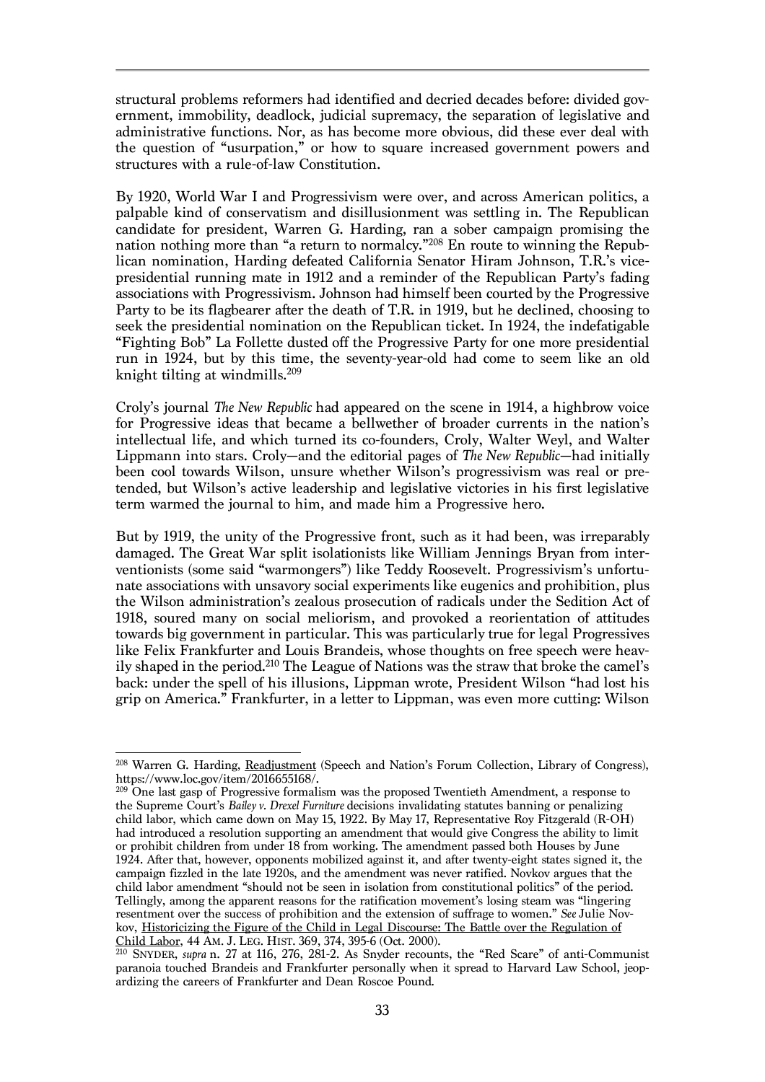structural problems reformers had identified and decried decades before: divided government, immobility, deadlock, judicial supremacy, the separation of legislative and administrative functions. Nor, as has become more obvious, did these ever deal with the question of "usurpation," or how to square increased government powers and structures with a rule-of-law Constitution.

By 1920, World War I and Progressivism were over, and across American politics, a palpable kind of conservatism and disillusionment was settling in. The Republican candidate for president, Warren G. Harding, ran a sober campaign promising the nation nothing more than "a return to normalcy."208 En route to winning the Republican nomination, Harding defeated California Senator Hiram Johnson, T.R.'s vicepresidential running mate in 1912 and a reminder of the Republican Party's fading associations with Progressivism. Johnson had himself been courted by the Progressive Party to be its flagbearer after the death of T.R. in 1919, but he declined, choosing to seek the presidential nomination on the Republican ticket. In 1924, the indefatigable "Fighting Bob" La Follette dusted off the Progressive Party for one more presidential run in 1924, but by this time, the seventy-year-old had come to seem like an old knight tilting at windmills.209

Croly's journal *The New Republic* had appeared on the scene in 1914, a highbrow voice for Progressive ideas that became a bellwether of broader currents in the nation's intellectual life, and which turned its co-founders, Croly, Walter Weyl, and Walter Lippmann into stars. Croly—and the editorial pages of *The New Republic*—had initially been cool towards Wilson, unsure whether Wilson's progressivism was real or pretended, but Wilson's active leadership and legislative victories in his first legislative term warmed the journal to him, and made him a Progressive hero.

But by 1919, the unity of the Progressive front, such as it had been, was irreparably damaged. The Great War split isolationists like William Jennings Bryan from interventionists (some said "warmongers") like Teddy Roosevelt. Progressivism's unfortunate associations with unsavory social experiments like eugenics and prohibition, plus the Wilson administration's zealous prosecution of radicals under the Sedition Act of 1918, soured many on social meliorism, and provoked a reorientation of attitudes towards big government in particular. This was particularly true for legal Progressives like Felix Frankfurter and Louis Brandeis, whose thoughts on free speech were heavily shaped in the period.210 The League of Nations was the straw that broke the camel's back: under the spell of his illusions, Lippman wrote, President Wilson "had lost his grip on America." Frankfurter, in a letter to Lippman, was even more cutting: Wilson

 $\overline{a}$ <sup>208</sup> Warren G. Harding, Readjustment (Speech and Nation's Forum Collection, Library of Congress), https://www.loc.gov/item/2016655168/.

<sup>&</sup>lt;sup>209</sup> One last gasp of Progressive formalism was the proposed Twentieth Amendment, a response to the Supreme Court's *Bailey v. Drexel Furniture* decisions invalidating statutes banning or penalizing child labor, which came down on May 15, 1922. By May 17, Representative Roy Fitzgerald (R-OH) had introduced a resolution supporting an amendment that would give Congress the ability to limit or prohibit children from under 18 from working. The amendment passed both Houses by June 1924. After that, however, opponents mobilized against it, and after twenty-eight states signed it, the campaign fizzled in the late 1920s, and the amendment was never ratified. Novkov argues that the child labor amendment "should not be seen in isolation from constitutional politics" of the period. Tellingly, among the apparent reasons for the ratification movement's losing steam was "lingering resentment over the success of prohibition and the extension of suffrage to women." *See* Julie Novkov, Historicizing the Figure of the Child in Legal Discourse: The Battle over the Regulation of Child Labor, 44 AM. J. LEG. HIST. 369, 374, 395-6 (Oct. 2000).

<sup>&</sup>lt;sup>210</sup> SNYDER, *supra* n. 27 at 116, 276, 281-2. As Snyder recounts, the "Red Scare" of anti-Communist paranoia touched Brandeis and Frankfurter personally when it spread to Harvard Law School, jeopardizing the careers of Frankfurter and Dean Roscoe Pound.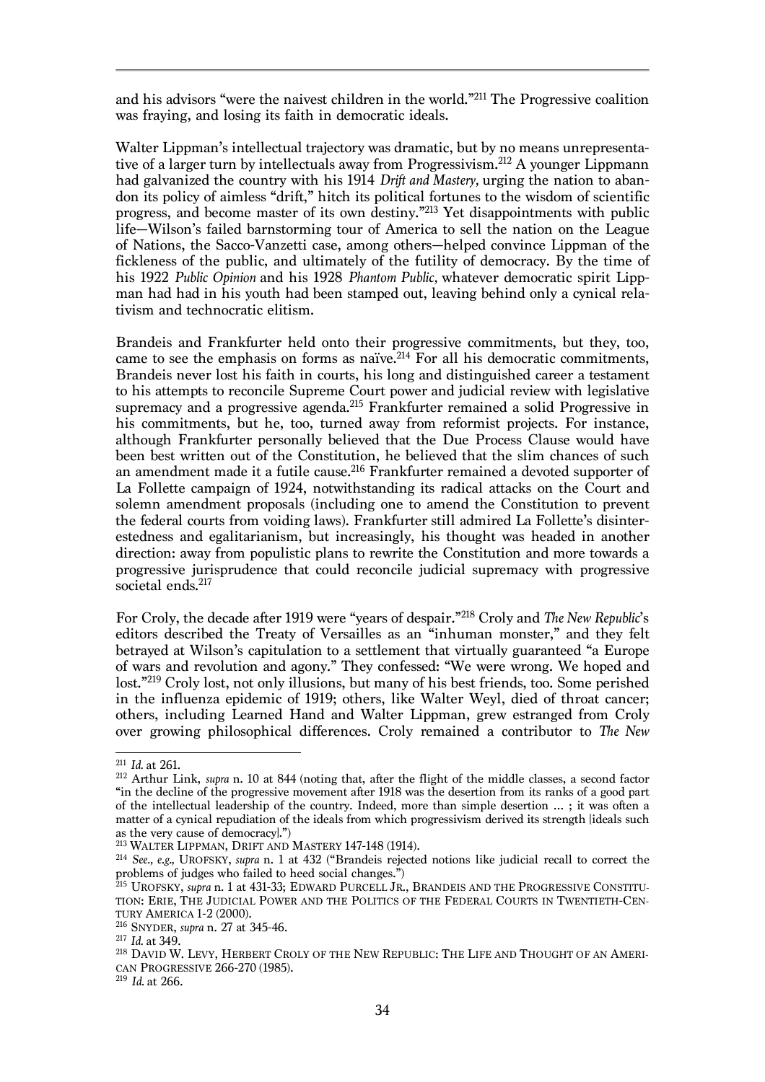and his advisors "were the naivest children in the world."211 The Progressive coalition was fraying, and losing its faith in democratic ideals.

Walter Lippman's intellectual trajectory was dramatic, but by no means unrepresentative of a larger turn by intellectuals away from Progressivism. <sup>212</sup> A younger Lippmann had galvanized the country with his 1914 *Drift and Mastery,* urging the nation to abandon its policy of aimless "drift," hitch its political fortunes to the wisdom of scientific progress, and become master of its own destiny."213 Yet disappointments with public life—Wilson's failed barnstorming tour of America to sell the nation on the League of Nations, the Sacco-Vanzetti case, among others—helped convince Lippman of the fickleness of the public, and ultimately of the futility of democracy. By the time of his 1922 *Public Opinion* and his 1928 *Phantom Public,* whatever democratic spirit Lippman had had in his youth had been stamped out, leaving behind only a cynical relativism and technocratic elitism.

Brandeis and Frankfurter held onto their progressive commitments, but they, too, came to see the emphasis on forms as naïve. <sup>214</sup> For all his democratic commitments, Brandeis never lost his faith in courts, his long and distinguished career a testament to his attempts to reconcile Supreme Court power and judicial review with legislative supremacy and a progressive agenda. <sup>215</sup> Frankfurter remained a solid Progressive in his commitments, but he, too, turned away from reformist projects. For instance, although Frankfurter personally believed that the Due Process Clause would have been best written out of the Constitution, he believed that the slim chances of such an amendment made it a futile cause.<sup>216</sup> Frankfurter remained a devoted supporter of La Follette campaign of 1924, notwithstanding its radical attacks on the Court and solemn amendment proposals (including one to amend the Constitution to prevent the federal courts from voiding laws). Frankfurter still admired La Follette's disinterestedness and egalitarianism, but increasingly, his thought was headed in another direction: away from populistic plans to rewrite the Constitution and more towards a progressive jurisprudence that could reconcile judicial supremacy with progressive societal ends.<sup>217</sup>

For Croly, the decade after 1919 were "years of despair."218 Croly and *The New Republic*'s editors described the Treaty of Versailles as an "inhuman monster," and they felt betrayed at Wilson's capitulation to a settlement that virtually guaranteed "a Europe of wars and revolution and agony." They confessed: "We were wrong. We hoped and lost."219 Croly lost, not only illusions, but many of his best friends, too. Some perished in the influenza epidemic of 1919; others, like Walter Weyl, died of throat cancer; others, including Learned Hand and Walter Lippman, grew estranged from Croly over growing philosophical differences. Croly remained a contributor to *The New* 

 $211$  *Id.* at 261.

<sup>&</sup>lt;sup>212</sup> Arthur Link, *supra* n. 10 at 844 (noting that, after the flight of the middle classes, a second factor "in the decline of the progressive movement after 1918 was the desertion from its ranks of a good part of the intellectual leadership of the country. Indeed, more than simple desertion … ; it was often a matter of a cynical repudiation of the ideals from which progressivism derived its strength [ideals such as the very cause of democracy].")<br>
<sup>213</sup> WALTER LIPPMAN, DRIFT AND MASTERY 147-148 (1914).

<sup>&</sup>lt;sup>214</sup> See., e.g., UROFSKY, *supra* n. 1 at 432 ("Brandeis rejected notions like judicial recall to correct the problems of judges who failed to heed social changes.")

<sup>215</sup> UROFSKY, *supra* n. 1 at 431-33; EDWARD PURCELL JR., BRANDEIS AND THE PROGRESSIVE CONSTITU-TION: ERIE, THE JUDICIAL POWER AND THE POLITICS OF THE FEDERAL COURTS IN TWENTIETH-CENTURY AMERICA 1-2 (2000).

<sup>&</sup>lt;sup>216</sup> SNYDER, *supra* n. 27 at 345-46.

<sup>217</sup> *Id.* at 349.

<sup>&</sup>lt;sup>218</sup> DAVID W. LEVY, HERBERT CROLY OF THE NEW REPUBLIC: THE LIFE AND THOUGHT OF AN AMERI-CAN PROGRESSIVE 266-270 (1985).

<sup>219</sup> *Id.* at 266.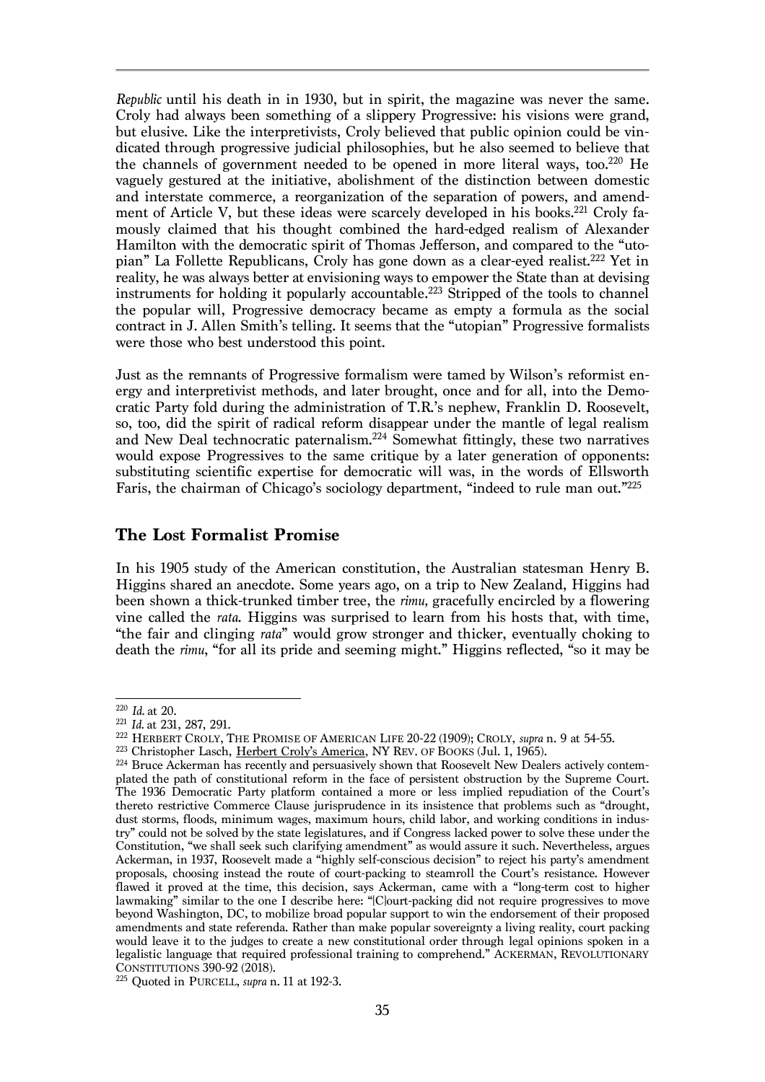*Republic* until his death in in 1930, but in spirit, the magazine was never the same. Croly had always been something of a slippery Progressive: his visions were grand, but elusive. Like the interpretivists, Croly believed that public opinion could be vindicated through progressive judicial philosophies, but he also seemed to believe that the channels of government needed to be opened in more literal ways, too.<sup>220</sup> He vaguely gestured at the initiative, abolishment of the distinction between domestic and interstate commerce, a reorganization of the separation of powers, and amendment of Article V, but these ideas were scarcely developed in his books.221 Croly famously claimed that his thought combined the hard-edged realism of Alexander Hamilton with the democratic spirit of Thomas Jefferson, and compared to the "utopian" La Follette Republicans, Croly has gone down as a clear-eyed realist.222 Yet in reality, he was always better at envisioning ways to empower the State than at devising instruments for holding it popularly accountable.223 Stripped of the tools to channel the popular will, Progressive democracy became as empty a formula as the social contract in J. Allen Smith's telling. It seems that the "utopian" Progressive formalists were those who best understood this point.

Just as the remnants of Progressive formalism were tamed by Wilson's reformist energy and interpretivist methods, and later brought, once and for all, into the Democratic Party fold during the administration of T.R.'s nephew, Franklin D. Roosevelt, so, too, did the spirit of radical reform disappear under the mantle of legal realism and New Deal technocratic paternalism.224 Somewhat fittingly, these two narratives would expose Progressives to the same critique by a later generation of opponents: substituting scientific expertise for democratic will was, in the words of Ellsworth Faris, the chairman of Chicago's sociology department, "indeed to rule man out."225

# **The Lost Formalist Promise**

In his 1905 study of the American constitution, the Australian statesman Henry B. Higgins shared an anecdote. Some years ago, on a trip to New Zealand, Higgins had been shown a thick-trunked timber tree, the *rimu,* gracefully encircled by a flowering vine called the *rata*. Higgins was surprised to learn from his hosts that, with time, "the fair and clinging *rata*" would grow stronger and thicker, eventually choking to death the *rimu*, "for all its pride and seeming might." Higgins reflected, "so it may be

 $220$  *Id.* at 20.

<sup>&</sup>lt;sup>221</sup> Id. at 231, 287, 291.<br><sup>222</sup> HERBERT CROLY, THE PROMISE OF AMERICAN LIFE 20-22 (1909); CROLY, *supra* n. 9 at 54-55.<br><sup>223</sup> Christopher Lasch, <u>Herbert Croly's America</u>, NY REV. OF BOOKS (Jul. 1, 1965).<br><sup>224</sup> Bruce Ack

plated the path of constitutional reform in the face of persistent obstruction by the Supreme Court. The 1936 Democratic Party platform contained a more or less implied repudiation of the Court's thereto restrictive Commerce Clause jurisprudence in its insistence that problems such as "drought, dust storms, floods, minimum wages, maximum hours, child labor, and working conditions in industry" could not be solved by the state legislatures, and if Congress lacked power to solve these under the Constitution, "we shall seek such clarifying amendment" as would assure it such. Nevertheless, argues Ackerman, in 1937, Roosevelt made a "highly self-conscious decision" to reject his party's amendment proposals, choosing instead the route of court-packing to steamroll the Court's resistance. However flawed it proved at the time, this decision, says Ackerman, came with a "long-term cost to higher lawmaking" similar to the one I describe here: "[C]ourt-packing did not require progressives to move beyond Washington, DC, to mobilize broad popular support to win the endorsement of their proposed amendments and state referenda. Rather than make popular sovereignty a living reality, court packing would leave it to the judges to create a new constitutional order through legal opinions spoken in a legalistic language that required professional training to comprehend." ACKERMAN, REVOLUTIONARY CONSTITUTIONS 390-92 (2018).

<sup>225</sup> Quoted in PURCELL, *supra* n. 11 at 192-3.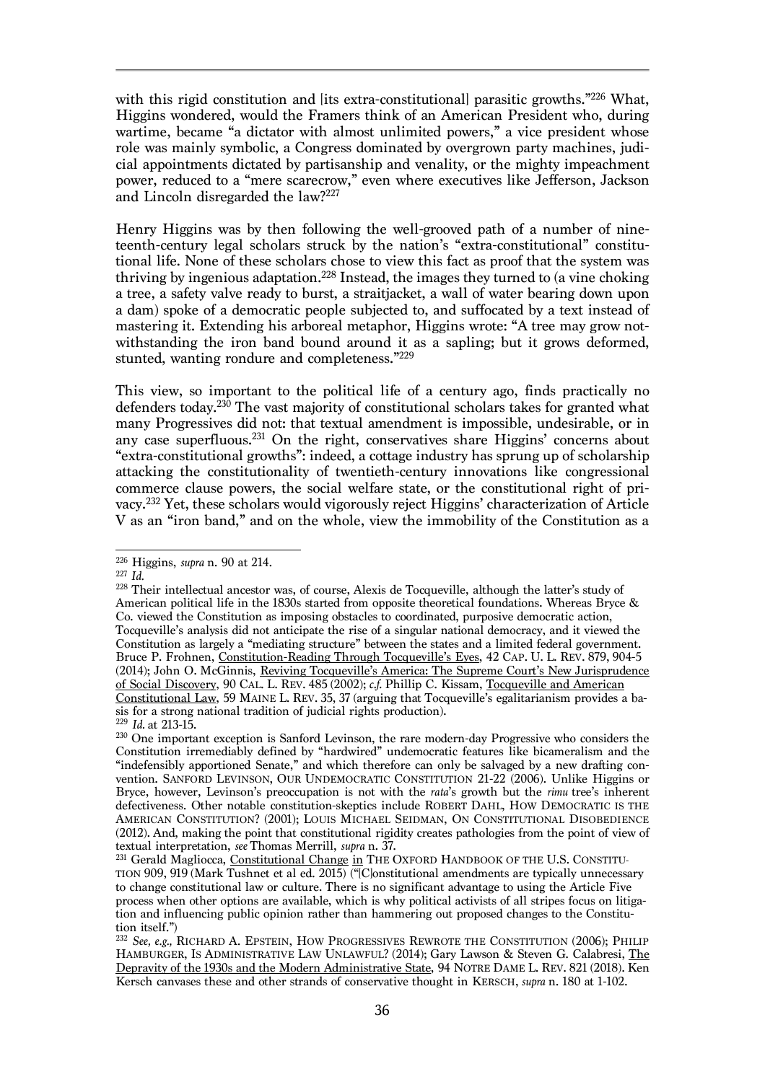with this rigid constitution and [its extra-constitutional] parasitic growths."226 What, Higgins wondered, would the Framers think of an American President who, during wartime, became "a dictator with almost unlimited powers," a vice president whose role was mainly symbolic, a Congress dominated by overgrown party machines, judicial appointments dictated by partisanship and venality, or the mighty impeachment power, reduced to a "mere scarecrow," even where executives like Jefferson, Jackson and Lincoln disregarded the law?227

Henry Higgins was by then following the well-grooved path of a number of nineteenth-century legal scholars struck by the nation's "extra-constitutional" constitutional life. None of these scholars chose to view this fact as proof that the system was thriving by ingenious adaptation.228 Instead, the images they turned to (a vine choking a tree, a safety valve ready to burst, a straitjacket, a wall of water bearing down upon a dam) spoke of a democratic people subjected to, and suffocated by a text instead of mastering it. Extending his arboreal metaphor, Higgins wrote: "A tree may grow notwithstanding the iron band bound around it as a sapling; but it grows deformed, stunted, wanting rondure and completeness."229

This view, so important to the political life of a century ago, finds practically no defenders today. <sup>230</sup> The vast majority of constitutional scholars takes for granted what many Progressives did not: that textual amendment is impossible, undesirable, or in any case superfluous.231 On the right, conservatives share Higgins' concerns about "extra-constitutional growths": indeed, a cottage industry has sprung up of scholarship attacking the constitutionality of twentieth-century innovations like congressional commerce clause powers, the social welfare state, or the constitutional right of privacy.232 Yet, these scholars would vigorously reject Higgins' characterization of Article V as an "iron band," and on the whole, view the immobility of the Constitution as a

 $226$  Higgins, supra n. 90 at 214.

<sup>227</sup> *Id.* 228 Their intellectual ancestor was, of course, Alexis de Tocqueville, although the latter's study of <sup>228</sup> Their intellectual ancestor was, of course, Alexis de Tocqueville, although the latter's study of American political life in the 1830s started from opposite theoretical foundations. Whereas Bryce & Co. viewed the Constitution as imposing obstacles to coordinated, purposive democratic action, Tocqueville's analysis did not anticipate the rise of a singular national democracy, and it viewed the Constitution as largely a "mediating structure" between the states and a limited federal government. Bruce P. Frohnen, Constitution-Reading Through Tocqueville's Eyes, 42 CAP. U. L. REV. 879, 904-5 (2014); John O. McGinnis, Reviving Tocqueville's America: The Supreme Court's New Jurisprudence of Social Discovery, 90 CAL. L. REV. 485 (2002); *c.f.* Phillip C. Kissam, Tocqueville and American Constitutional Law, 59 MAINE L. REV. 35, 37 (arguing that Tocqueville's egalitarianism provides a ba-

<sup>&</sup>lt;sup>229</sup> *Id.* at 213-15. <br><sup>230</sup> One important exception is Sanford Levinson, the rare modern-day Progressive who considers the Constitution irremediably defined by "hardwired" undemocratic features like bicameralism and the "indefensibly apportioned Senate," and which therefore can only be salvaged by a new drafting convention. SANFORD LEVINSON, OUR UNDEMOCRATIC CONSTITUTION 21-22 (2006). Unlike Higgins or Bryce, however, Levinson's preoccupation is not with the *rata*'s growth but the *rimu* tree's inherent defectiveness. Other notable constitution-skeptics include ROBERT DAHL, HOW DEMOCRATIC IS THE AMERICAN CONSTITUTION? (2001); LOUIS MICHAEL SEIDMAN, ON CONSTITUTIONAL DISOBEDIENCE (2012). And, making the point that constitutional rigidity creates pathologies from the point of view of

textual interpretation, *see* Thomas Merrill, *supra* n. 37.<br><sup>231</sup> Gerald Magliocca, Constitutional Change in THE OXFORD HANDBOOK OF THE U.S. CONSTITU-TION 909, 919 (Mark Tushnet et al ed. 2015) ("[C]onstitutional amendments are typically unnecessary to change constitutional law or culture. There is no significant advantage to using the Article Five process when other options are available, which is why political activists of all stripes focus on litigation and influencing public opinion rather than hammering out proposed changes to the Constitu-

<sup>&</sup>lt;sup>232</sup> See, e.g., RICHARD A. EPSTEIN, HOW PROGRESSIVES REWROTE THE CONSTITUTION (2006); PHILIP HAMBURGER, IS ADMINISTRATIVE LAW UNLAWFUL? (2014); Gary Lawson & Steven G. Calabresi, The Depravity of the 1930s and the Modern Administrative State, 94 NOTRE DAME L. REV. 821 (2018). Ken Kersch canvases these and other strands of conservative thought in KERSCH, *supra* n. 180 at 1-102.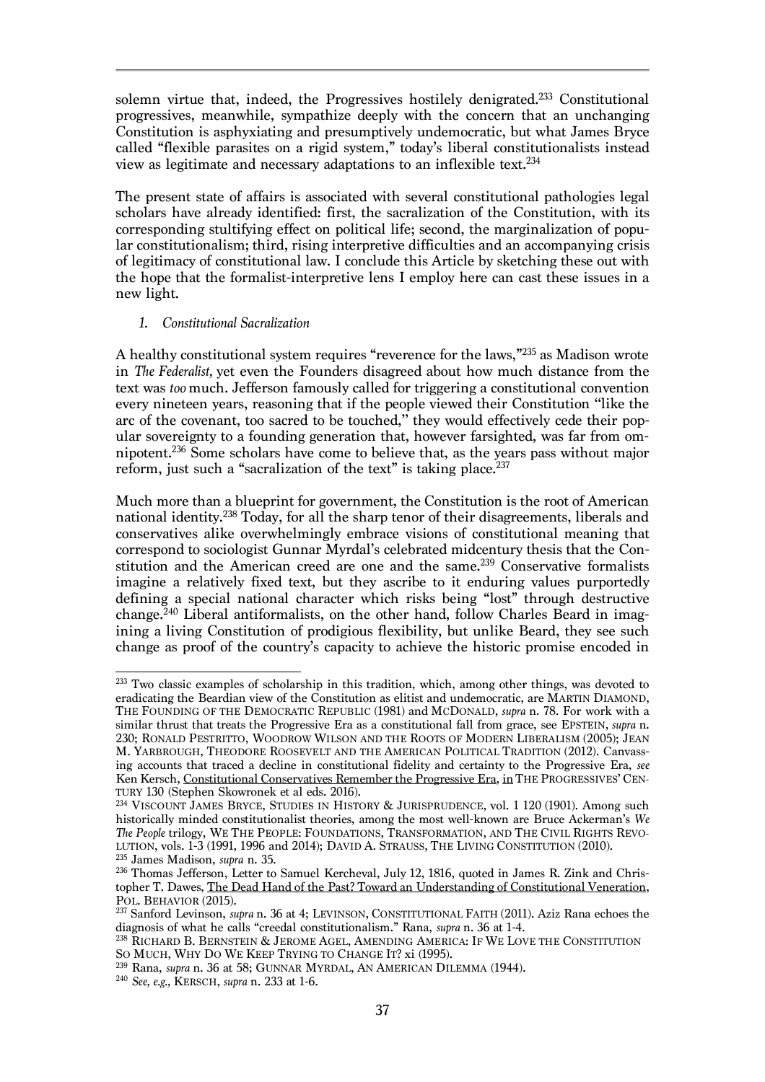solemn virtue that, indeed, the Progressives hostilely denigrated. <sup>233</sup> Constitutional progressives, meanwhile, sympathize deeply with the concern that an unchanging Constitution is asphyxiating and presumptively undemocratic, but what James Bryce called "flexible parasites on a rigid system," today's liberal constitutionalists instead view as legitimate and necessary adaptations to an inflexible text.234

The present state of affairs is associated with several constitutional pathologies legal scholars have already identified: first, the sacralization of the Constitution, with its corresponding stultifying effect on political life; second, the marginalization of popular constitutionalism; third, rising interpretive difficulties and an accompanying crisis of legitimacy of constitutional law. I conclude this Article by sketching these out with the hope that the formalist-interpretive lens I employ here can cast these issues in a new light.

## *1. Constitutional Sacralization*

A healthy constitutional system requires "reverence for the laws,"235 as Madison wrote in *The Federalist,* yet even the Founders disagreed about how much distance from the text was *too* much. Jefferson famously called for triggering a constitutional convention every nineteen years, reasoning that if the people viewed their Constitution ''like the arc of the covenant, too sacred to be touched,'' they would effectively cede their popular sovereignty to a founding generation that, however farsighted, was far from omnipotent.236 Some scholars have come to believe that, as the years pass without major reform, just such a "sacralization of the text" is taking place. $237$ 

Much more than a blueprint for government, the Constitution is the root of American national identity.238 Today, for all the sharp tenor of their disagreements, liberals and conservatives alike overwhelmingly embrace visions of constitutional meaning that correspond to sociologist Gunnar Myrdal's celebrated midcentury thesis that the Constitution and the American creed are one and the same.239 Conservative formalists imagine a relatively fixed text, but they ascribe to it enduring values purportedly defining a special national character which risks being "lost" through destructive change.<sup>240</sup> Liberal antiformalists, on the other hand, follow Charles Beard in imagining a living Constitution of prodigious flexibility, but unlike Beard, they see such change as proof of the country's capacity to achieve the historic promise encoded in

 $\overline{a}$ <sup>233</sup> Two classic examples of scholarship in this tradition, which, among other things, was devoted to eradicating the Beardian view of the Constitution as elitist and undemocratic, are MARTIN DIAMOND, THE FOUNDING OF THE DEMOCRATIC REPUBLIC (1981) and MCDONALD, *supra* n. 78. For work with a similar thrust that treats the Progressive Era as a constitutional fall from grace, see EPSTEIN, *supra* n. 230; RONALD PESTRITTO, WOODROW WILSON AND THE ROOTS OF MODERN LIBERALISM (2005); JEAN M. YARBROUGH, THEODORE ROOSEVELT AND THE AMERICAN POLITICAL TRADITION (2012). Canvassing accounts that traced a decline in constitutional fidelity and certainty to the Progressive Era, *see*  Ken Kersch, Constitutional Conservatives Remember the Progressive Era, in THE PROGRESSIVES' CENTURY 130 (Stephen Skowronek et al eds. 2016).

<sup>&</sup>lt;sup>234</sup> VISCOUNT JAMES BRYCE, STUDIES IN HISTORY & JURISPRUDENCE, vol. 1 120 (1901). Among such historically minded constitutionalist theories, among the most well-known are Bruce Ackerman's *We The People* trilogy, WE THE PEOPLE: FOUNDATIONS, TRANSFORMATION, AND THE CIVIL RIGHTS REVO-LUTION, vols. 1-3 (1991, 1996 and 2014); DAVID A. STRAUSS, THE LIVING CONSTITUTION (2010).<br><sup>235</sup> James Madison, *supra* n. 35.

<sup>&</sup>lt;sup>236</sup> Thomas Jefferson, Letter to Samuel Kercheval, July 12, 1816, quoted in James R. Zink and Christopher T. Dawes, The Dead Hand of the Past? Toward an Understanding of Constitutional Veneration, POL, BEHAVIOR (2015).

<sup>&</sup>lt;sup>237</sup> Sanford Levinson, *supra* n. 36 at 4; LEVINSON, CONSTITUTIONAL FAITH (2011). Aziz Rana echoes the diagnosis of what he calls "creedal constitutionalism." Rana, *supra* n. 36 at 1-4.

<sup>&</sup>lt;sup>238</sup> RICHARD B. BERNSTEIN & JEROME AGEL, AMENDING AMERICA: IF WE LOVE THE CONSTITUTION<br>SO MUCH, WHY DO WE KEEP TRYING TO CHANGE IT? xi (1995).

<sup>&</sup>lt;sup>239</sup> Rana, *supra* n. 36 at 58; GUNNAR MYRDAL, AN AMERICAN DILEMMA (1944). <sup>240</sup> *See, e.g.*, KERSCH, *supra* n. 233 at 1-6.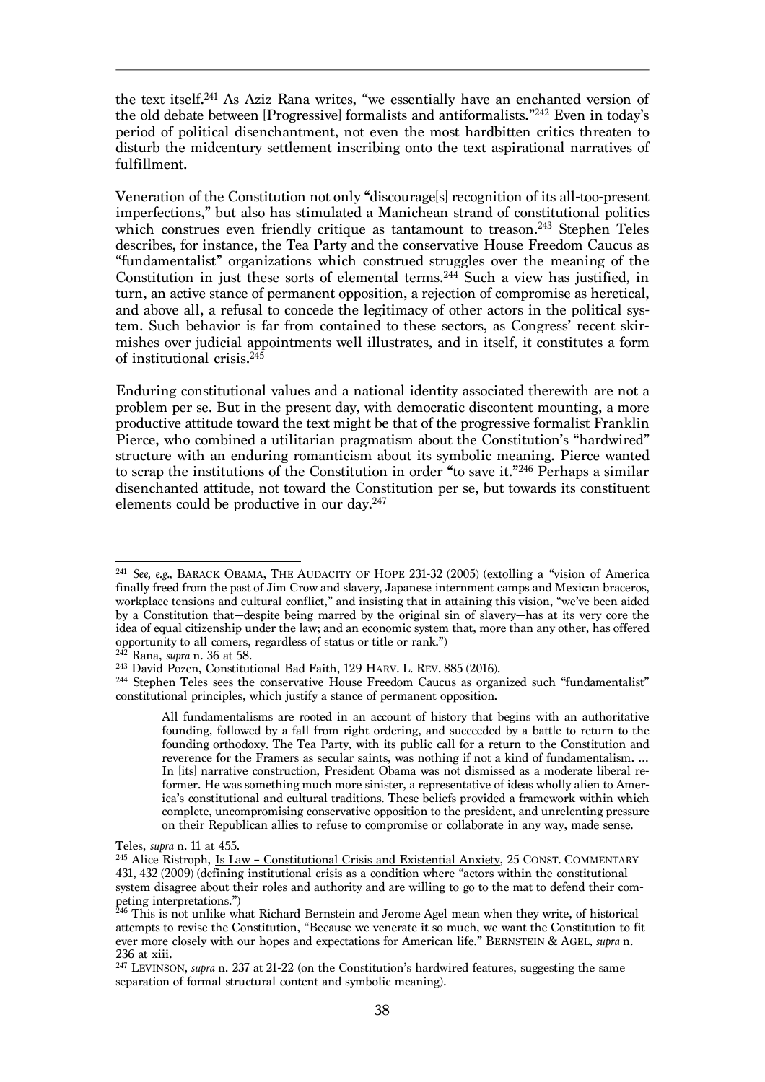the text itself. <sup>241</sup> As Aziz Rana writes, "we essentially have an enchanted version of the old debate between [Progressive] formalists and antiformalists."242 Even in today's period of political disenchantment, not even the most hardbitten critics threaten to disturb the midcentury settlement inscribing onto the text aspirational narratives of fulfillment.

Veneration of the Constitution not only "discourage[s] recognition of its all-too-present imperfections," but also has stimulated a Manichean strand of constitutional politics which construes even friendly critique as tantamount to treason.<sup>243</sup> Stephen Teles describes, for instance, the Tea Party and the conservative House Freedom Caucus as "fundamentalist" organizations which construed struggles over the meaning of the Constitution in just these sorts of elemental terms. <sup>244</sup> Such a view has justified, in turn, an active stance of permanent opposition, a rejection of compromise as heretical, and above all, a refusal to concede the legitimacy of other actors in the political system. Such behavior is far from contained to these sectors, as Congress' recent skirmishes over judicial appointments well illustrates, and in itself, it constitutes a form of institutional crisis.245

Enduring constitutional values and a national identity associated therewith are not a problem per se. But in the present day, with democratic discontent mounting, a more productive attitude toward the text might be that of the progressive formalist Franklin Pierce, who combined a utilitarian pragmatism about the Constitution's "hardwired" structure with an enduring romanticism about its symbolic meaning. Pierce wanted to scrap the institutions of the Constitution in order "to save it."246 Perhaps a similar disenchanted attitude, not toward the Constitution per se, but towards its constituent elements could be productive in our day. 247

 $\overline{a}$ <sup>241</sup> *See, e.g.,* BARACK OBAMA, THE AUDACITY OF HOPE 231-32 (2005) (extolling a "vision of America finally freed from the past of Jim Crow and slavery, Japanese internment camps and Mexican braceros, workplace tensions and cultural conflict," and insisting that in attaining this vision, "we've been aided by a Constitution that—despite being marred by the original sin of slavery—has at its very core the idea of equal citizenship under the law; and an economic system that, more than any other, has offered opportunity to all comers, regardless of status or title or rank.")

<sup>&</sup>lt;sup>242</sup> Rana, *supra* n. 36 at 58.<br><sup>243</sup> David Pozen, <u>Constitutional Bad Faith</u>, 129 HARV. L. REV. 885 (2016).<br><sup>244</sup> Stephen Teles sees the conservative House Freedom Caucus as organized such "fundamentalist" constitutional principles, which justify a stance of permanent opposition.

All fundamentalisms are rooted in an account of history that begins with an authoritative founding, followed by a fall from right ordering, and succeeded by a battle to return to the founding orthodoxy. The Tea Party, with its public call for a return to the Constitution and reverence for the Framers as secular saints, was nothing if not a kind of fundamentalism. … In [its] narrative construction, President Obama was not dismissed as a moderate liberal reformer. He was something much more sinister, a representative of ideas wholly alien to America's constitutional and cultural traditions. These beliefs provided a framework within which complete, uncompromising conservative opposition to the president, and unrelenting pressure on their Republican allies to refuse to compromise or collaborate in any way, made sense.

Teles, *supra* n. 11 at 455.

<sup>&</sup>lt;sup>245</sup> Alice Ristroph, <u>Is Law - Constitutional Crisis and Existential Anxiety</u>, 25 CONST. COMMENTARY 431, 432 (2009) (defining institutional crisis as a condition where "actors within the constitutional system disagree about their roles and authority and are willing to go to the mat to defend their competing interpretations.")

<sup>246</sup> This is not unlike what Richard Bernstein and Jerome Agel mean when they write, of historical attempts to revise the Constitution, "Because we venerate it so much, we want the Constitution to fit ever more closely with our hopes and expectations for American life." BERNSTEIN & AGEL, *supra* n.

<sup>&</sup>lt;sup>247</sup> LEVINSON, *supra* n. 237 at 21-22 (on the Constitution's hardwired features, suggesting the same separation of formal structural content and symbolic meaning).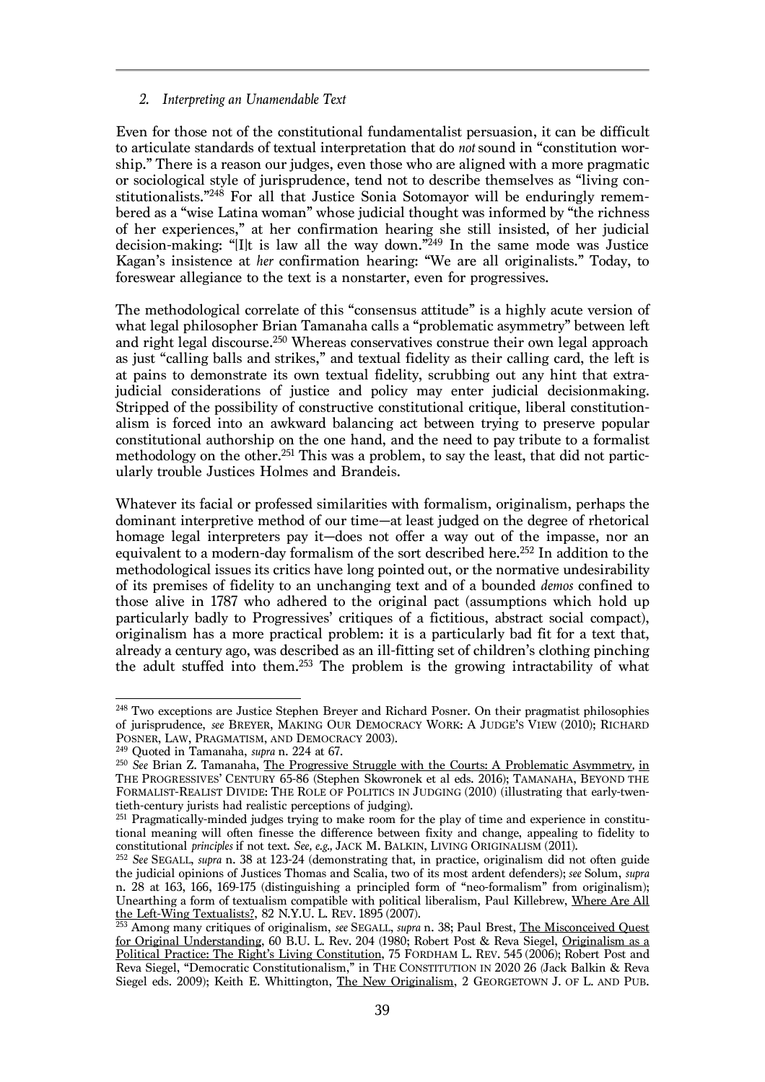#### *2. Interpreting an Unamendable Text*

Even for those not of the constitutional fundamentalist persuasion, it can be difficult to articulate standards of textual interpretation that do *not* sound in "constitution worship." There is a reason our judges, even those who are aligned with a more pragmatic or sociological style of jurisprudence, tend not to describe themselves as "living constitutionalists."248 For all that Justice Sonia Sotomayor will be enduringly remembered as a "wise Latina woman" whose judicial thought was informed by "the richness of her experiences," at her confirmation hearing she still insisted, of her judicial decision-making: "[I]t is law all the way down."249 In the same mode was Justice Kagan's insistence at *her* confirmation hearing: "We are all originalists." Today, to foreswear allegiance to the text is a nonstarter, even for progressives.

The methodological correlate of this "consensus attitude" is a highly acute version of what legal philosopher Brian Tamanaha calls a "problematic asymmetry" between left and right legal discourse.250 Whereas conservatives construe their own legal approach as just "calling balls and strikes," and textual fidelity as their calling card, the left is at pains to demonstrate its own textual fidelity, scrubbing out any hint that extrajudicial considerations of justice and policy may enter judicial decisionmaking. Stripped of the possibility of constructive constitutional critique, liberal constitutionalism is forced into an awkward balancing act between trying to preserve popular constitutional authorship on the one hand, and the need to pay tribute to a formalist methodology on the other. <sup>251</sup> This was a problem, to say the least, that did not particularly trouble Justices Holmes and Brandeis.

Whatever its facial or professed similarities with formalism, originalism, perhaps the dominant interpretive method of our time—at least judged on the degree of rhetorical homage legal interpreters pay it—does not offer a way out of the impasse, nor an equivalent to a modern-day formalism of the sort described here. <sup>252</sup> In addition to the methodological issues its critics have long pointed out, or the normative undesirability of its premises of fidelity to an unchanging text and of a bounded *demos* confined to those alive in 1787 who adhered to the original pact (assumptions which hold up particularly badly to Progressives' critiques of a fictitious, abstract social compact), originalism has a more practical problem: it is a particularly bad fit for a text that, already a century ago, was described as an ill-fitting set of children's clothing pinching the adult stuffed into them. <sup>253</sup> The problem is the growing intractability of what

 $\overline{a}$ <sup>248</sup> Two exceptions are Justice Stephen Breyer and Richard Posner. On their pragmatist philosophies of jurisprudence, *see* BREYER, MAKING OUR DEMOCRACY WORK: A JUDGE'S VIEW (2010); RICHARD

<sup>&</sup>lt;sup>249</sup> Quoted in Tamanaha, *supra* n. 224 at 67.

<sup>250</sup> *See* Brian Z. Tamanaha, The Progressive Struggle with the Courts: A Problematic Asymmetry*,* in THE PROGRESSIVES' CENTURY 65-86 (Stephen Skowronek et al eds. 2016); TAMANAHA, BEYOND THE FORMALIST-REALIST DIVIDE: THE ROLE OF POLITICS IN JUDGING (2010) (illustrating that early-twentieth-century jurists had realistic perceptions of judging).

<sup>&</sup>lt;sup>251</sup> Pragmatically-minded judges trying to make room for the play of time and experience in constitutional meaning will often finesse the difference between fixity and change, appealing to fidelity to constitutional *principles* if not text. *See, e.g.,* JACK M. BALKIN, LIVING ORIGINALISM (2011).

<sup>252</sup> *See* SEGALL, *supra* n. 38 at 123-24 (demonstrating that, in practice, originalism did not often guide the judicial opinions of Justices Thomas and Scalia, two of its most ardent defenders); *see* Solum, *supra*  n. 28 at 163, 166, 169-175 (distinguishing a principled form of "neo-formalism" from originalism); Unearthing a form of textualism compatible with political liberalism, Paul Killebrew, Where Are All the Left-Wing Textualists?, 82 N.Y.U. L. REV. 1895 (2007).

<sup>253</sup> Among many critiques of originalism, *see* SEGALL, *supra* n. 38; Paul Brest, The Misconceived Quest for Original Understanding, 60 B.U. L. Rev. 204 (1980; Robert Post & Reva Siegel, Originalism as a Political Practice: The Right's Living Constitution, 75 FORDHAM L. REV. 545 (2006); Robert Post and Reva Siegel, "Democratic Constitutionalism," in THE CONSTITUTION IN 2020 26 *(*Jack Balkin & Reva Siegel eds. 2009); Keith E. Whittington, The New Originalism, 2 GEORGETOWN J. OF L. AND PUB.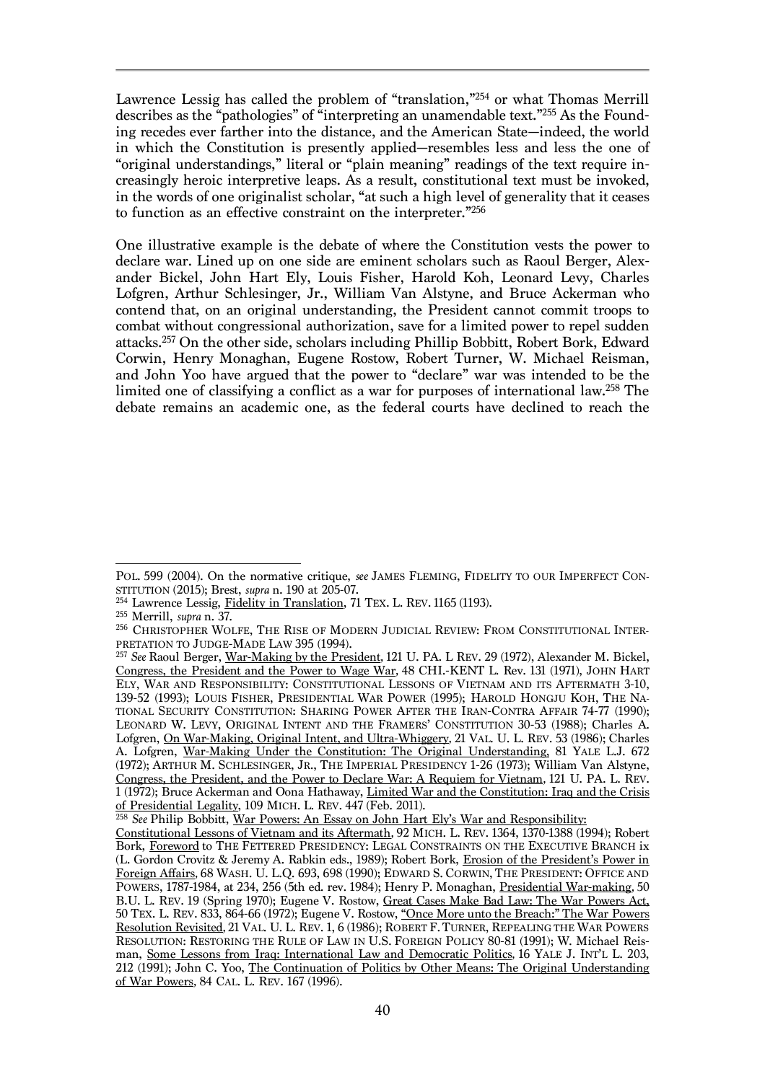Lawrence Lessig has called the problem of "translation,"254 or what Thomas Merrill describes as the "pathologies" of "interpreting an unamendable text."255 As the Founding recedes ever farther into the distance, and the American State—indeed, the world in which the Constitution is presently applied—resembles less and less the one of "original understandings," literal or "plain meaning" readings of the text require increasingly heroic interpretive leaps. As a result, constitutional text must be invoked, in the words of one originalist scholar, "at such a high level of generality that it ceases to function as an effective constraint on the interpreter."256

One illustrative example is the debate of where the Constitution vests the power to declare war. Lined up on one side are eminent scholars such as Raoul Berger, Alexander Bickel, John Hart Ely, Louis Fisher, Harold Koh, Leonard Levy, Charles Lofgren, Arthur Schlesinger, Jr., William Van Alstyne, and Bruce Ackerman who contend that, on an original understanding, the President cannot commit troops to combat without congressional authorization, save for a limited power to repel sudden attacks.257 On the other side, scholars including Phillip Bobbitt, Robert Bork, Edward Corwin, Henry Monaghan, Eugene Rostow, Robert Turner, W. Michael Reisman, and John Yoo have argued that the power to "declare" war was intended to be the limited one of classifying a conflict as a war for purposes of international law.258 The debate remains an academic one, as the federal courts have declined to reach the

 $\overline{a}$ POL. 599 (2004). On the normative critique, *see* JAMES FLEMING, FIDELITY TO OUR IMPERFECT CON-STITUTION (2015); Brest, *supra* n. 190 at 205-07.

<sup>&</sup>lt;sup>254</sup> Lawrence Lessig, Fidelity in Translation, 71 TEX. L. REV. 1165 (1193).<br><sup>255</sup> Merrill, *supra* n. 37.

<sup>&</sup>lt;sup>256</sup> CHRISTOPHER WOLFE, THE RISE OF MODERN JUDICIAL REVIEW: FROM CONSTITUTIONAL INTER-PRETATION TO JUDGE-MADE LAW 395 (1994).

<sup>257</sup> *See* Raoul Berger, War-Making by the President*,* 121 U. PA. L REV. 29 (1972), Alexander M. Bickel, Congress, the President and the Power to Wage War*,* 48 CHI.-KENT L. Rev. 131 (1971), JOHN HART ELY, WAR AND RESPONSIBILITY: CONSTITUTIONAL LESSONS OF VIETNAM AND ITS AFTERMATH 3-10, 139-52 (1993); LOUIS FISHER, PRESIDENTIAL WAR POWER (1995); HAROLD HONGJU KOH, THE NA-TIONAL SECURITY CONSTITUTION: SHARING POWER AFTER THE IRAN-CONTRA AFFAIR 74-77 (1990); LEONARD W. LEVY, ORIGINAL INTENT AND THE FRAMERS' CONSTITUTION 30-53 (1988); Charles A. Lofgren, On War-Making, Original Intent, and Ultra-Whiggery*,* 21 VAL. U. L. REV. 53 (1986); Charles A. Lofgren, War-Making Under the Constitution: The Original Understanding, 81 YALE L.J. 672 (1972); ARTHUR M. SCHLESINGER, JR., THE IMPERIAL PRESIDENCY 1-26 (1973); William Van Alstyne, Congress, the President, and the Power to Declare War: A Requiem for Vietnam*,* 121 U. PA. L. REV. 1 (1972); Bruce Ackerman and Oona Hathaway, Limited War and the Constitution: Iraq and the Crisis of Presidential Legality, 109 MICH. L. REV. 447 (Feb. 2011).

<sup>258</sup> *See* Philip Bobbitt, War Powers: An Essay on John Hart Ely's War and Responsibility:

Constitutional Lessons of Vietnam and its Aftermath*,* 92 MICH. L. REV. 1364, 1370-1388 (1994); Robert Bork, Foreword to THE FETTERED PRESIDENCY: LEGAL CONSTRAINTS ON THE EXECUTIVE BRANCH IX (L. Gordon Crovitz & Jeremy A. Rabkin eds., 1989); Robert Bork, Erosion of the President's Power in Foreign Affairs*,* 68 WASH. U. L.Q. 693, 698 (1990); EDWARD S. CORWIN, THE PRESIDENT: OFFICE AND POWERS, 1787-1984, at 234, 256 (5th ed. rev. 1984); Henry P. Monaghan, Presidential War-making*,* 50 B.U. L. REV. 19 (Spring 1970); Eugene V. Rostow, Great Cases Make Bad Law: The War Powers Act, 50 TEX. L. REV. 833, 864-66 (1972); Eugene V. Rostow, "Once More unto the Breach:" The War Powers Resolution Revisited*,* 21 VAL. U. L. REV. 1, 6 (1986); ROBERT F. TURNER, REPEALING THE WAR POWERS RESOLUTION: RESTORING THE RULE OF LAW IN U.S. FOREIGN POLICY 80-81 (1991); W. Michael Reisman, Some Lessons from Iraq: International Law and Democratic Politics*,* 16 YALE J. INT'L L. 203, 212 (1991); John C. Yoo, The Continuation of Politics by Other Means: The Original Understanding of War Powers*,* 84 CAL. L. REV. 167 (1996).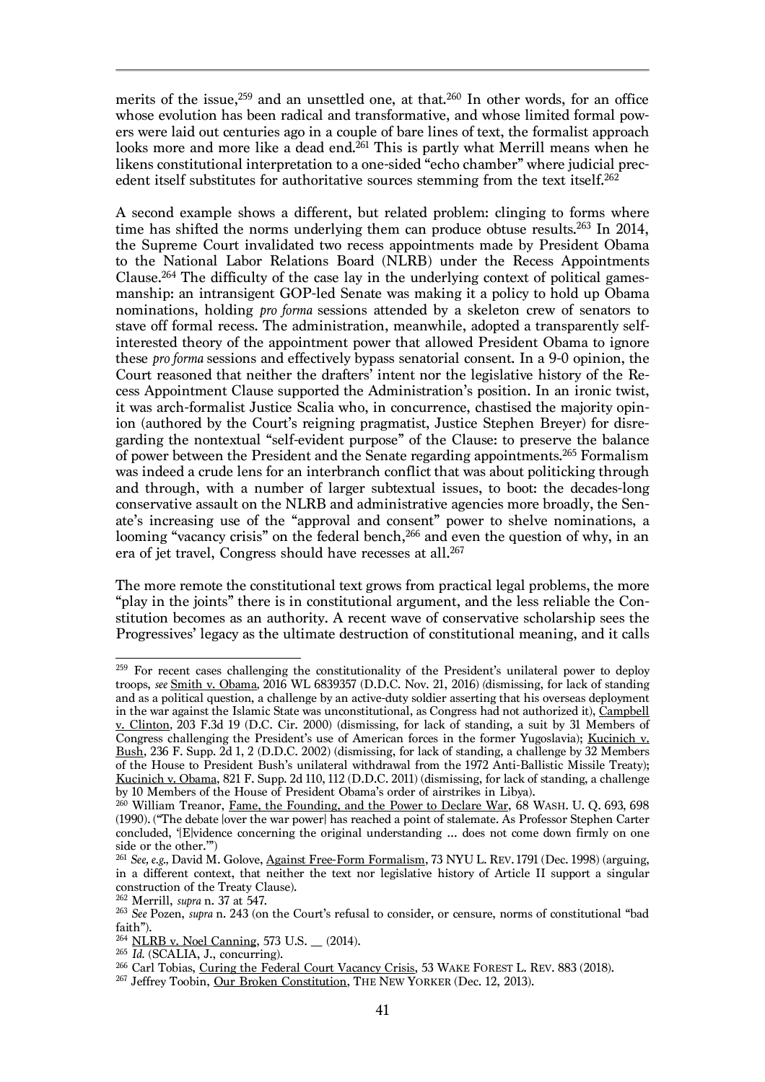merits of the issue, <sup>259</sup> and an unsettled one, at that.260 In other words, for an office whose evolution has been radical and transformative, and whose limited formal powers were laid out centuries ago in a couple of bare lines of text, the formalist approach looks more and more like a dead end.<sup>261</sup> This is partly what Merrill means when he likens constitutional interpretation to a one-sided "echo chamber" where judicial precedent itself substitutes for authoritative sources stemming from the text itself.<sup>262</sup>

A second example shows a different, but related problem: clinging to forms where time has shifted the norms underlying them can produce obtuse results.<sup>263</sup> In 2014, the Supreme Court invalidated two recess appointments made by President Obama to the National Labor Relations Board (NLRB) under the Recess Appointments Clause.<sup>264</sup> The difficulty of the case lay in the underlying context of political gamesmanship: an intransigent GOP-led Senate was making it a policy to hold up Obama nominations, holding *pro forma* sessions attended by a skeleton crew of senators to stave off formal recess. The administration, meanwhile, adopted a transparently selfinterested theory of the appointment power that allowed President Obama to ignore these *pro forma* sessions and effectively bypass senatorial consent. In a 9-0 opinion, the Court reasoned that neither the drafters' intent nor the legislative history of the Recess Appointment Clause supported the Administration's position. In an ironic twist, it was arch-formalist Justice Scalia who, in concurrence, chastised the majority opinion (authored by the Court's reigning pragmatist, Justice Stephen Breyer) for disregarding the nontextual "self-evident purpose" of the Clause: to preserve the balance of power between the President and the Senate regarding appointments.265 Formalism was indeed a crude lens for an interbranch conflict that was about politicking through and through, with a number of larger subtextual issues, to boot: the decades-long conservative assault on the NLRB and administrative agencies more broadly, the Senate's increasing use of the "approval and consent" power to shelve nominations, a looming "vacancy crisis" on the federal bench,<sup>266</sup> and even the question of why, in an era of jet travel, Congress should have recesses at all.<sup>267</sup>

The more remote the constitutional text grows from practical legal problems, the more "play in the joints" there is in constitutional argument, and the less reliable the Constitution becomes as an authority. A recent wave of conservative scholarship sees the Progressives' legacy as the ultimate destruction of constitutional meaning, and it calls

 $259\,$ <sup>259</sup> For recent cases challenging the constitutionality of the President's unilateral power to deploy troops, *see* Smith v. Obama*,* 2016 WL 6839357 (D.D.C. Nov. 21, 2016) *(*dismissing, for lack of standing and as a political question, a challenge by an active-duty soldier asserting that his overseas deployment in the war against the Islamic State was unconstitutional, as Congress had not authorized it), Campbell v. Clinton*,* 203 F.3d 19 (D.C. Cir. 2000) (dismissing, for lack of standing, a suit by 31 Members of Congress challenging the President's use of American forces in the former Yugoslavia); Kucinich v. Bush, 236 F. Supp. 2d 1, 2 (D.D.C. 2002) (dismissing, for lack of standing, a challenge by 32 Members of the House to President Bush's unilateral withdrawal from the 1972 Anti-Ballistic Missile Treaty); Kucinich v. Obama, 821 F. Supp. 2d 110, 112 (D.D.C. 2011) (dismissing, for lack of standing, a challenge by 10 Members of the House of President Obama's order of airstrikes in Libya).

<sup>&</sup>lt;sup>260</sup> William Treanor, Fame, the Founding, and the Power to Declare War, 68 WASH. U. Q. 693, 698 (1990). ("The debate [over the war power] has reached a point of stalemate. As Professor Stephen Carter concluded, '[E]vidence concerning the original understanding … does not come down firmly on one side or the other.'")

<sup>261</sup> *See, e.g.,* David M. Golove, Against Free-Form Formalism, 73 NYU L. REV.1791 (Dec. 1998) (arguing, in a different context, that neither the text nor legislative history of Article II support a singular construction of the Treaty Clause).<br><sup>262</sup> Merrill, *supra* n. 37 at 547.

<sup>&</sup>lt;sup>263</sup> See Pozen, *supra* n. 243 (on the Court's refusal to consider, or censure, norms of constitutional "bad faith").

 $^{264}$  NLRB v. Noel Canning, 573 U.S.  $\_$  (2014).<br><sup>265</sup> *Id.* (SCALIA, J., concurring).

<sup>&</sup>lt;sup>266</sup> Carl Tobias, Curing the Federal Court Vacancy Crisis, 53 WAKE FOREST L. REV. 883 (2018). <sup>267</sup> Jeffrey Toobin, Our Broken Constitution, THE NEW YORKER (Dec. 12, 2013).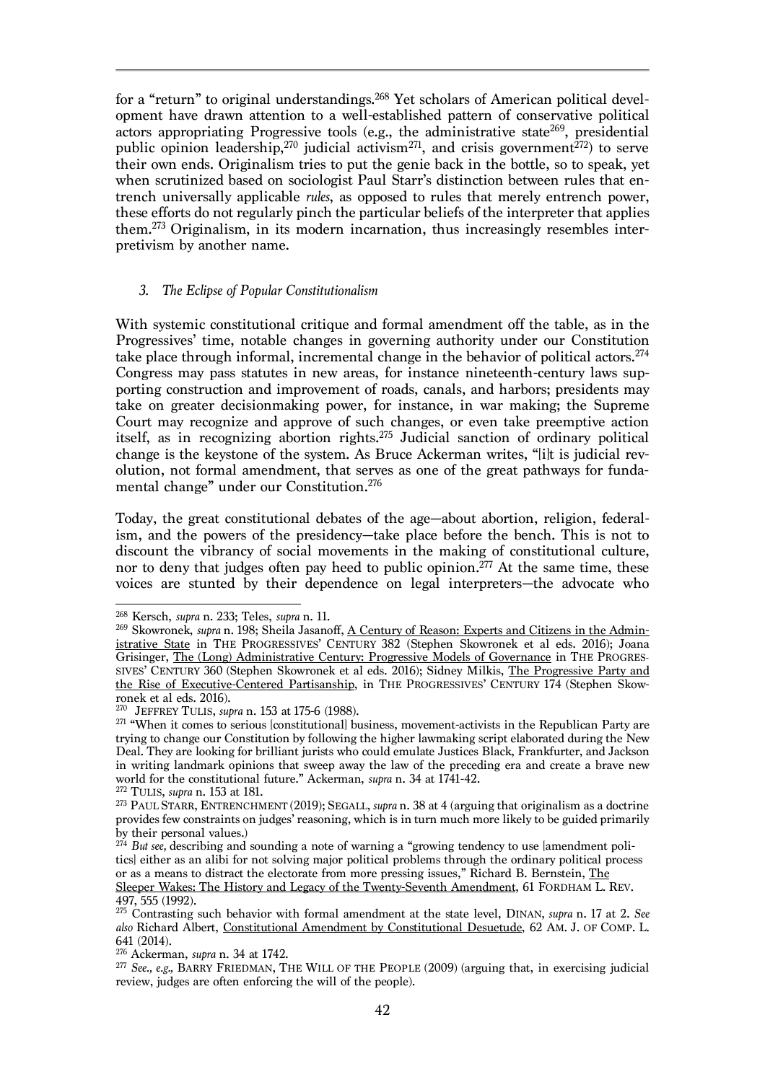for a "return" to original understandings. <sup>268</sup> Yet scholars of American political development have drawn attention to a well-established pattern of conservative political actors appropriating Progressive tools (e.g., the administrative state<sup>269</sup>, presidential public opinion leadership, $^{270}$  judicial activism $^{271}$ , and crisis government $^{272}$ ) to serve their own ends. Originalism tries to put the genie back in the bottle, so to speak, yet when scrutinized based on sociologist Paul Starr's distinction between rules that entrench universally applicable *rules*, as opposed to rules that merely entrench power, these efforts do not regularly pinch the particular beliefs of the interpreter that applies them.273 Originalism, in its modern incarnation, thus increasingly resembles interpretivism by another name.

#### *3. The Eclipse of Popular Constitutionalism*

With systemic constitutional critique and formal amendment off the table, as in the Progressives' time, notable changes in governing authority under our Constitution take place through informal, incremental change in the behavior of political actors.274 Congress may pass statutes in new areas, for instance nineteenth-century laws supporting construction and improvement of roads, canals, and harbors; presidents may take on greater decisionmaking power, for instance, in war making; the Supreme Court may recognize and approve of such changes, or even take preemptive action itself, as in recognizing abortion rights.275 Judicial sanction of ordinary political change is the keystone of the system. As Bruce Ackerman writes, "[i]t is judicial revolution, not formal amendment, that serves as one of the great pathways for fundamental change" under our Constitution.276

Today, the great constitutional debates of the age—about abortion, religion, federalism, and the powers of the presidency—take place before the bench. This is not to discount the vibrancy of social movements in the making of constitutional culture, nor to deny that judges often pay heed to public opinion. <sup>277</sup> At the same time, these voices are stunted by their dependence on legal interpreters—the advocate who

<sup>&</sup>lt;sup>268</sup> Kersch, *supra* n. 233; Teles, *supra* n. 11.

<sup>&</sup>lt;sup>269</sup> Skowronek, *supra* n. 198; Sheila Jasanoff, <u>A Century of Reason: Experts and Citizens in the Admin-</u> istrative State in THE PROGRESSIVES' CENTURY 382 (Stephen Skowronek et al eds. 2016); Joana Grisinger, The (Long) Administrative Century: Progressive Models of Governance in THE PROGRES-SIVES' CENTURY 360 (Stephen Skowronek et al eds. 2016); Sidney Milkis, The Progressive Party and the Rise of Executive-Centered Partisanship, in THE PROGRESSIVES' CENTURY 174 (Stephen Skow-<br>ronek et al eds. 2016).

<sup>&</sup>lt;sup>270</sup> JEFFREY TULIS, *supra* n. 153 at 175-6 (1988).

<sup>&</sup>lt;sup>271</sup> "When it comes to serious [constitutional] business, movement-activists in the Republican Party are trying to change our Constitution by following the higher lawmaking script elaborated during the New Deal. They are looking for brilliant jurists who could emulate Justices Black, Frankfurter, and Jackson in writing landmark opinions that sweep away the law of the preceding era and create a brave new world for the constitutional future." Ackerman, *supra* n. 34 at 1741-42.

<sup>&</sup>lt;sup>272</sup> TULIS, *supra* n. 153 at 181.<br><sup>272</sup> PAUL STARR, ENTRENCHMENT (2019); SEGALL, *supra* n. 38 at 4 (arguing that originalism as a doctrine provides few constraints on judges' reasoning, which is in turn much more likely to be guided primarily

<sup>&</sup>lt;sup>274</sup> *But see, describing and sounding a note of warning a "growing tendency to use [amendment poli*tics] either as an alibi for not solving major political problems through the ordinary political process or as a means to distract the electorate from more pressing issues," Richard B. Bernstein, The Sleeper Wakes: The History and Legacy of the Twenty-Seventh Amendment, 61 FORDHAM L. REV. 497, 555 (1992).

<sup>275</sup> Contrasting such behavior with formal amendment at the state level, DINAN, *supra* n. 17 at 2. *See also* Richard Albert, Constitutional Amendment by Constitutional Desuetude, 62 AM. J. OF COMP. L. 641 (2014).<br><sup>276</sup> Ackerman, *supra* n. 34 at 1742.

<sup>&</sup>lt;sup>277</sup> See., e.g., BARRY FRIEDMAN, THE WILL OF THE PEOPLE (2009) (arguing that, in exercising judicial review, judges are often enforcing the will of the people).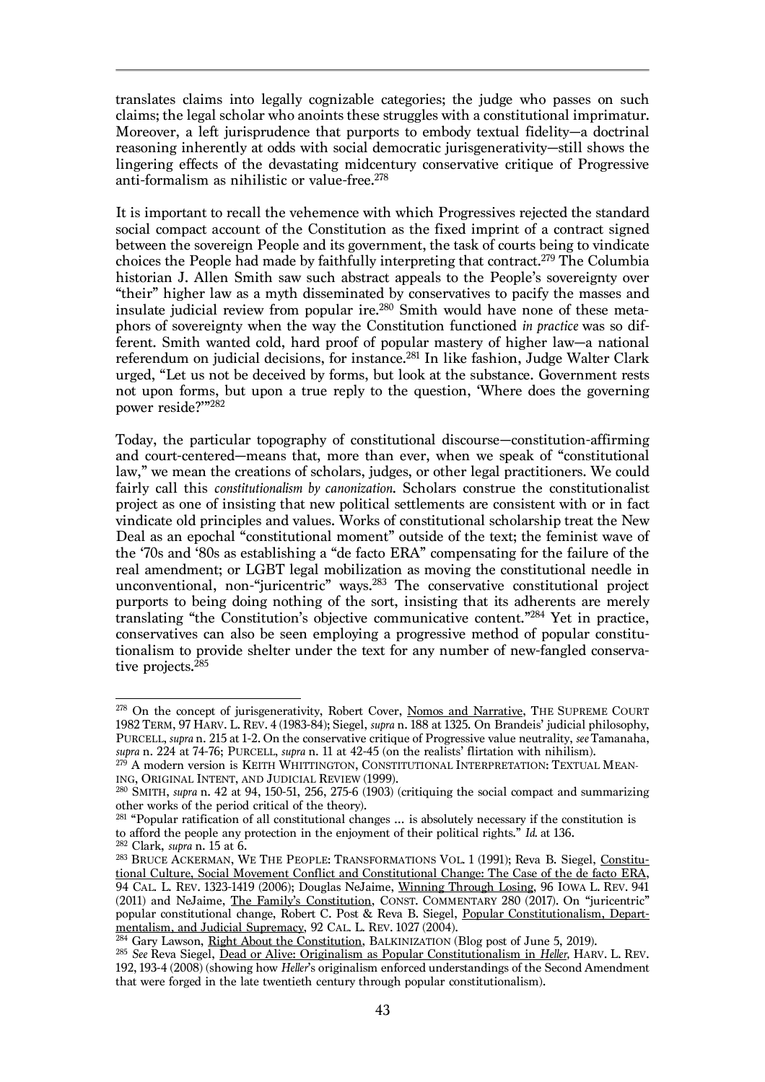translates claims into legally cognizable categories; the judge who passes on such claims; the legal scholar who anoints these struggles with a constitutional imprimatur. Moreover, a left jurisprudence that purports to embody textual fidelity—a doctrinal reasoning inherently at odds with social democratic jurisgenerativity—still shows the lingering effects of the devastating midcentury conservative critique of Progressive anti-formalism as nihilistic or value-free. 278

It is important to recall the vehemence with which Progressives rejected the standard social compact account of the Constitution as the fixed imprint of a contract signed between the sovereign People and its government, the task of courts being to vindicate choices the People had made by faithfully interpreting that contract.279 The Columbia historian J. Allen Smith saw such abstract appeals to the People's sovereignty over "their" higher law as a myth disseminated by conservatives to pacify the masses and insulate judicial review from popular ire.280 Smith would have none of these metaphors of sovereignty when the way the Constitution functioned *in practice* was so different. Smith wanted cold, hard proof of popular mastery of higher law—a national referendum on judicial decisions, for instance. <sup>281</sup> In like fashion, Judge Walter Clark urged, "Let us not be deceived by forms, but look at the substance. Government rests not upon forms, but upon a true reply to the question, 'Where does the governing power reside?'"282

Today, the particular topography of constitutional discourse—constitution-affirming and court-centered—means that, more than ever, when we speak of "constitutional law," we mean the creations of scholars, judges, or other legal practitioners. We could fairly call this *constitutionalism by canonization*. Scholars construe the constitutionalist project as one of insisting that new political settlements are consistent with or in fact vindicate old principles and values. Works of constitutional scholarship treat the New Deal as an epochal "constitutional moment" outside of the text; the feminist wave of the '70s and '80s as establishing a "de facto ERA" compensating for the failure of the real amendment; or LGBT legal mobilization as moving the constitutional needle in unconventional, non-"juricentric" ways.283 The conservative constitutional project purports to being doing nothing of the sort, insisting that its adherents are merely translating "the Constitution's objective communicative content."284 Yet in practice, conservatives can also be seen employing a progressive method of popular constitutionalism to provide shelter under the text for any number of new-fangled conservative projects. 285

 $\overline{a}$ <sup>278</sup> On the concept of jurisgenerativity, Robert Cover, <u>Nomos and Narrative</u>, THE SUPREME COURT 1982 TERM, 97 HARV. L. REV. 4 (1983-84); Siegel, *supra* n. 188 at 1325. On Brandeis' judicial philosophy, PURCELL, *supra* n. 215 at 1-2. On the conservative critique of Progressive value neutrality, *see* Tamanaha,

<sup>&</sup>lt;sup>279</sup> A modern version is KEITH WHITTINGTON, CONSTITUTIONAL INTERPRETATION: TEXTUAL MEAN-ING, ORIGINAL INTENT, AND JUDICIAL REVIEW (1999).

<sup>&</sup>lt;sup>280</sup> SMITH, *supra* n. 42 at 94, 150-51, 256, 275-6 (1903) (critiquing the social compact and summarizing other works of the period critical of the theory).

<sup>&</sup>lt;sup>281</sup> "Popular ratification of all constitutional changes ... is absolutely necessary if the constitution is to afford the people any protection in the enjoyment of their political rights." Id. at 136.<br><sup>282</sup> Clark, *supra* n. 15 at 6.<br><sup>282</sup> BRUCE ACKERMAN, WE THE PEOPLE: TRANSFORMATIONS VOL. 1 (1991); Reva B. Siegel, <u>Constitu-</u>

tional Culture, Social Movement Conflict and Constitutional Change: The Case of the de facto ERA, 94 CAL. L. REV. 1323-1419 (2006); Douglas NeJaime, Winning Through Losing, 96 IOWA L. REV. 941 (2011) and NeJaime, The Family's Constitution, CONST. COMMENTARY 280 (2017). On "juricentric" popular constitutional change, Robert C. Post & Reva B. Siegel, Popular Constitutionalism, Depart-

<sup>&</sup>lt;sup>284</sup> Gary Lawson, Right About the Constitution, BALKINIZATION (Blog post of June 5, 2019).

<sup>285</sup> *See* Reva Siegel, Dead or Alive: Originalism as Popular Constitutionalism in *Heller,* HARV. L. REV. 192, 193-4 (2008) (showing how *Heller*'s originalism enforced understandings of the Second Amendment that were forged in the late twentieth century through popular constitutionalism).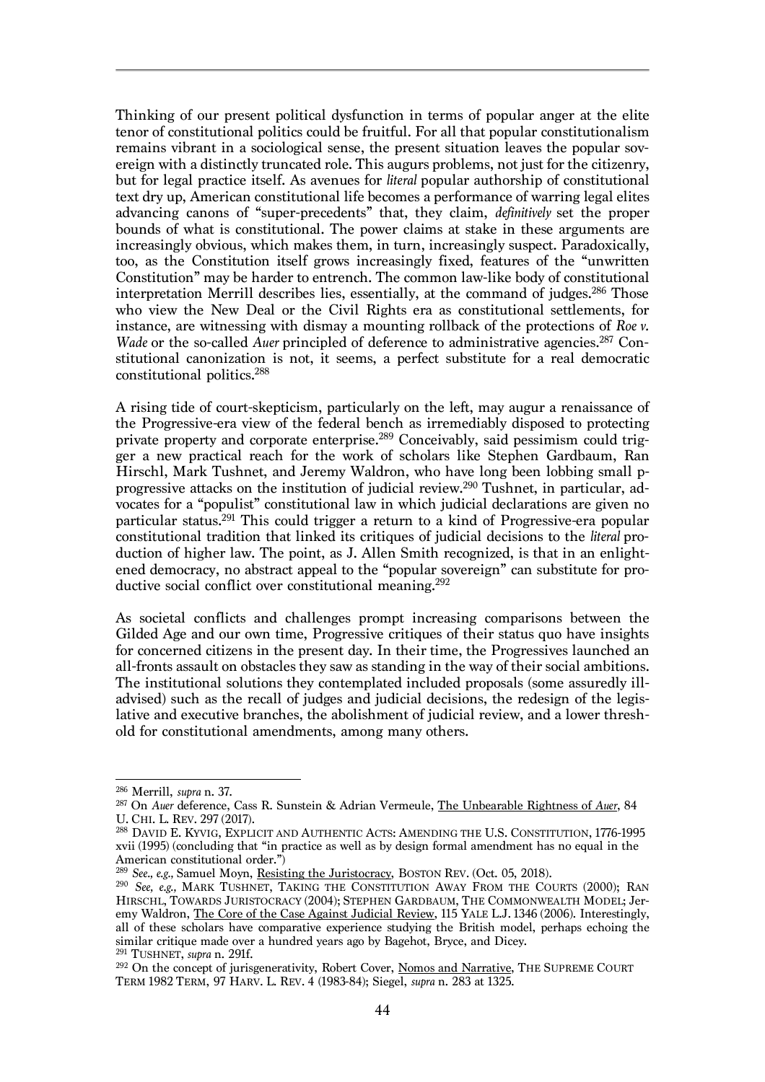Thinking of our present political dysfunction in terms of popular anger at the elite tenor of constitutional politics could be fruitful. For all that popular constitutionalism remains vibrant in a sociological sense, the present situation leaves the popular sovereign with a distinctly truncated role. This augurs problems, not just for the citizenry, but for legal practice itself. As avenues for *literal* popular authorship of constitutional text dry up, American constitutional life becomes a performance of warring legal elites advancing canons of "super-precedents" that, they claim, *definitively* set the proper bounds of what is constitutional. The power claims at stake in these arguments are increasingly obvious, which makes them, in turn, increasingly suspect. Paradoxically, too, as the Constitution itself grows increasingly fixed, features of the "unwritten Constitution" may be harder to entrench. The common law-like body of constitutional interpretation Merrill describes lies, essentially, at the command of judges. <sup>286</sup> Those who view the New Deal or the Civil Rights era as constitutional settlements, for instance, are witnessing with dismay a mounting rollback of the protections of *Roe v. Wade* or the so-called *Auer* principled of deference to administrative agencies.<sup>287</sup> Constitutional canonization is not, it seems, a perfect substitute for a real democratic constitutional politics.288

A rising tide of court-skepticism, particularly on the left, may augur a renaissance of the Progressive-era view of the federal bench as irremediably disposed to protecting private property and corporate enterprise.289 Conceivably, said pessimism could trigger a new practical reach for the work of scholars like Stephen Gardbaum, Ran Hirschl, Mark Tushnet, and Jeremy Waldron, who have long been lobbing small pprogressive attacks on the institution of judicial review.290 Tushnet, in particular, advocates for a "populist" constitutional law in which judicial declarations are given no particular status.291 This could trigger a return to a kind of Progressive-era popular constitutional tradition that linked its critiques of judicial decisions to the *literal* production of higher law. The point, as J. Allen Smith recognized, is that in an enlightened democracy, no abstract appeal to the "popular sovereign" can substitute for productive social conflict over constitutional meaning.<sup>292</sup>

As societal conflicts and challenges prompt increasing comparisons between the Gilded Age and our own time, Progressive critiques of their status quo have insights for concerned citizens in the present day. In their time, the Progressives launched an all-fronts assault on obstacles they saw as standing in the way of their social ambitions. The institutional solutions they contemplated included proposals (some assuredly illadvised) such as the recall of judges and judicial decisions, the redesign of the legislative and executive branches, the abolishment of judicial review, and a lower threshold for constitutional amendments, among many others.

<sup>&</sup>lt;sup>286</sup> Merrill, supra n. 37.

<sup>&</sup>lt;sup>287</sup> On *Auer* deference, Cass R. Sunstein & Adrian Vermeule, <u>The Unbearable Rightness of *Auer*</u>, 84 U. CHI. L. REV. 297 (2017).

<sup>&</sup>lt;sup>288</sup> DAVID E. KYVIG, EXPLICIT AND AUTHENTIC ACTS: AMENDING THE U.S. CONSTITUTION, 1776-1995 xvii (1995) (concluding that "in practice as well as by design formal amendment has no equal in the American constitutional order.")

<sup>&</sup>lt;sup>289</sup> *See., e.g., Samuel Moyn, <u>Resisting the Juristocracy</u>, BOSTON REV. (Oct. 05, 2018).*<br><sup>290</sup> *See, e.g., MARK TUSHNET, TAKING THE CONSTITUTION AWAY FROM THE COURTS (2000); RAN* HIRSCHL, TOWARDS JURISTOCRACY (2004); STEPHEN GARDBAUM, THE COMMONWEALTH MODEL; Jeremy Waldron, The Core of the Case Against Judicial Review, 115 YALE L.J. 1346 (2006). Interestingly, all of these scholars have comparative experience studying the British model, perhaps echoing the similar critique made over a hundred years ago by Bagehot, Bryce, and Dicey.  $^{291}$  TUSHNET, *supra* n. 291f.

<sup>&</sup>lt;sup>292</sup> On the concept of jurisgenerativity, Robert Cover, <u>Nomos and Narrative</u>, THE SUPREME COURT TERM 1982 TERM, 97 HARV. L. REV. 4 (1983-84); Siegel, *supra* n. 283 at 1325.